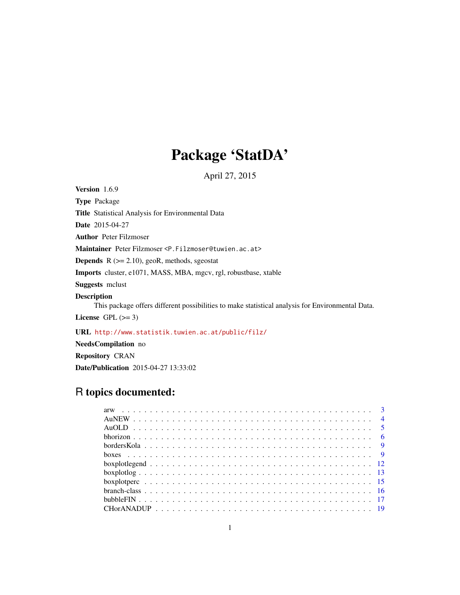# Package 'StatDA'

April 27, 2015

<span id="page-0-0"></span>Version 1.6.9

Type Package Title Statistical Analysis for Environmental Data Date 2015-04-27 Author Peter Filzmoser Maintainer Peter Filzmoser <P.Filzmoser@tuwien.ac.at> **Depends**  $R$  ( $>= 2.10$ ), geoR, methods, sgeostat Imports cluster, e1071, MASS, MBA, mgcv, rgl, robustbase, xtable Suggests mclust Description This package offers different possibilities to make statistical analysis for Environmental Data. License GPL  $(>= 3)$ 

URL <http://www.statistik.tuwien.ac.at/public/filz/>

NeedsCompilation no Repository CRAN Date/Publication 2015-04-27 13:33:02

# R topics documented: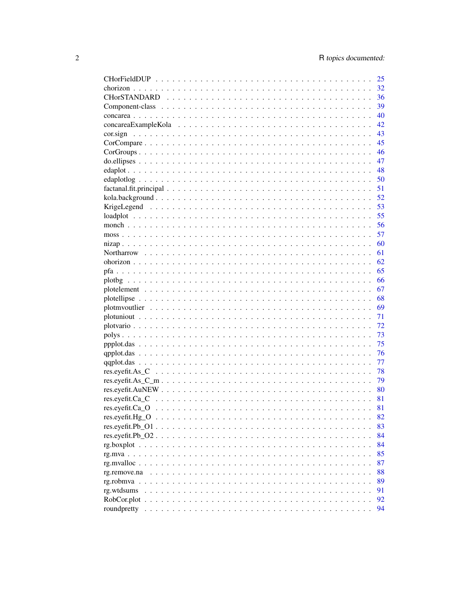|                                                                                                                    | 25   |
|--------------------------------------------------------------------------------------------------------------------|------|
|                                                                                                                    | 32   |
|                                                                                                                    | 36   |
|                                                                                                                    | 39   |
|                                                                                                                    | 40   |
|                                                                                                                    | 42   |
| cor.sign                                                                                                           | 43   |
|                                                                                                                    | 45   |
|                                                                                                                    | 46   |
|                                                                                                                    | 47   |
|                                                                                                                    | 48   |
|                                                                                                                    | 50   |
|                                                                                                                    | 51   |
|                                                                                                                    |      |
|                                                                                                                    |      |
|                                                                                                                    |      |
|                                                                                                                    |      |
|                                                                                                                    |      |
|                                                                                                                    | 60   |
|                                                                                                                    | 61   |
|                                                                                                                    | 62   |
|                                                                                                                    | 65   |
|                                                                                                                    | 66   |
|                                                                                                                    | 67   |
|                                                                                                                    |      |
|                                                                                                                    |      |
|                                                                                                                    |      |
|                                                                                                                    | 72   |
|                                                                                                                    | 73   |
|                                                                                                                    | 75   |
|                                                                                                                    | 76   |
|                                                                                                                    | 77   |
|                                                                                                                    | 78   |
| $res. eyefit. As_C_m m \ldots \ldots \ldots \ldots \ldots \ldots \ldots \ldots \ldots \ldots \ldots \ldots \ldots$ | 79   |
|                                                                                                                    | - 80 |
|                                                                                                                    | 81   |
|                                                                                                                    | 81   |
| $res.everyeft. Hg_0 \ldots \ldots \ldots \ldots \ldots \ldots \ldots \ldots \ldots \ldots \ldots \ldots$           | 82   |
| $res. eyefit.Pb_01 \ldots \ldots \ldots \ldots \ldots \ldots \ldots \ldots \ldots \ldots$                          | 83   |
| $res.everyet t.Pb O2 \ldots \ldots \ldots \ldots \ldots \ldots \ldots \ldots \ldots \ldots \ldots \ldots$          | 84   |
|                                                                                                                    | 84   |
|                                                                                                                    | 85   |
|                                                                                                                    | 87   |
| rg.remove.na                                                                                                       | 88   |
|                                                                                                                    | 89   |
| rg.wtdsums                                                                                                         | 91   |
| $RobCor. plot \ldots \ldots \ldots \ldots \ldots \ldots \ldots \ldots \ldots \ldots \ldots \ldots$                 | 92   |
|                                                                                                                    | 94   |
|                                                                                                                    |      |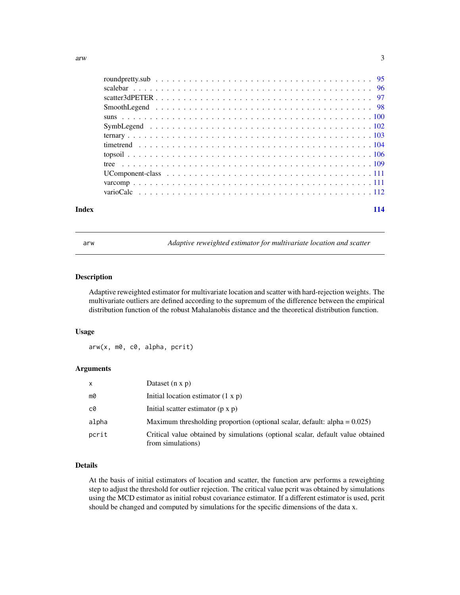<span id="page-2-0"></span>

| Index | 114 |
|-------|-----|

arw *Adaptive reweighted estimator for multivariate location and scatter*

# Description

Adaptive reweighted estimator for multivariate location and scatter with hard-rejection weights. The multivariate outliers are defined according to the supremum of the difference between the empirical distribution function of the robust Mahalanobis distance and the theoretical distribution function.

# Usage

arw(x, m0, c0, alpha, pcrit)

#### Arguments

| x     | Dataset $(n \times p)$                                                                               |
|-------|------------------------------------------------------------------------------------------------------|
| m0    | Initial location estimator $(1 x p)$                                                                 |
| c0    | Initial scatter estimator $(p \times p)$                                                             |
| alpha | Maximum thresholding proportion (optional scalar, default: alpha = $0.025$ )                         |
| pcrit | Critical value obtained by simulations (optional scalar, default value obtained<br>from simulations) |

# Details

At the basis of initial estimators of location and scatter, the function arw performs a reweighting step to adjust the threshold for outlier rejection. The critical value pcrit was obtained by simulations using the MCD estimator as initial robust covariance estimator. If a different estimator is used, pcrit should be changed and computed by simulations for the specific dimensions of the data x.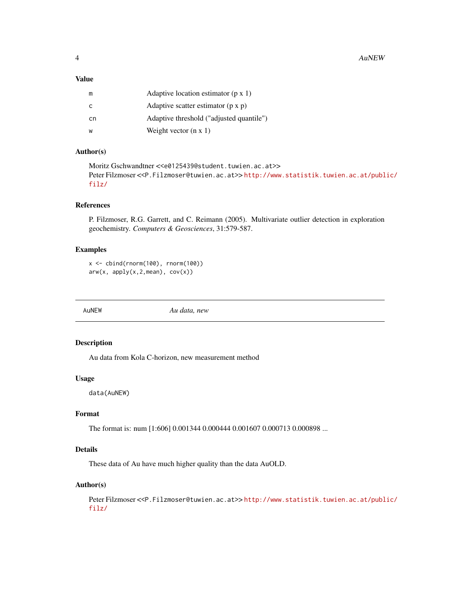# <span id="page-3-0"></span>Value

| m  | Adaptive location estimator $(p \times 1)$ |
|----|--------------------------------------------|
| C  | Adaptive scatter estimator $(p \times p)$  |
| cn | Adaptive threshold ("adjusted quantile")   |
| w  | Weight vector $(n \times 1)$               |

# Author(s)

```
Moritz Gschwandtner <<e0125439@student.tuwien.ac.at>>
Peter Filzmoser <<P.Filzmoser@tuwien.ac.at>> http://www.statistik.tuwien.ac.at/public/
filz/
```
# References

P. Filzmoser, R.G. Garrett, and C. Reimann (2005). Multivariate outlier detection in exploration geochemistry. *Computers & Geosciences*, 31:579-587.

#### Examples

```
x <- cbind(rnorm(100), rnorm(100))
arw(x, apply(x, 2, mean), cov(x))
```
AuNEW *Au data, new*

# Description

Au data from Kola C-horizon, new measurement method

#### Usage

data(AuNEW)

# Format

The format is: num [1:606] 0.001344 0.000444 0.001607 0.000713 0.000898 ...

# Details

These data of Au have much higher quality than the data AuOLD.

# Author(s)

Peter Filzmoser <<P.Filzmoser@tuwien.ac.at>> [http://www.statistik.tuwien.ac.at/publ](http://www.statistik.tuwien.ac.at/public/filz/)ic/ [filz/](http://www.statistik.tuwien.ac.at/public/filz/)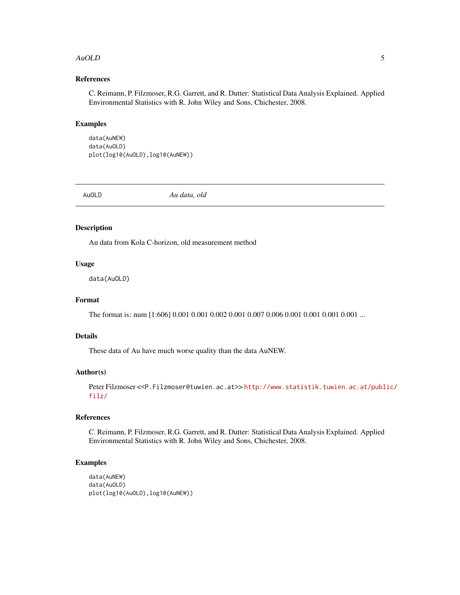#### <span id="page-4-0"></span>AuOLD 5

# References

C. Reimann, P. Filzmoser, R.G. Garrett, and R. Dutter: Statistical Data Analysis Explained. Applied Environmental Statistics with R. John Wiley and Sons, Chichester, 2008.

# Examples

data(AuNEW) data(AuOLD) plot(log10(AuOLD),log10(AuNEW))

AuOLD *Au data, old*

# Description

Au data from Kola C-horizon, old measurement method

# Usage

data(AuOLD)

# Format

The format is: num [1:606] 0.001 0.001 0.002 0.001 0.007 0.006 0.001 0.001 0.001 0.001 ...

# Details

These data of Au have much worse quality than the data AuNEW.

#### Author(s)

```
http://www.statistik.tuwien.ac.at/public/
filz/
```
# References

C. Reimann, P. Filzmoser, R.G. Garrett, and R. Dutter: Statistical Data Analysis Explained. Applied Environmental Statistics with R. John Wiley and Sons, Chichester, 2008.

# Examples

```
data(AuNEW)
data(AuOLD)
plot(log10(AuOLD),log10(AuNEW))
```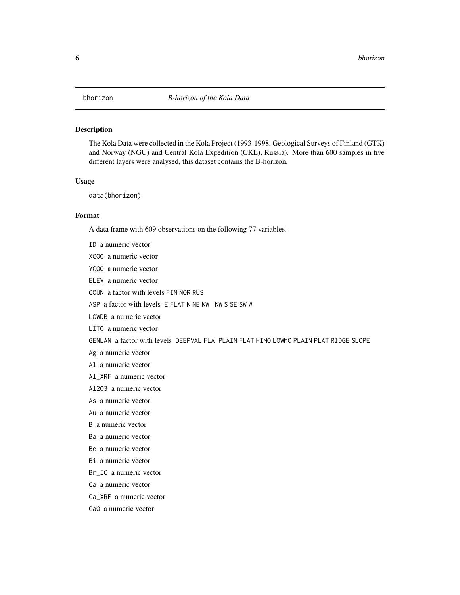# <span id="page-5-0"></span>Description

The Kola Data were collected in the Kola Project (1993-1998, Geological Surveys of Finland (GTK) and Norway (NGU) and Central Kola Expedition (CKE), Russia). More than 600 samples in five different layers were analysed, this dataset contains the B-horizon.

#### Usage

data(bhorizon)

CaO a numeric vector

# Format

A data frame with 609 observations on the following 77 variables.

ID a numeric vector XCOO a numeric vector YCOO a numeric vector ELEV a numeric vector COUN a factor with levels FIN NOR RUS ASP a factor with levels E FLAT N NE NW NW S SE SW W LOWDB a numeric vector LITO a numeric vector GENLAN a factor with levels DEEPVAL FLA PLAIN FLAT HIMO LOWMO PLAIN PLAT RIDGE SLOPE Ag a numeric vector Al a numeric vector Al\_XRF a numeric vector Al2O3 a numeric vector As a numeric vector Au a numeric vector B a numeric vector Ba a numeric vector Be a numeric vector Bi a numeric vector Br IC a numeric vector Ca a numeric vector Ca\_XRF a numeric vector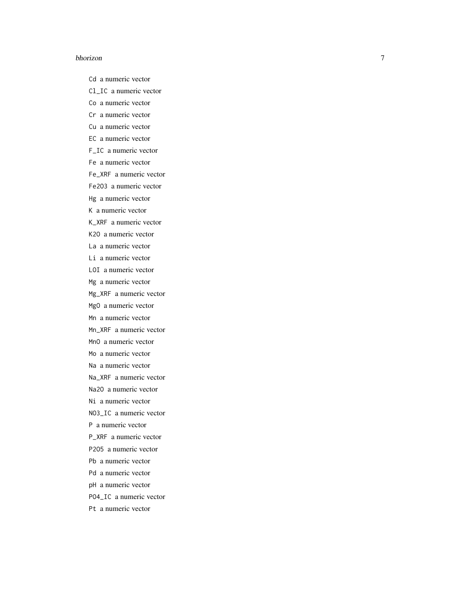#### bhorizon

Cd a numeric vector

Cl\_IC a numeric vector

Co a numeric vector

- Cr a numeric vector
- Cu a numeric vector
- EC a numeric vector
- F\_IC a numeric vector
- Fe a numeric vector
- Fe\_XRF a numeric vector
- Fe2O3 a numeric vector
- Hg a numeric vector
- K a numeric vector
- K\_XRF a numeric vector
- K2O a numeric vector
- La a numeric vector
- Li a numeric vector
- LOI a numeric vector
- Mg a numeric vector
- Mg\_XRF a numeric vector
- MgO a numeric vector
- Mn a numeric vector
- Mn\_XRF a numeric vector
- MnO a numeric vector
- Mo a numeric vector
- Na a numeric vector
- Na\_XRF a numeric vector
- Na2O a numeric vector
- Ni a numeric vector
- NO3\_IC a numeric vector
- P a numeric vector
- P\_XRF a numeric vector
- P2O5 a numeric vector
- Pb a numeric vector
- Pd a numeric vector
- pH a numeric vector
- PO4\_IC a numeric vector
- Pt a numeric vector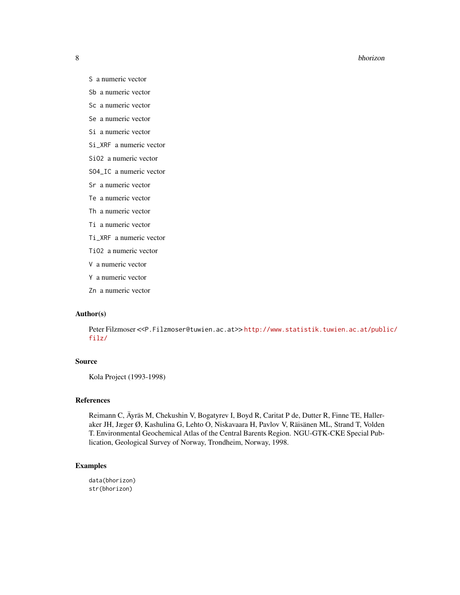#### 8 bhorizon anns an t-an-saolaithe anns an t-an-saol anns an t-an-saol anns an t-an-saol anns an t-an-saol anns an t-an-saol anns an t-an-saol anns an t-an-saol anns an t-an-saol anns an t-an-saol anns an t-an-saol anns an

- S a numeric vector
- Sb a numeric vector
- Sc a numeric vector
- Se a numeric vector
- Si a numeric vector
- Si\_XRF a numeric vector
- SiO2 a numeric vector
- SO4\_IC a numeric vector
- Sr a numeric vector
- Te a numeric vector
- Th a numeric vector
- Ti a numeric vector
- Ti\_XRF a numeric vector
- TiO2 a numeric vector
- V a numeric vector
- Y a numeric vector
- Zn a numeric vector

# Author(s)

Peter Filzmoser <<P.Filzmoser@tuwien.ac.at>> [http://www.statistik.tuwien.ac.at/publ](http://www.statistik.tuwien.ac.at/public/filz/)ic/ [filz/](http://www.statistik.tuwien.ac.at/public/filz/)

# Source

Kola Project (1993-1998)

# References

Reimann C, Äyräs M, Chekushin V, Bogatyrev I, Boyd R, Caritat P de, Dutter R, Finne TE, Halleraker JH, Jæger Ø, Kashulina G, Lehto O, Niskavaara H, Pavlov V, Räisänen ML, Strand T, Volden T. Environmental Geochemical Atlas of the Central Barents Region. NGU-GTK-CKE Special Publication, Geological Survey of Norway, Trondheim, Norway, 1998.

#### Examples

data(bhorizon) str(bhorizon)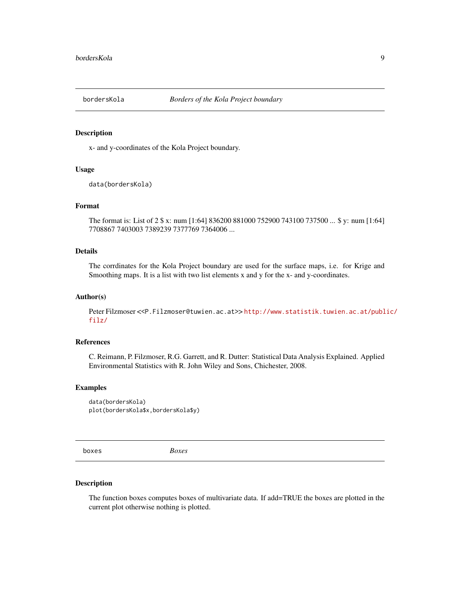<span id="page-8-0"></span>

#### Description

x- and y-coordinates of the Kola Project boundary.

# Usage

data(bordersKola)

# Format

The format is: List of 2 \$ x: num [1:64] 836200 881000 752900 743100 737500 ... \$ y: num [1:64] 7708867 7403003 7389239 7377769 7364006 ...

# Details

The corrdinates for the Kola Project boundary are used for the surface maps, i.e. for Krige and Smoothing maps. It is a list with two list elements x and y for the x- and y-coordinates.

#### Author(s)

Peter Filzmoser <<P.Filzmoser@tuwien.ac.at>>[http://www.statistik.tuwien.ac.at/publ](http://www.statistik.tuwien.ac.at/public/filz/)ic/ [filz/](http://www.statistik.tuwien.ac.at/public/filz/)

# References

C. Reimann, P. Filzmoser, R.G. Garrett, and R. Dutter: Statistical Data Analysis Explained. Applied Environmental Statistics with R. John Wiley and Sons, Chichester, 2008.

#### Examples

data(bordersKola) plot(bordersKola\$x,bordersKola\$y)

boxes *Boxes*

# Description

The function boxes computes boxes of multivariate data. If add=TRUE the boxes are plotted in the current plot otherwise nothing is plotted.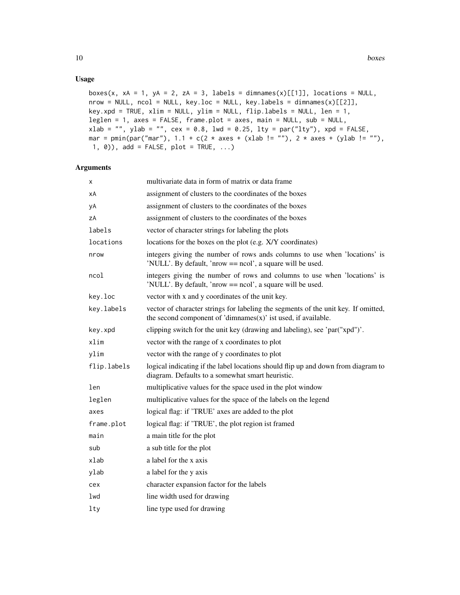# Usage

```
boxes(x, xA = 1, yA = 2, zA = 3, labels = dimnames(x)[[1]], locations = NULL,
nrow = NULL, ncol = NULL, key.loc = NULL, key.labels = dimnames(x)[[2]],
key.xpd = TRUE, xlim = NULL, ylim = NULL, flip.labels = NULL, len = 1,
leglen = 1, axes = FALSE, frame.plot = axes, main = NULL, sub = NULL,
xlab = "", ylab = "", cex = 0.8, lwd = 0.25, lty = par("lty"), xpd = FALSE,
mar = pmin(par("mar"), 1.1 + c(2 * axes + (xlab != ""), 2 * axes + (ylab != ""),1, 0), add = FALSE, plot = TRUE, ...)
```
# Arguments

| X           | multivariate data in form of matrix or data frame                                                                                                       |
|-------------|---------------------------------------------------------------------------------------------------------------------------------------------------------|
| хA          | assignment of clusters to the coordinates of the boxes                                                                                                  |
| уA          | assignment of clusters to the coordinates of the boxes                                                                                                  |
| zΑ          | assignment of clusters to the coordinates of the boxes                                                                                                  |
| labels      | vector of character strings for labeling the plots                                                                                                      |
| locations   | locations for the boxes on the plot (e.g. X/Y coordinates)                                                                                              |
| nrow        | integers giving the number of rows ands columns to use when 'locations' is<br>'NULL'. By default, 'nrow == ncol', a square will be used.                |
| ncol        | integers giving the number of rows and columns to use when 'locations' is<br>'NULL'. By default, 'nrow == ncol', a square will be used.                 |
| key.loc     | vector with x and y coordinates of the unit key.                                                                                                        |
| key.labels  | vector of character strings for labeling the segments of the unit key. If omitted,<br>the second component of 'dimnames $(x)$ ' ist used, if available. |
| key.xpd     | clipping switch for the unit key (drawing and labeling), see 'par("xpd")'.                                                                              |
| xlim        | vector with the range of x coordinates to plot                                                                                                          |
| ylim        | vector with the range of y coordinates to plot                                                                                                          |
| flip.labels | logical indicating if the label locations should flip up and down from diagram to<br>diagram. Defaults to a somewhat smart heuristic.                   |
| len         | multiplicative values for the space used in the plot window                                                                                             |
| leglen      | multiplicative values for the space of the labels on the legend                                                                                         |
| axes        | logical flag: if 'TRUE' axes are added to the plot                                                                                                      |
| frame.plot  | logical flag: if 'TRUE', the plot region ist framed                                                                                                     |
| main        | a main title for the plot                                                                                                                               |
| sub         | a sub title for the plot                                                                                                                                |
| xlab        | a label for the x axis                                                                                                                                  |
| ylab        | a label for the y axis                                                                                                                                  |
| cex         | character expansion factor for the labels                                                                                                               |
| lwd         | line width used for drawing                                                                                                                             |
| $1$ ty      | line type used for drawing                                                                                                                              |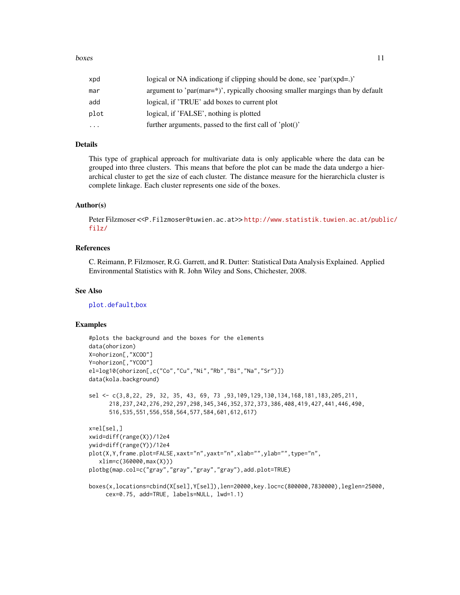#### boxes and the set of the set of the set of the set of the set of the set of the set of the set of the set of the set of the set of the set of the set of the set of the set of the set of the set of the set of the set of the

| xpd  | logical or NA indicationg if clipping should be done, see ' $par(xpd=.)'$                   |
|------|---------------------------------------------------------------------------------------------|
| mar  | argument to 'par(mar= $\frac{*}{*}$ )', rypically choosing smaller margings than by default |
| add  | logical, if 'TRUE' add boxes to current plot                                                |
| plot | logical, if 'FALSE', nothing is plotted                                                     |
| .    | further arguments, passed to the first call of 'plot()'                                     |
|      |                                                                                             |

#### Details

This type of graphical approach for multivariate data is only applicable where the data can be grouped into three clusters. This means that before the plot can be made the data undergo a hierarchical cluster to get the size of each cluster. The distance measure for the hierarchicla cluster is complete linkage. Each cluster represents one side of the boxes.

#### Author(s)

Peter Filzmoser <<P.Filzmoser@tuwien.ac.at>> [http://www.statistik.tuwien.ac.at/publ](http://www.statistik.tuwien.ac.at/public/filz/)ic/ [filz/](http://www.statistik.tuwien.ac.at/public/filz/)

# References

C. Reimann, P. Filzmoser, R.G. Garrett, and R. Dutter: Statistical Data Analysis Explained. Applied Environmental Statistics with R. John Wiley and Sons, Chichester, 2008.

# See Also

[plot.default](#page-0-0),[box](#page-0-0)

#### Examples

```
#plots the background and the boxes for the elements
data(ohorizon)
X=ohorizon[,"XCOO"]
Y=ohorizon[,"YCOO"]
el=log10(ohorizon[,c("Co","Cu","Ni","Rb","Bi","Na","Sr")])
data(kola.background)
sel <- c(3,8,22, 29, 32, 35, 43, 69, 73 ,93,109,129,130,134,168,181,183,205,211,
      218,237,242,276,292,297,298,345,346,352,372,373,386,408,419,427,441,446,490,
      516,535,551,556,558,564,577,584,601,612,617)
x=el[sel,]
xwid=diff(range(X))/12e4
ywid=diff(range(Y))/12e4
plot(X,Y,frame.plot=FALSE,xaxt="n",yaxt="n",xlab="",ylab="",type="n",
   xlim=c(360000,max(X)))
plotbg(map.col=c("gray","gray","gray","gray"),add.plot=TRUE)
boxes(x,locations=cbind(X[sel],Y[sel]),len=20000,key.loc=c(800000,7830000),leglen=25000,
```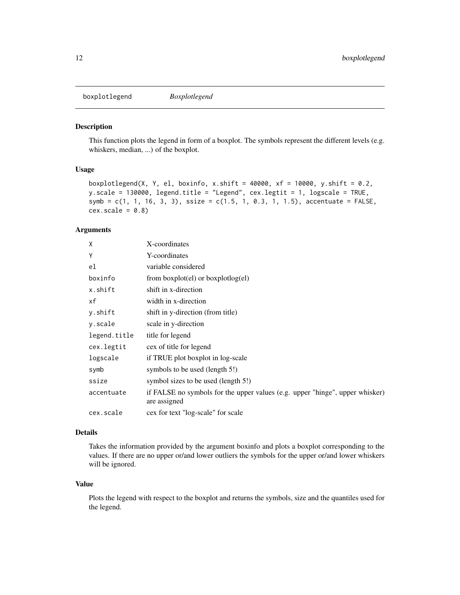<span id="page-11-0"></span>boxplotlegend *Boxplotlegend*

#### Description

This function plots the legend in form of a boxplot. The symbols represent the different levels (e.g. whiskers, median, ...) of the boxplot.

# Usage

```
boxplotlegend(X, Y, el, boxinfo, x.shift = 40000, xf = 10000, y.shift = 0.2,
y.scale = 130000, legend.title = "Legend", cex.legtit = 1, logscale = TRUE,
symb = c(1, 1, 16, 3, 3), ssize = c(1.5, 1, 0.3, 1, 1.5), accentuate = FALSE,
cex.scale = 0.8
```
#### Arguments

| X            | X-coordinates                                                                                |
|--------------|----------------------------------------------------------------------------------------------|
| Y            | Y-coordinates                                                                                |
| el           | variable considered                                                                          |
| boxinfo      | from $boxplot$ (el) or $boxplotlog$ (el)                                                     |
| x.shift      | shift in x-direction                                                                         |
| xf           | width in x-direction                                                                         |
| y.shift      | shift in y-direction (from title)                                                            |
| y.scale      | scale in y-direction                                                                         |
| legend.title | title for legend                                                                             |
| cex.legtit   | cex of title for legend                                                                      |
| logscale     | if TRUE plot boxplot in log-scale                                                            |
| symb         | symbols to be used (length 5!)                                                               |
| ssize        | symbol sizes to be used (length 5!)                                                          |
| accentuate   | if FALSE no symbols for the upper values (e.g. upper "hinge", upper whisker)<br>are assigned |
| cex.scale    | cex for text "log-scale" for scale                                                           |

#### Details

Takes the information provided by the argument boxinfo and plots a boxplot corresponding to the values. If there are no upper or/and lower outliers the symbols for the upper or/and lower whiskers will be ignored.

# Value

Plots the legend with respect to the boxplot and returns the symbols, size and the quantiles used for the legend.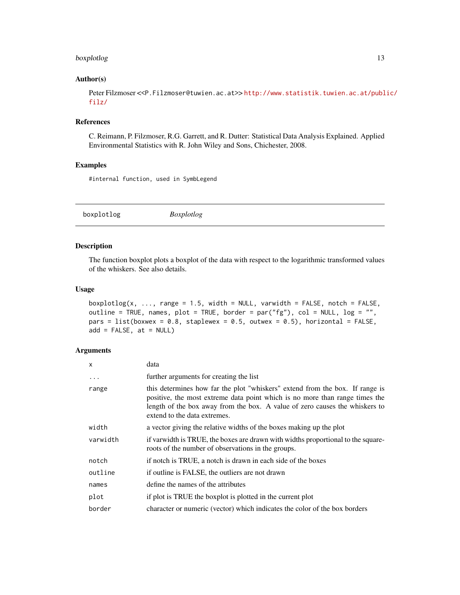# <span id="page-12-0"></span>boxplotlog that the contract of the contract of the contract of the contract of the contract of the contract of the contract of the contract of the contract of the contract of the contract of the contract of the contract o

#### Author(s)

Peter Filzmoser <<P.Filzmoser@tuwien.ac.at>> [http://www.statistik.tuwien.ac.at/publ](http://www.statistik.tuwien.ac.at/public/filz/)ic/ [filz/](http://www.statistik.tuwien.ac.at/public/filz/)

# References

C. Reimann, P. Filzmoser, R.G. Garrett, and R. Dutter: Statistical Data Analysis Explained. Applied Environmental Statistics with R. John Wiley and Sons, Chichester, 2008.

# Examples

#internal function, used in SymbLegend

<span id="page-12-1"></span>boxplotlog *Boxplotlog*

#### Description

The function boxplot plots a boxplot of the data with respect to the logarithmic transformed values of the whiskers. See also details.

# Usage

```
boxplotlog(x, ..., range = 1.5, width = NULL, varwidth = FALSE, notch = FALSE,
outline = TRUE, names, plot = TRUE, border = par("fg"), col = NULL, log = "'',
pars = list(boxwex = 0.8, staplewex = 0.5, outwex = 0.5), horizontal = FALSE,
add = FALSE, at = NULL)
```
#### Arguments

| $\mathsf{x}$ | data                                                                                                                                                                                                                                                                       |
|--------------|----------------------------------------------------------------------------------------------------------------------------------------------------------------------------------------------------------------------------------------------------------------------------|
| $\ddotsc$    | further arguments for creating the list                                                                                                                                                                                                                                    |
| range        | this determines how far the plot "whiskers" extend from the box. If range is<br>positive, the most extreme data point which is no more than range times the<br>length of the box away from the box. A value of zero causes the whiskers to<br>extend to the data extremes. |
| width        | a vector giving the relative widths of the boxes making up the plot                                                                                                                                                                                                        |
| varwidth     | if varwidth is TRUE, the boxes are drawn with widths proportional to the square-<br>roots of the number of observations in the groups.                                                                                                                                     |
| notch        | if notch is TRUE, a notch is drawn in each side of the boxes                                                                                                                                                                                                               |
| outline      | if outline is FALSE, the outliers are not drawn                                                                                                                                                                                                                            |
| names        | define the names of the attributes                                                                                                                                                                                                                                         |
| plot         | if plot is TRUE the boxplot is plotted in the current plot                                                                                                                                                                                                                 |
| border       | character or numeric (vector) which indicates the color of the box borders                                                                                                                                                                                                 |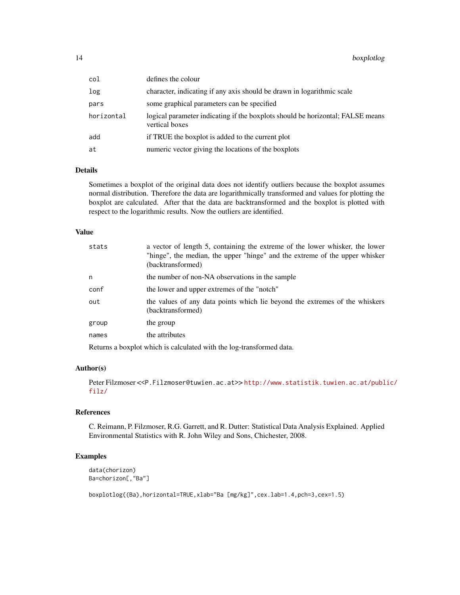| col        | defines the colour                                                                               |
|------------|--------------------------------------------------------------------------------------------------|
| log        | character, indicating if any axis should be drawn in logarithmic scale                           |
| pars       | some graphical parameters can be specified                                                       |
| horizontal | logical parameter indicating if the boxplots should be horizontal; FALSE means<br>vertical boxes |
| add        | if TRUE the boxplot is added to the current plot                                                 |
| at         | numeric vector giving the locations of the boxplots                                              |

# Details

Sometimes a boxplot of the original data does not identify outliers because the boxplot assumes normal distribution. Therefore the data are logarithmically transformed and values for plotting the boxplot are calculated. After that the data are backtransformed and the boxplot is plotted with respect to the logarithmic results. Now the outliers are identified.

# Value

| stats | a vector of length 5, containing the extreme of the lower whisker, the lower<br>"hinge", the median, the upper "hinge" and the extreme of the upper whisker<br>(backtransformed) |
|-------|----------------------------------------------------------------------------------------------------------------------------------------------------------------------------------|
| n     | the number of non-NA observations in the sample                                                                                                                                  |
| conf  | the lower and upper extremes of the "notch"                                                                                                                                      |
| out   | the values of any data points which lie beyond the extremes of the whiskers<br>(backtransformed)                                                                                 |
| group | the group                                                                                                                                                                        |
| names | the attributes                                                                                                                                                                   |
|       |                                                                                                                                                                                  |

Returns a boxplot which is calculated with the log-transformed data.

# Author(s)

Peter Filzmoser <<P.Filzmoser@tuwien.ac.at>> [http://www.statistik.tuwien.ac.at/publ](http://www.statistik.tuwien.ac.at/public/filz/)ic/ [filz/](http://www.statistik.tuwien.ac.at/public/filz/)

#### References

C. Reimann, P. Filzmoser, R.G. Garrett, and R. Dutter: Statistical Data Analysis Explained. Applied Environmental Statistics with R. John Wiley and Sons, Chichester, 2008.

#### Examples

data(chorizon) Ba=chorizon[,"Ba"]

boxplotlog((Ba),horizontal=TRUE,xlab="Ba [mg/kg]",cex.lab=1.4,pch=3,cex=1.5)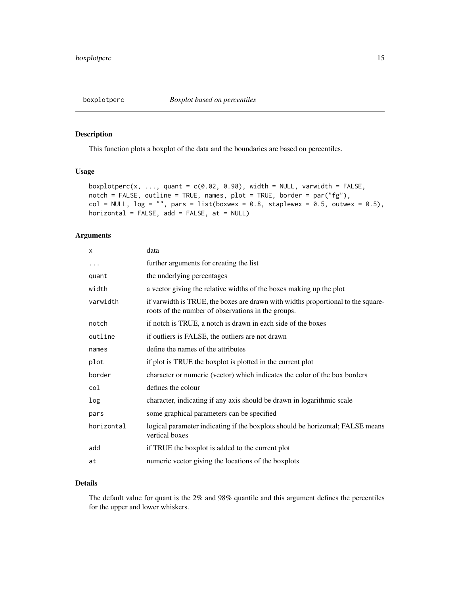<span id="page-14-0"></span>

# Description

This function plots a boxplot of the data and the boundaries are based on percentiles.

# Usage

```
boxplotperc(x, ..., quant = c(0.02, 0.98), width = NULL, varwidth = FALSE,
notch = FALSE, outline = TRUE, names, plot = TRUE, border = par("fg"),
col = NULL, log = "", pars = list(boxwex = 0.8, staplewex = 0.5, outwex = 0.5),
horizontal = FALSE, add = FALSE, at = NULL)
```
# Arguments

| X          | data                                                                                                                                   |
|------------|----------------------------------------------------------------------------------------------------------------------------------------|
| $\cdots$   | further arguments for creating the list                                                                                                |
| quant      | the underlying percentages                                                                                                             |
| width      | a vector giving the relative widths of the boxes making up the plot                                                                    |
| varwidth   | if varwidth is TRUE, the boxes are drawn with widths proportional to the square-<br>roots of the number of observations in the groups. |
| notch      | if notch is TRUE, a notch is drawn in each side of the boxes                                                                           |
| outline    | if outliers is FALSE, the outliers are not drawn                                                                                       |
| names      | define the names of the attributes                                                                                                     |
| plot       | if plot is TRUE the boxplot is plotted in the current plot                                                                             |
| border     | character or numeric (vector) which indicates the color of the box borders                                                             |
| col        | defines the colour                                                                                                                     |
| log        | character, indicating if any axis should be drawn in logarithmic scale                                                                 |
| pars       | some graphical parameters can be specified                                                                                             |
| horizontal | logical parameter indicating if the boxplots should be horizontal; FALSE means<br>vertical boxes                                       |
| add        | if TRUE the boxplot is added to the current plot                                                                                       |
| at         | numeric vector giving the locations of the boxplots                                                                                    |

# Details

The default value for quant is the 2% and 98% quantile and this argument defines the percentiles for the upper and lower whiskers.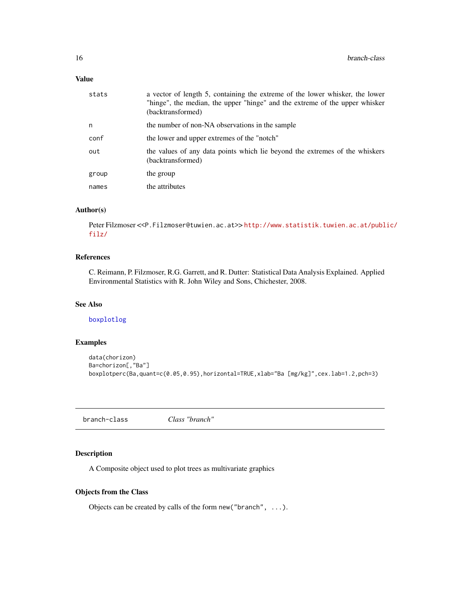# <span id="page-15-0"></span>Value

| stats | a vector of length 5, containing the extreme of the lower whisker, the lower<br>"hinge", the median, the upper "hinge" and the extreme of the upper whisker<br>(backtransformed) |
|-------|----------------------------------------------------------------------------------------------------------------------------------------------------------------------------------|
| n     | the number of non-NA observations in the sample                                                                                                                                  |
| conf  | the lower and upper extremes of the "notch"                                                                                                                                      |
| out   | the values of any data points which lie beyond the extremes of the whiskers<br>(backtransformed)                                                                                 |
| group | the group                                                                                                                                                                        |
| names | the attributes                                                                                                                                                                   |

# Author(s)

Peter Filzmoser <<P.Filzmoser@tuwien.ac.at>>[http://www.statistik.tuwien.ac.at/publ](http://www.statistik.tuwien.ac.at/public/filz/)ic/ [filz/](http://www.statistik.tuwien.ac.at/public/filz/)

# References

C. Reimann, P. Filzmoser, R.G. Garrett, and R. Dutter: Statistical Data Analysis Explained. Applied Environmental Statistics with R. John Wiley and Sons, Chichester, 2008.

# See Also

[boxplotlog](#page-12-1)

# Examples

```
data(chorizon)
Ba=chorizon[,"Ba"]
boxplotperc(Ba,quant=c(0.05,0.95),horizontal=TRUE,xlab="Ba [mg/kg]",cex.lab=1.2,pch=3)
```
branch-class *Class "branch"*

# Description

A Composite object used to plot trees as multivariate graphics

# Objects from the Class

Objects can be created by calls of the form new("branch", ...).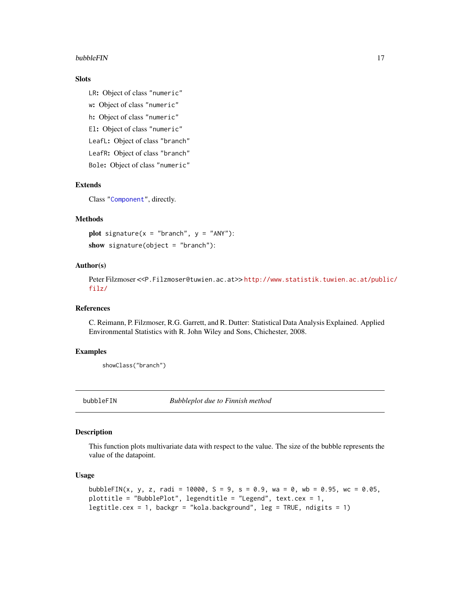#### <span id="page-16-0"></span>bubbleFIN 17

# Slots

LR: Object of class "numeric" w: Object of class "numeric" h: Object of class "numeric" El: Object of class "numeric" LeafL: Object of class "branch" LeafR: Object of class "branch" Bole: Object of class "numeric"

# Extends

Class ["Component"](#page-38-1), directly.

# Methods

plot signature( $x =$  "branch",  $y =$  "ANY"): show signature(object = "branch"):

#### Author(s)

Peter Filzmoser <<P.Filzmoser@tuwien.ac.at>> [http://www.statistik.tuwien.ac.at/publ](http://www.statistik.tuwien.ac.at/public/filz/)ic/ [filz/](http://www.statistik.tuwien.ac.at/public/filz/)

#### References

C. Reimann, P. Filzmoser, R.G. Garrett, and R. Dutter: Statistical Data Analysis Explained. Applied Environmental Statistics with R. John Wiley and Sons, Chichester, 2008.

# Examples

showClass("branch")

bubbleFIN *Bubbleplot due to Finnish method*

# **Description**

This function plots multivariate data with respect to the value. The size of the bubble represents the value of the datapoint.

#### Usage

```
bubbleFIN(x, y, z, radi = 10000, S = 9, s = 0.9, wa = 0, wb = 0.95, wc = 0.05,
plottitle = "BubblePlot", legendtitle = "Legend", text.cex = 1,
legtitle.cex = 1, backgr = "kola.background", leg = TRUE, ndigits = 1)
```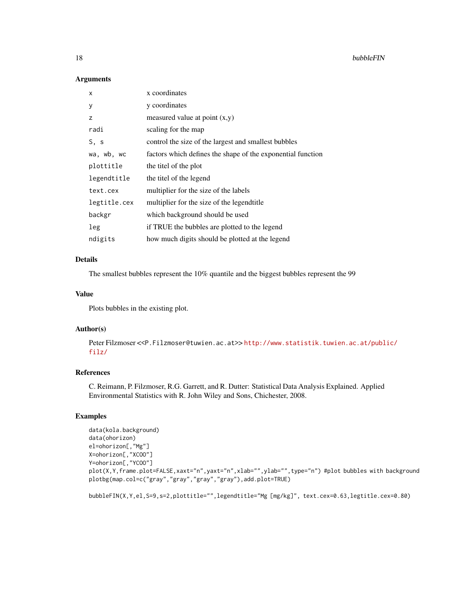#### Arguments

| X            | x coordinates                                               |
|--------------|-------------------------------------------------------------|
| у            | y coordinates                                               |
| Z            | measured value at point $(x,y)$                             |
| radi         | scaling for the map                                         |
| S, s         | control the size of the largest and smallest bubbles        |
| wa, wb, wc   | factors which defines the shape of the exponential function |
| plottitle    | the titel of the plot                                       |
| legendtitle  | the titel of the legend                                     |
| text.cex     | multiplier for the size of the labels                       |
| legtitle.cex | multiplier for the size of the legend title                 |
| backgr       | which background should be used                             |
| leg          | if TRUE the bubbles are plotted to the legend               |
| ndigits      | how much digits should be plotted at the legend             |

# Details

The smallest bubbles represent the 10% quantile and the biggest bubbles represent the 99

#### Value

Plots bubbles in the existing plot.

#### Author(s)

Peter Filzmoser <<P.Filzmoser@tuwien.ac.at>>[http://www.statistik.tuwien.ac.at/publ](http://www.statistik.tuwien.ac.at/public/filz/)ic/ [filz/](http://www.statistik.tuwien.ac.at/public/filz/)

# References

C. Reimann, P. Filzmoser, R.G. Garrett, and R. Dutter: Statistical Data Analysis Explained. Applied Environmental Statistics with R. John Wiley and Sons, Chichester, 2008.

## Examples

```
data(kola.background)
data(ohorizon)
el=ohorizon[,"Mg"]
X=ohorizon[,"XCOO"]
Y=ohorizon[,"YCOO"]
plot(X,Y,frame.plot=FALSE,xaxt="n",yaxt="n",xlab="",ylab="",type="n") #plot bubbles with background
plotbg(map.col=c("gray","gray","gray","gray"),add.plot=TRUE)
```
bubbleFIN(X,Y,el,S=9,s=2,plottitle="",legendtitle="Mg [mg/kg]", text.cex=0.63,legtitle.cex=0.80)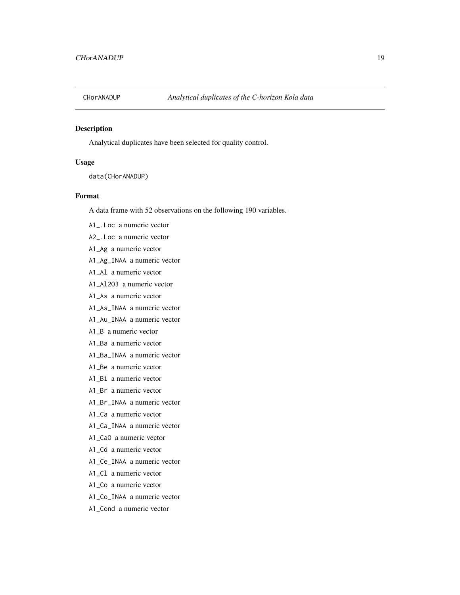<span id="page-18-0"></span>

# Description

Analytical duplicates have been selected for quality control.

#### Usage

data(CHorANADUP)

# Format

A data frame with 52 observations on the following 190 variables.

A1\_.Loc a numeric vector

A2\_.Loc a numeric vector

- A1\_Ag a numeric vector
- A1\_Ag\_INAA a numeric vector
- A1\_Al a numeric vector
- A1\_Al2O3 a numeric vector
- A1\_As a numeric vector
- A1\_As\_INAA a numeric vector
- A1\_Au\_INAA a numeric vector
- A1\_B a numeric vector
- A1\_Ba a numeric vector
- A1\_Ba\_INAA a numeric vector
- A1\_Be a numeric vector
- A1\_Bi a numeric vector
- A1\_Br a numeric vector
- A1\_Br\_INAA a numeric vector
- A1\_Ca a numeric vector
- A1\_Ca\_INAA a numeric vector
- A1\_CaO a numeric vector
- A1\_Cd a numeric vector
- A1\_Ce\_INAA a numeric vector
- A1\_Cl a numeric vector
- A1\_Co a numeric vector
- A1\_Co\_INAA a numeric vector
- A1\_Cond a numeric vector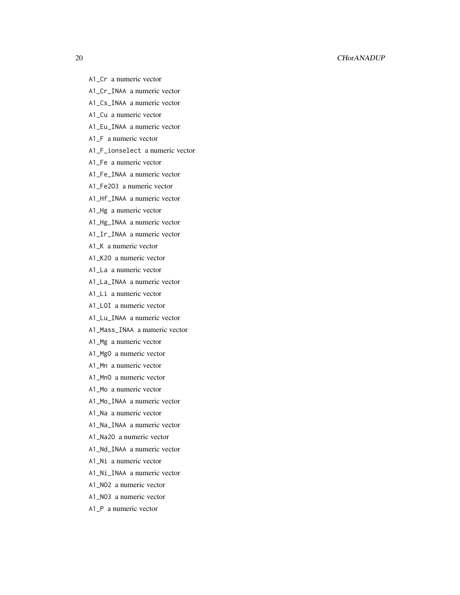- A1\_Cr a numeric vector
- A1\_Cr\_INAA a numeric vector
- A1\_Cs\_INAA a numeric vector
- A1\_Cu a numeric vector
- A1\_Eu\_INAA a numeric vector
- A1\_F a numeric vector
- A1\_F\_ionselect a numeric vector
- A1\_Fe a numeric vector
- A1\_Fe\_INAA a numeric vector
- A1\_Fe2O3 a numeric vector
- A1\_Hf\_INAA a numeric vector
- A1\_Hg a numeric vector
- A1\_Hg\_INAA a numeric vector
- A1\_Ir\_INAA a numeric vector
- A1\_K a numeric vector
- A1\_K2O a numeric vector
- A1\_La a numeric vector
- A1\_La\_INAA a numeric vector
- A1\_Li a numeric vector
- A1\_LOI a numeric vector
- A1\_Lu\_INAA a numeric vector
- A1\_Mass\_INAA a numeric vector
- A1\_Mg a numeric vector
- A1\_MgO a numeric vector
- A1\_Mn a numeric vector
- A1\_MnO a numeric vector
- A1\_Mo a numeric vector
- A1\_Mo\_INAA a numeric vector
- A1\_Na a numeric vector
- A1\_Na\_INAA a numeric vector
- A1\_Na2O a numeric vector
- A1\_Nd\_INAA a numeric vector
- A1\_Ni a numeric vector
- A1\_Ni\_INAA a numeric vector
- A1\_NO2 a numeric vector
- A1\_NO3 a numeric vector
- A1\_P a numeric vector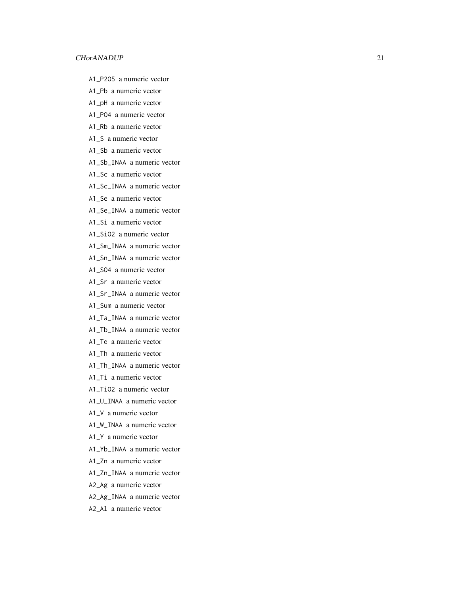- A1\_P2O5 a numeric vector
- A1\_Pb a numeric vector
- A1\_pH a numeric vector
- A1\_PO4 a numeric vector
- A1\_Rb a numeric vector
- A1\_S a numeric vector
- A1\_Sb a numeric vector
- A1\_Sb\_INAA a numeric vector
- A1\_Sc a numeric vector
- A1\_Sc\_INAA a numeric vector
- A1\_Se a numeric vector
- A1\_Se\_INAA a numeric vector
- A1\_Si a numeric vector
- A1\_SiO2 a numeric vector
- A1\_Sm\_INAA a numeric vector
- A1\_Sn\_INAA a numeric vector
- A1\_SO4 a numeric vector
- A1\_Sr a numeric vector
- A1\_Sr\_INAA a numeric vector
- A1\_Sum a numeric vector
- A1\_Ta\_INAA a numeric vector
- A1\_Tb\_INAA a numeric vector
- A1\_Te a numeric vector
- A1\_Th a numeric vector
- A1\_Th\_INAA a numeric vector
- A1\_Ti a numeric vector
- A1\_TiO2 a numeric vector
- A1\_U\_INAA a numeric vector
- A1\_V a numeric vector
- A1\_W\_INAA a numeric vector
- A1\_Y a numeric vector
- A1\_Yb\_INAA a numeric vector
- A1\_Zn a numeric vector
- A1\_Zn\_INAA a numeric vector
- A2\_Ag a numeric vector
- A2\_Ag\_INAA a numeric vector
- A2\_Al a numeric vector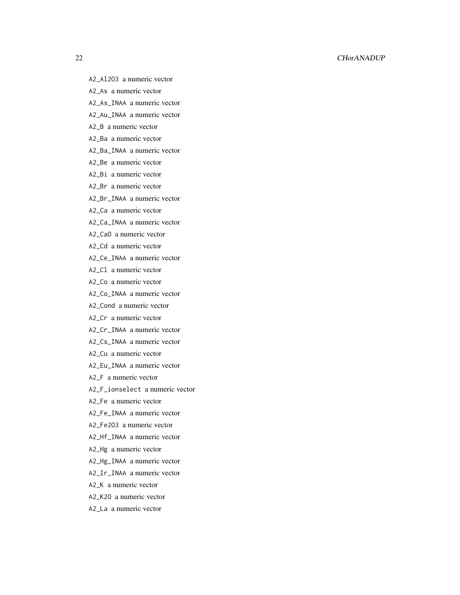- A2\_Al2O3 a numeric vector
- A2\_As a numeric vector
- A2\_As\_INAA a numeric vector
- A2\_Au\_INAA a numeric vector
- A2\_B a numeric vector
- A2\_Ba a numeric vector
- A2\_Ba\_INAA a numeric vector
- A2\_Be a numeric vector
- A2\_Bi a numeric vector
- A2\_Br a numeric vector
- A2\_Br\_INAA a numeric vector
- A2\_Ca a numeric vector
- A2\_Ca\_INAA a numeric vector
- A2\_CaO a numeric vector
- A2\_Cd a numeric vector
- A2\_Ce\_INAA a numeric vector
- A2\_Cl a numeric vector
- A2\_Co a numeric vector
- A2\_Co\_INAA a numeric vector
- A2\_Cond a numeric vector
- A2\_Cr a numeric vector
- A2\_Cr\_INAA a numeric vector
- A2\_Cs\_INAA a numeric vector
- A2\_Cu a numeric vector
- A2\_Eu\_INAA a numeric vector
- A2\_F a numeric vector
- A2\_F\_ionselect a numeric vector
- A2\_Fe a numeric vector
- A2\_Fe\_INAA a numeric vector
- A2\_Fe2O3 a numeric vector
- A2\_Hf\_INAA a numeric vector
- A2\_Hg a numeric vector
- A2\_Hg\_INAA a numeric vector
- A2\_Ir\_INAA a numeric vector
- A2\_K a numeric vector
- A2\_K2O a numeric vector
- A2\_La a numeric vector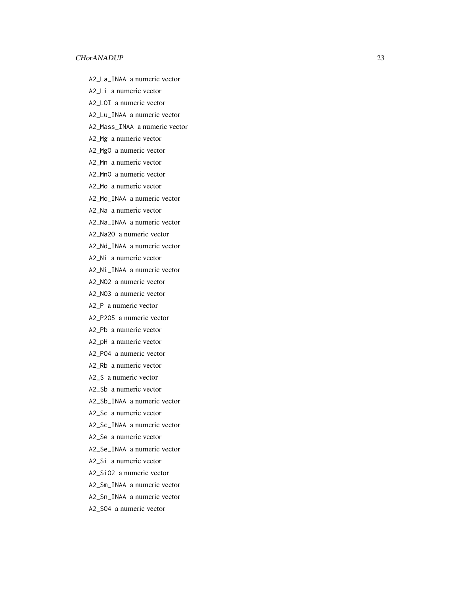A2\_La\_INAA a numeric vector

A2\_Li a numeric vector

A2\_LOI a numeric vector

A2\_Lu\_INAA a numeric vector

A2\_Mass\_INAA a numeric vector

A2\_Mg a numeric vector

A2\_MgO a numeric vector

A2\_Mn a numeric vector

A2\_MnO a numeric vector

A2\_Mo a numeric vector

A2\_Mo\_INAA a numeric vector

A2\_Na a numeric vector

A2\_Na\_INAA a numeric vector

A2\_Na2O a numeric vector

A2\_Nd\_INAA a numeric vector

A2\_Ni a numeric vector

A2\_Ni\_INAA a numeric vector

A2\_NO2 a numeric vector

A2\_NO3 a numeric vector

A2\_P a numeric vector

A2\_P2O5 a numeric vector

A2\_Pb a numeric vector

A2\_pH a numeric vector

A2\_PO4 a numeric vector

A2\_Rb a numeric vector

A2\_S a numeric vector

A2\_Sb a numeric vector

A2\_Sb\_INAA a numeric vector

A2\_Sc a numeric vector

A2\_Sc\_INAA a numeric vector

A2\_Se a numeric vector

A2\_Se\_INAA a numeric vector

A2\_Si a numeric vector

A2\_SiO2 a numeric vector

A2\_Sm\_INAA a numeric vector

A2\_Sn\_INAA a numeric vector

A2\_SO4 a numeric vector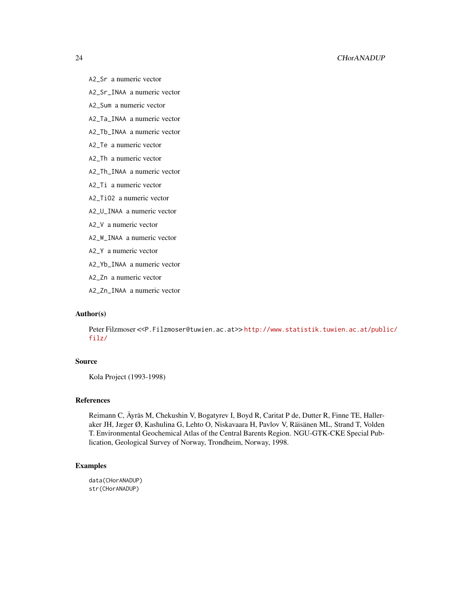- A2\_Sr a numeric vector
- A2\_Sr\_INAA a numeric vector
- A2\_Sum a numeric vector
- A2\_Ta\_INAA a numeric vector
- A2\_Tb\_INAA a numeric vector
- A2\_Te a numeric vector
- A2\_Th a numeric vector
- A2\_Th\_INAA a numeric vector
- A2\_Ti a numeric vector
- A2\_TiO2 a numeric vector
- A2\_U\_INAA a numeric vector
- A2\_V a numeric vector
- A2\_W\_INAA a numeric vector
- A2\_Y a numeric vector
- A2\_Yb\_INAA a numeric vector
- A2\_Zn a numeric vector
- A2\_Zn\_INAA a numeric vector

# Author(s)

Peter Filzmoser <<P.Filzmoser@tuwien.ac.at>> [http://www.statistik.tuwien.ac.at/publ](http://www.statistik.tuwien.ac.at/public/filz/)ic/ [filz/](http://www.statistik.tuwien.ac.at/public/filz/)

# Source

Kola Project (1993-1998)

# References

Reimann C, Äyräs M, Chekushin V, Bogatyrev I, Boyd R, Caritat P de, Dutter R, Finne TE, Halleraker JH, Jæger Ø, Kashulina G, Lehto O, Niskavaara H, Pavlov V, Räisänen ML, Strand T, Volden T. Environmental Geochemical Atlas of the Central Barents Region. NGU-GTK-CKE Special Publication, Geological Survey of Norway, Trondheim, Norway, 1998.

#### Examples

data(CHorANADUP) str(CHorANADUP)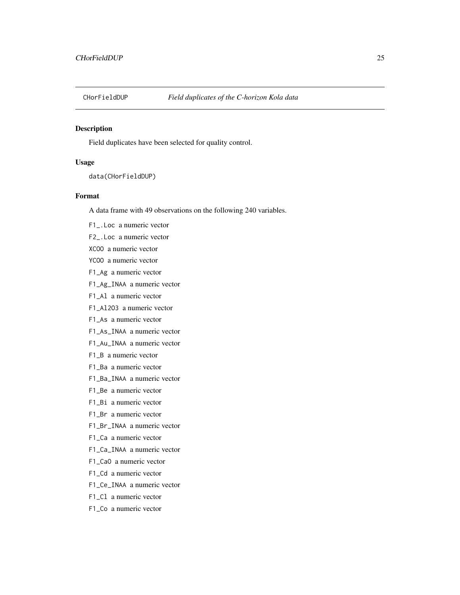<span id="page-24-0"></span>

# Description

Field duplicates have been selected for quality control.

# Usage

data(CHorFieldDUP)

# Format

A data frame with 49 observations on the following 240 variables.

F1\_.Loc a numeric vector

F2\_.Loc a numeric vector

XCOO a numeric vector

YCOO a numeric vector

F1\_Ag a numeric vector

F1\_Ag\_INAA a numeric vector

F1\_Al a numeric vector

F1\_Al2O3 a numeric vector

F1\_As a numeric vector

F1\_As\_INAA a numeric vector

F1\_Au\_INAA a numeric vector

F1\_B a numeric vector

F1\_Ba a numeric vector

F1\_Ba\_INAA a numeric vector

F1\_Be a numeric vector

F1\_Bi a numeric vector

F1\_Br a numeric vector

F1\_Br\_INAA a numeric vector

F1\_Ca a numeric vector

F1\_Ca\_INAA a numeric vector

F1\_CaO a numeric vector

F1\_Cd a numeric vector

F1\_Ce\_INAA a numeric vector

F1\_Cl a numeric vector

F1\_Co a numeric vector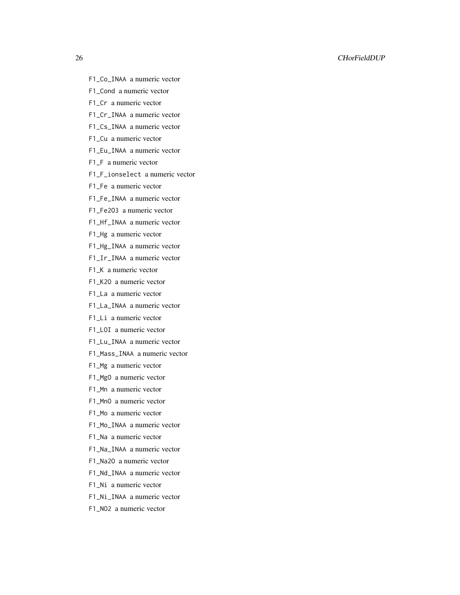#### 26 CHorFieldDUP

- F1\_Co\_INAA a numeric vector
- F1\_Cond a numeric vector
- F1\_Cr a numeric vector
- F1\_Cr\_INAA a numeric vector
- F1\_Cs\_INAA a numeric vector
- F1\_Cu a numeric vector
- F1\_Eu\_INAA a numeric vector
- F1\_F a numeric vector
- F1\_F\_ionselect a numeric vector
- F1\_Fe a numeric vector
- F1\_Fe\_INAA a numeric vector
- F1\_Fe2O3 a numeric vector
- F1\_Hf\_INAA a numeric vector
- F1\_Hg a numeric vector
- F1\_Hg\_INAA a numeric vector
- F1\_Ir\_INAA a numeric vector
- F1\_K a numeric vector
- F1\_K2O a numeric vector
- F1\_La a numeric vector
- F1\_La\_INAA a numeric vector
- F1\_Li a numeric vector
- F1\_LOI a numeric vector
- F1\_Lu\_INAA a numeric vector
- F1\_Mass\_INAA a numeric vector
- F1\_Mg a numeric vector
- F1\_MgO a numeric vector
- F1\_Mn a numeric vector
- F1\_MnO a numeric vector
- F1\_Mo a numeric vector
- F1\_Mo\_INAA a numeric vector
- F1\_Na a numeric vector
- F1\_Na\_INAA a numeric vector
- F1\_Na2O a numeric vector
- F1\_Nd\_INAA a numeric vector
- F1\_Ni a numeric vector
- F1\_Ni\_INAA a numeric vector
- F1\_NO2 a numeric vector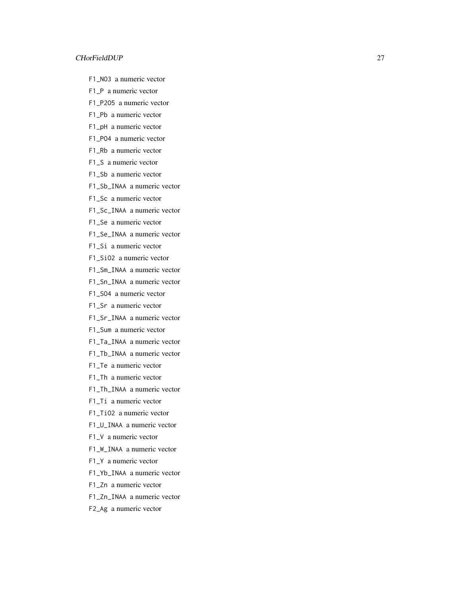- F1\_NO3 a numeric vector
- F1\_P a numeric vector
- F1\_P2O5 a numeric vector
- F1\_Pb a numeric vector
- F1\_pH a numeric vector
- F1\_PO4 a numeric vector
- F1\_Rb a numeric vector
- F1\_S a numeric vector
- F1\_Sb a numeric vector
- F1\_Sb\_INAA a numeric vector
- F1\_Sc a numeric vector
- F1\_Sc\_INAA a numeric vector
- F1\_Se a numeric vector
- F1\_Se\_INAA a numeric vector
- F1\_Si a numeric vector
- F1\_SiO2 a numeric vector
- F1\_Sm\_INAA a numeric vector
- F1\_Sn\_INAA a numeric vector
- F1\_SO4 a numeric vector
- F1\_Sr a numeric vector
- F1\_Sr\_INAA a numeric vector
- F1\_Sum a numeric vector
- F1\_Ta\_INAA a numeric vector
- F1\_Tb\_INAA a numeric vector
- F1\_Te a numeric vector
- F1\_Th a numeric vector
- F1\_Th\_INAA a numeric vector
- F1\_Ti a numeric vector
- F1\_TiO2 a numeric vector
- F1\_U\_INAA a numeric vector
- F1\_V a numeric vector
- F1\_W\_INAA a numeric vector
- F1\_Y a numeric vector
- F1\_Yb\_INAA a numeric vector
- F1\_Zn a numeric vector
- F1\_Zn\_INAA a numeric vector
- F2\_Ag a numeric vector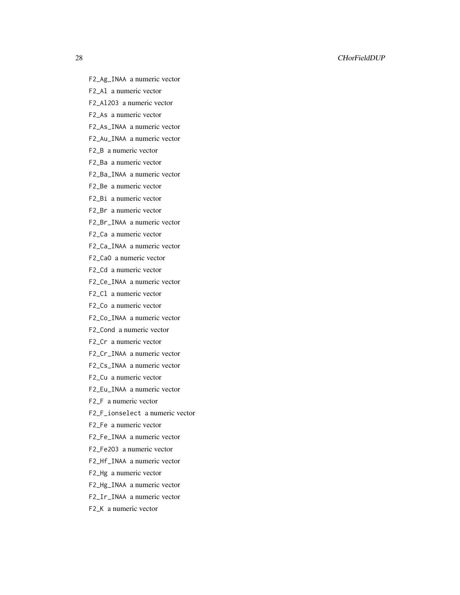#### 28 CHorFieldDUP

- F2\_Ag\_INAA a numeric vector
- F2\_Al a numeric vector
- F2\_Al2O3 a numeric vector
- F2\_As a numeric vector
- F2\_As\_INAA a numeric vector
- F2\_Au\_INAA a numeric vector
- F2\_B a numeric vector
- F2\_Ba a numeric vector
- F2\_Ba\_INAA a numeric vector
- F2\_Be a numeric vector
- F2\_Bi a numeric vector
- F2\_Br a numeric vector
- F2\_Br\_INAA a numeric vector
- F2\_Ca a numeric vector
- F2\_Ca\_INAA a numeric vector
- F2\_CaO a numeric vector
- F2\_Cd a numeric vector
- F2\_Ce\_INAA a numeric vector
- F2\_Cl a numeric vector
- F2\_Co a numeric vector
- F2\_Co\_INAA a numeric vector
- F2\_Cond a numeric vector
- F2\_Cr a numeric vector
- F2\_Cr\_INAA a numeric vector
- F2\_Cs\_INAA a numeric vector
- F2\_Cu a numeric vector
- F2\_Eu\_INAA a numeric vector
- F2\_F a numeric vector
- F2\_F\_ionselect a numeric vector
- F2\_Fe a numeric vector
- F2\_Fe\_INAA a numeric vector
- F2\_Fe2O3 a numeric vector
- F2\_Hf\_INAA a numeric vector
- F2\_Hg a numeric vector
- F2\_Hg\_INAA a numeric vector
- F2\_Ir\_INAA a numeric vector
- F2\_K a numeric vector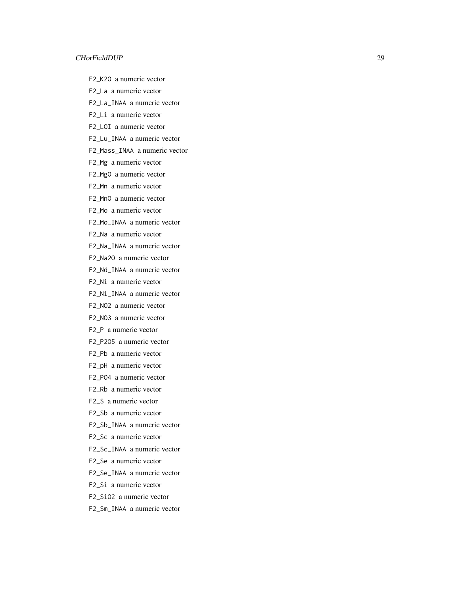F2\_K2O a numeric vector

F2\_La a numeric vector

F2\_La\_INAA a numeric vector

F2\_Li a numeric vector

F2\_LOI a numeric vector

F2\_Lu\_INAA a numeric vector

F2\_Mass\_INAA a numeric vector

F2\_Mg a numeric vector

F2\_MgO a numeric vector

F2\_Mn a numeric vector

F2\_MnO a numeric vector

F2\_Mo a numeric vector

F2\_Mo\_INAA a numeric vector

F2\_Na a numeric vector

F2\_Na\_INAA a numeric vector

F2\_Na2O a numeric vector

F2\_Nd\_INAA a numeric vector

F2\_Ni a numeric vector

F2\_Ni\_INAA a numeric vector

F2\_NO2 a numeric vector

F2\_NO3 a numeric vector

F2\_P a numeric vector

F2\_P2O5 a numeric vector

F2\_Pb a numeric vector

F2\_pH a numeric vector

F2\_PO4 a numeric vector

F2\_Rb a numeric vector

F2\_S a numeric vector

F2\_Sb a numeric vector

F2\_Sb\_INAA a numeric vector

F2\_Sc a numeric vector

F2\_Sc\_INAA a numeric vector

F2\_Se a numeric vector

F2\_Se\_INAA a numeric vector

F2\_Si a numeric vector

F2\_SiO2 a numeric vector

F2\_Sm\_INAA a numeric vector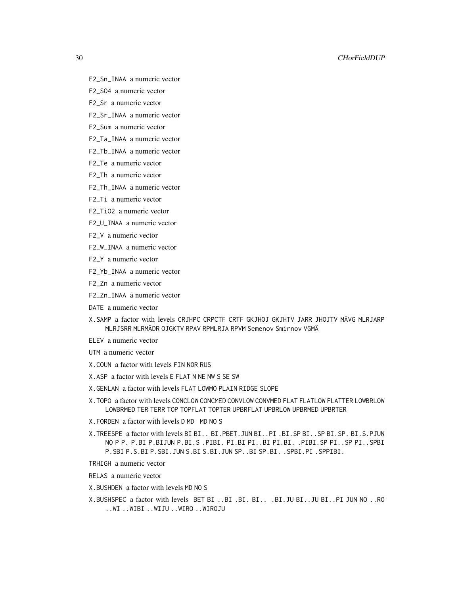- F2\_Sn\_INAA a numeric vector
- F2\_SO4 a numeric vector
- F2\_Sr a numeric vector
- F2\_Sr\_INAA a numeric vector
- F2\_Sum a numeric vector
- F2\_Ta\_INAA a numeric vector
- F2\_Tb\_INAA a numeric vector
- F2\_Te a numeric vector
- F2\_Th a numeric vector
- F2\_Th\_INAA a numeric vector
- F2\_Ti a numeric vector
- F2\_TiO2 a numeric vector
- F2\_U\_INAA a numeric vector
- F2\_V a numeric vector
- F2\_W\_INAA a numeric vector
- F2\_Y a numeric vector
- F2\_Yb\_INAA a numeric vector
- F2\_Zn a numeric vector
- F2\_Zn\_INAA a numeric vector
- DATE a numeric vector
- X.SAMP a factor with levels CRJHPC CRPCTF CRTF GKJHOJ GKJHTV JARR JHOJTV MÄVG MLRJARP MLRJSRR MLRMÄDR OJGKTV RPAV RPMLRJA RPVM Semenov Smirnov VGMÄ
- ELEV a numeric vector
- UTM a numeric vector
- X.COUN a factor with levels FIN NOR RUS
- X.ASP a factor with levels E FLAT N NE NW S SE SW
- X.GENLAN a factor with levels FLAT LOWMO PLAIN RIDGE SLOPE
- X.TOPO a factor with levels CONCLOW CONCMED CONVLOW CONVMED FLAT FLATLOW FLATTER LOWBRLOW LOWBRMED TER TERR TOP TOPFLAT TOPTER UPBRFLAT UPBRLOW UPBRMED UPBRTER
- X.FORDEN a factor with levels D MD MD NO S
- X.TREESPE a factor with levels BI BI.. BI.PBET.JUN BI..PI .BI.SP BI..SP BI.SP. BI.S.PJUN NO P P. P.BI P.BIJUN P.BI.S .PIBI. PI.BI PI..BI PI.BI. .PIBI.SP PI..SP PI..SPBI P.SBI P.S.BI P.SBI.JUN S.BI S.BI.JUN SP..BI SP.BI. .SPBI.PI .SPPIBI.
- TRHIGH a numeric vector
- RELAS a numeric vector
- X.BUSHDEN a factor with levels MD NO S
- X.BUSHSPEC a factor with levels BET BI ..BI .BI. BI.. .BI.JU BI..JU BI..PI JUN NO ..RO ..WI ..WIBI ..WIJU ..WIRO ..WIROJU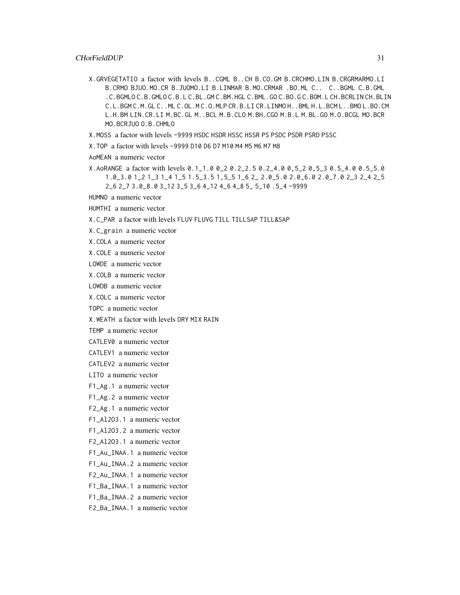- X.GRVEGETATIO a factor with levels B..CGML B..CH B.CO.GM B.CRCHMO.LIN B.CRGRMARMO.LI B.CRMO BJUO.MO.CR B.JUOMO.LI B.LINMAR B.MO.CRMAR .BO.ML C.. C..BGML C.B.GML .C.BGMLO C.B.GMLO C.B.L C.BL.GM C.BM.HGL C.BML.GO C.BO.G C.BOM.L CH.BCRLIN CH.BLIN C.L.BGM C.M.GL C..ML C.OL.M C.O.MLP CR.B.LI CR.LINMO H..BML H.L.BCM L..BMO L.BO.CM L.H.BM LIN.CR.LI M.BC.GL M..BCL M.B.CLO M.BH.CGO M.B.L M.BL.GO M.O.BCGL MO.BCR MO.BCRJUO O.B.CHMLO
- X.MOSS a factor with levels -9999 HSDC HSDR HSSC HSSR PS PSDC PSDR PSRD PSSC
- X.TOP a factor with levels -9999 D10 D6 D7 M10 M4 M5 M6 M7 M8
- AoMEAN a numeric vector
- X.AoRANGE a factor with levels 0.1\_1.0 0\_2 0.2\_2.5 0.2\_4.0 0,5\_2 0,5\_3 0.5\_4.0 0.5\_5.0 1.0\_3.0 1\_2 1\_3 1\_4 1\_5 1.5\_3.5 1,5\_5 1\_6 2\_ 2.0\_5.0 2.0\_6.0 2.0\_7.0 2\_3 2\_4 2\_5 2\_6 2\_7 3.0\_8.0 3\_12 3\_5 3\_6 4\_12 4\_6 4\_8 5\_ 5\_10 .5\_4 -9999

HUMNO a numeric vector

HUMTHI a numeric vector

#### X.C\_PAR a factor with levels FLUV FLUVG TILL TILLSAP TILL&SAP

X.C\_grain a numeric vector

X.COLA a numeric vector

- X.COLE a numeric vector
- LOWDE a numeric vector
- X.COLB a numeric vector
- LOWDB a numeric vector
- X.COLC a numeric vector

TOPC a numeric vector

- X.WEATH a factor with levels DRY MIX RAIN
- TEMP a numeric vector
- CATLEV0 a numeric vector
- CATLEV1 a numeric vector
- CATLEV2 a numeric vector
- LITO a numeric vector
- F1\_Ag.1 a numeric vector
- F1\_Ag.2 a numeric vector
- F2\_Ag.1 a numeric vector
- F1\_Al2O3.1 a numeric vector
- F1\_Al2O3.2 a numeric vector
- F2\_Al2O3.1 a numeric vector
- F1\_Au\_INAA.1 a numeric vector
- F1\_Au\_INAA.2 a numeric vector
- F2\_Au\_INAA.1 a numeric vector
- F1\_Ba\_INAA.1 a numeric vector
- F1\_Ba\_INAA.2 a numeric vector
- F2\_Ba\_INAA.1 a numeric vector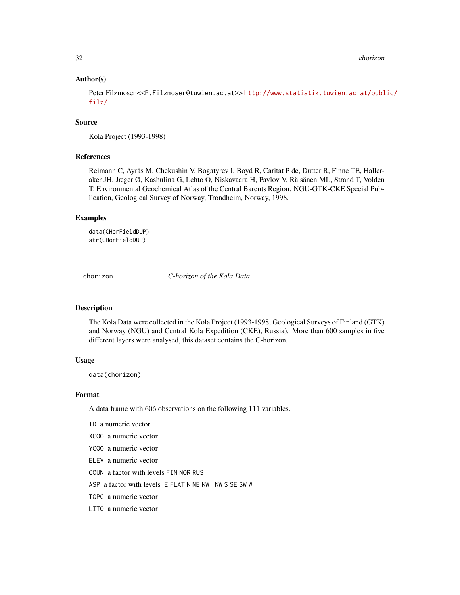<span id="page-31-0"></span>32 chorizon and the chorizon chorizon and the chorizon chorizon chorizon chorizon

# Author(s)

Peter Filzmoser <<P.Filzmoser@tuwien.ac.at>> [http://www.statistik.tuwien.ac.at/publ](http://www.statistik.tuwien.ac.at/public/filz/)ic/ [filz/](http://www.statistik.tuwien.ac.at/public/filz/)

#### Source

Kola Project (1993-1998)

#### References

Reimann C, Äyräs M, Chekushin V, Bogatyrev I, Boyd R, Caritat P de, Dutter R, Finne TE, Halleraker JH, Jæger Ø, Kashulina G, Lehto O, Niskavaara H, Pavlov V, Räisänen ML, Strand T, Volden T. Environmental Geochemical Atlas of the Central Barents Region. NGU-GTK-CKE Special Publication, Geological Survey of Norway, Trondheim, Norway, 1998.

#### Examples

data(CHorFieldDUP) str(CHorFieldDUP)

chorizon *C-horizon of the Kola Data*

#### Description

The Kola Data were collected in the Kola Project (1993-1998, Geological Surveys of Finland (GTK) and Norway (NGU) and Central Kola Expedition (CKE), Russia). More than 600 samples in five different layers were analysed, this dataset contains the C-horizon.

#### Usage

data(chorizon)

#### Format

A data frame with 606 observations on the following 111 variables.

ID a numeric vector

- XCOO a numeric vector
- YCOO a numeric vector
- ELEV a numeric vector
- COUN a factor with levels FIN NOR RUS

ASP a factor with levels E FLAT N NE NW NW S SE SW W

TOPC a numeric vector

LITO a numeric vector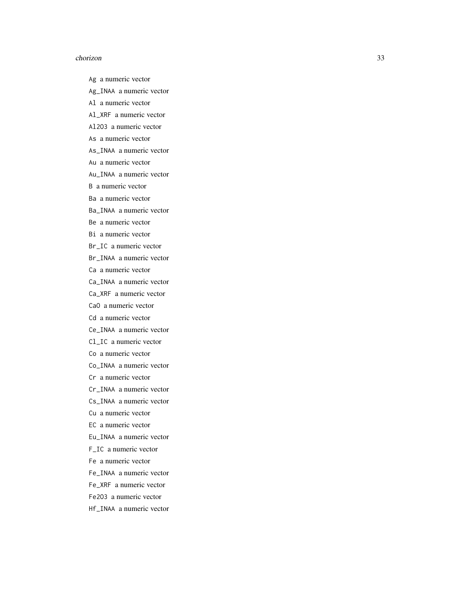#### chorizon 33

Ag a numeric vector

- Ag\_INAA a numeric vector
- Al a numeric vector
- Al\_XRF a numeric vector
- Al2O3 a numeric vector
- As a numeric vector
- As\_INAA a numeric vector
- Au a numeric vector
- Au\_INAA a numeric vector
- B a numeric vector
- Ba a numeric vector
- Ba\_INAA a numeric vector
- Be a numeric vector
- Bi a numeric vector
- Br\_IC a numeric vector
- Br\_INAA a numeric vector
- Ca a numeric vector
- Ca\_INAA a numeric vector
- Ca\_XRF a numeric vector
- CaO a numeric vector
- Cd a numeric vector
- Ce\_INAA a numeric vector
- Cl\_IC a numeric vector
- Co a numeric vector
- Co\_INAA a numeric vector
- Cr a numeric vector
- Cr\_INAA a numeric vector
- Cs\_INAA a numeric vector
- Cu a numeric vector
- EC a numeric vector
- Eu\_INAA a numeric vector
- F\_IC a numeric vector
- Fe a numeric vector
- Fe\_INAA a numeric vector
- Fe\_XRF a numeric vector
- Fe2O3 a numeric vector
- Hf\_INAA a numeric vector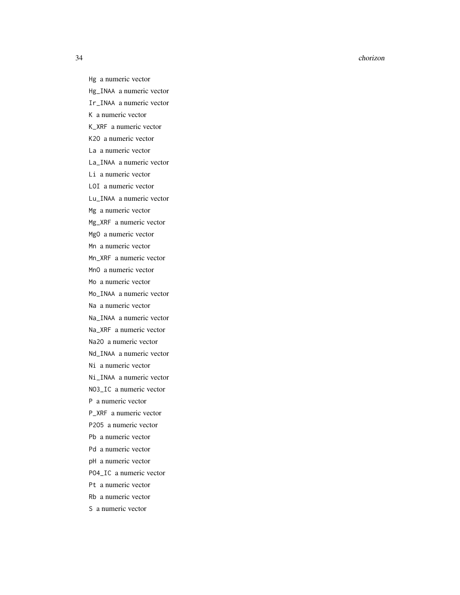#### 34 chorizon

Hg a numeric vector Hg\_INAA a numeric vector Ir\_INAA a numeric vector K a numeric vector K\_XRF a numeric vector K2O a numeric vector La a numeric vector La\_INAA a numeric vector Li a numeric vector LOI a numeric vector Lu\_INAA a numeric vector Mg a numeric vector Mg\_XRF a numeric vector MgO a numeric vector Mn a numeric vector Mn\_XRF a numeric vector MnO a numeric vector Mo a numeric vector Mo\_INAA a numeric vector Na a numeric vector Na\_INAA a numeric vector Na\_XRF a numeric vector Na2O a numeric vector Nd\_INAA a numeric vector Ni a numeric vector Ni\_INAA a numeric vector NO3\_IC a numeric vector P a numeric vector P\_XRF a numeric vector P2O5 a numeric vector Pb a numeric vector Pd a numeric vector pH a numeric vector PO4\_IC a numeric vector Pt a numeric vector Rb a numeric vector S a numeric vector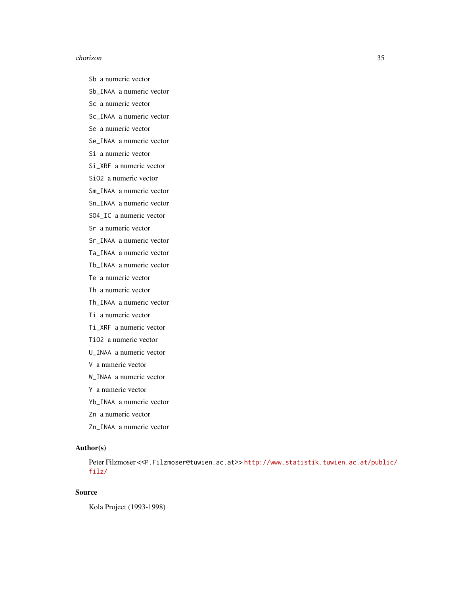#### chorizon 35

- Sb a numeric vector
- Sb\_INAA a numeric vector
- Sc a numeric vector
- Sc\_INAA a numeric vector
- Se a numeric vector
- Se\_INAA a numeric vector
- Si a numeric vector
- Si\_XRF a numeric vector
- SiO2 a numeric vector
- Sm\_INAA a numeric vector
- Sn\_INAA a numeric vector
- SO4\_IC a numeric vector
- Sr a numeric vector
- Sr\_INAA a numeric vector
- Ta\_INAA a numeric vector
- Tb\_INAA a numeric vector
- Te a numeric vector
- Th a numeric vector
- Th\_INAA a numeric vector
- Ti a numeric vector
- Ti\_XRF a numeric vector
- TiO2 a numeric vector
- U\_INAA a numeric vector
- V a numeric vector
- W\_INAA a numeric vector
- Y a numeric vector
- Yb\_INAA a numeric vector
- Zn a numeric vector
- Zn\_INAA a numeric vector

# Author(s)

Peter Filzmoser <<P.Filzmoser@tuwien.ac.at>> [http://www.statistik.tuwien.ac.at/publ](http://www.statistik.tuwien.ac.at/public/filz/)ic/ [filz/](http://www.statistik.tuwien.ac.at/public/filz/)

# Source

Kola Project (1993-1998)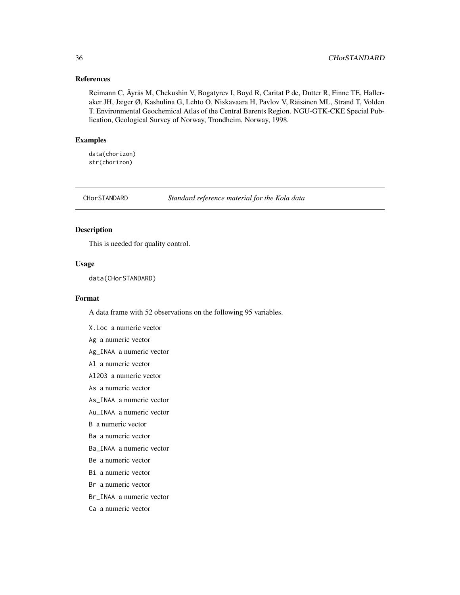#### <span id="page-35-0"></span>References

Reimann C, Äyräs M, Chekushin V, Bogatyrev I, Boyd R, Caritat P de, Dutter R, Finne TE, Halleraker JH, Jæger Ø, Kashulina G, Lehto O, Niskavaara H, Pavlov V, Räisänen ML, Strand T, Volden T. Environmental Geochemical Atlas of the Central Barents Region. NGU-GTK-CKE Special Publication, Geological Survey of Norway, Trondheim, Norway, 1998.

# Examples

data(chorizon) str(chorizon)

CHorSTANDARD *Standard reference material for the Kola data*

#### Description

This is needed for quality control.

# Usage

data(CHorSTANDARD)

#### Format

A data frame with 52 observations on the following 95 variables.

X.Loc a numeric vector

Ag a numeric vector

Ag\_INAA a numeric vector

- Al a numeric vector
- Al2O3 a numeric vector
- As a numeric vector
- As\_INAA a numeric vector
- Au\_INAA a numeric vector

B a numeric vector

- Ba a numeric vector
- Ba\_INAA a numeric vector
- Be a numeric vector
- Bi a numeric vector
- Br a numeric vector
- Br\_INAA a numeric vector
- Ca a numeric vector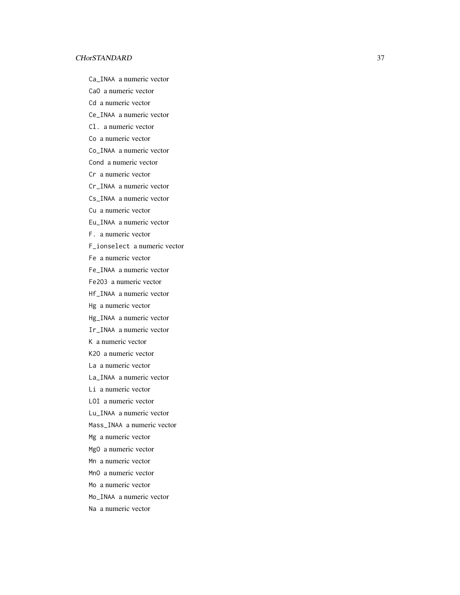Ca\_INAA a numeric vector

CaO a numeric vector

Cd a numeric vector

Ce\_INAA a numeric vector

Cl. a numeric vector

Co a numeric vector

Co\_INAA a numeric vector

Cond a numeric vector

Cr a numeric vector

Cr\_INAA a numeric vector

Cs\_INAA a numeric vector

Cu a numeric vector

Eu\_INAA a numeric vector

F. a numeric vector

F\_ionselect a numeric vector

Fe a numeric vector

Fe\_INAA a numeric vector

Fe2O3 a numeric vector

Hf\_INAA a numeric vector

Hg a numeric vector

Hg\_INAA a numeric vector

Ir\_INAA a numeric vector

K a numeric vector

K2O a numeric vector

La a numeric vector

La\_INAA a numeric vector

Li a numeric vector

LOI a numeric vector

Lu\_INAA a numeric vector

Mass\_INAA a numeric vector

Mg a numeric vector

MgO a numeric vector

Mn a numeric vector

MnO a numeric vector

Mo a numeric vector

Mo\_INAA a numeric vector

Na a numeric vector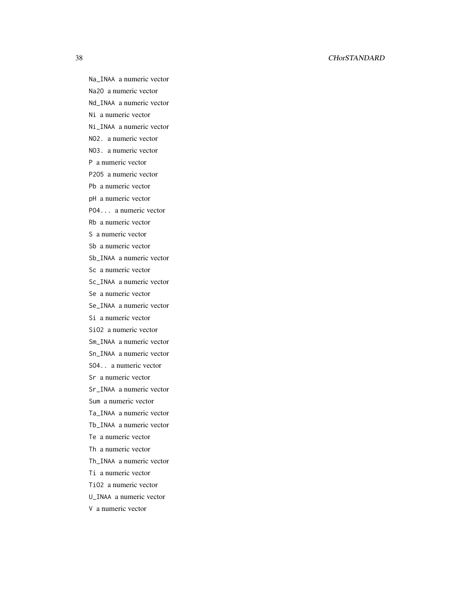## 38 CHorSTANDARD

Na\_INAA a numeric vector

Na2O a numeric vector

Nd\_INAA a numeric vector

Ni a numeric vector

Ni\_INAA a numeric vector

NO2. a numeric vector

NO3. a numeric vector

P a numeric vector

P2O5 a numeric vector

Pb a numeric vector

pH a numeric vector

PO4... a numeric vector

Rb a numeric vector

S a numeric vector

Sb a numeric vector

Sb\_INAA a numeric vector

Sc a numeric vector

Sc\_INAA a numeric vector

Se a numeric vector

Se\_INAA a numeric vector

Si a numeric vector

SiO2 a numeric vector

Sm\_INAA a numeric vector

Sn\_INAA a numeric vector

SO4.. a numeric vector

Sr a numeric vector

Sr\_INAA a numeric vector

Sum a numeric vector

Ta\_INAA a numeric vector

Tb\_INAA a numeric vector

Te a numeric vector

Th a numeric vector

Th\_INAA a numeric vector

Ti a numeric vector

TiO2 a numeric vector

U\_INAA a numeric vector

V a numeric vector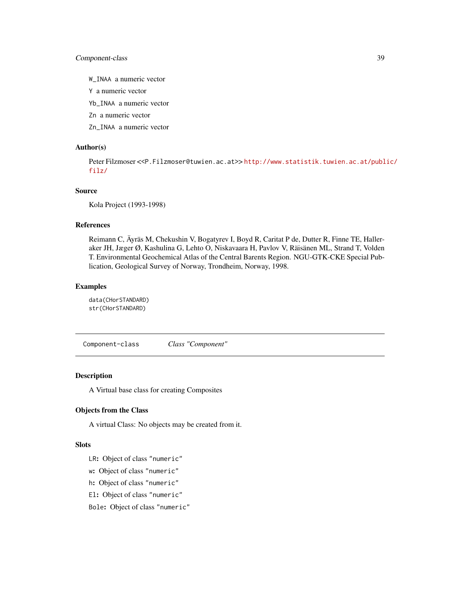# Component-class 39

W\_INAA a numeric vector

Y a numeric vector

Yb\_INAA a numeric vector

Zn a numeric vector

Zn\_INAA a numeric vector

## Author(s)

Peter Filzmoser <<P.Filzmoser@tuwien.ac.at>> [http://www.statistik.tuwien.ac.at/publ](http://www.statistik.tuwien.ac.at/public/filz/)ic/ [filz/](http://www.statistik.tuwien.ac.at/public/filz/)

# Source

Kola Project (1993-1998)

## References

Reimann C, Äyräs M, Chekushin V, Bogatyrev I, Boyd R, Caritat P de, Dutter R, Finne TE, Halleraker JH, Jæger Ø, Kashulina G, Lehto O, Niskavaara H, Pavlov V, Räisänen ML, Strand T, Volden T. Environmental Geochemical Atlas of the Central Barents Region. NGU-GTK-CKE Special Publication, Geological Survey of Norway, Trondheim, Norway, 1998.

#### Examples

data(CHorSTANDARD) str(CHorSTANDARD)

Component-class *Class "Component"*

# Description

A Virtual base class for creating Composites

#### Objects from the Class

A virtual Class: No objects may be created from it.

#### **Slots**

LR: Object of class "numeric"

- w: Object of class "numeric"
- h: Object of class "numeric"
- El: Object of class "numeric"
- Bole: Object of class "numeric"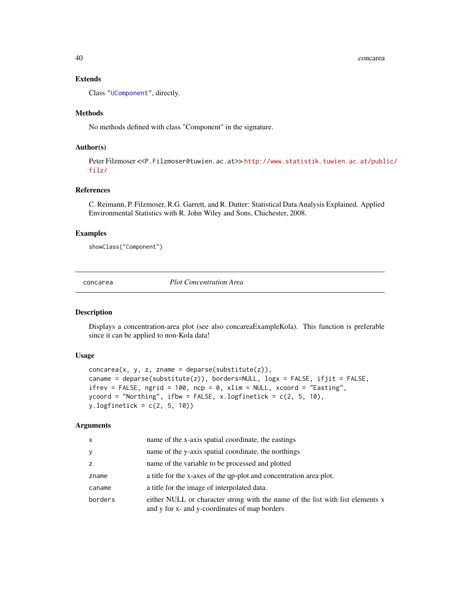40 concarea

# Extends

Class ["UComponent"](#page-110-0), directly.

## Methods

No methods defined with class "Component" in the signature.

# Author(s)

Peter Filzmoser <<P.Filzmoser@tuwien.ac.at>> [http://www.statistik.tuwien.ac.at/publ](http://www.statistik.tuwien.ac.at/public/filz/)ic/ [filz/](http://www.statistik.tuwien.ac.at/public/filz/)

# References

C. Reimann, P. Filzmoser, R.G. Garrett, and R. Dutter: Statistical Data Analysis Explained. Applied Environmental Statistics with R. John Wiley and Sons, Chichester, 2008.

### Examples

showClass("Component")

<span id="page-39-0"></span>concarea *Plot Concentration Area*

### Description

Displays a concentration-area plot (see also concareaExampleKola). This function is preferable since it can be applied to non-Kola data!

# Usage

```
concarea(x, y, z, z) zname = deparse(substitute(z)),
caname = deparse(substitute(z)), borders=NULL, logx = FALSE, ifjit = FALSE,
ifrev = FALSE, ngrid = 100, ncp = 0, xlim = NULL, xcoord = "Easting",
ycoord = "Northing", ifbw = FALSE, x.logfinetick = c(2, 5, 10),
y.logfinetick = c(2, 5, 10)
```
## Arguments

| x       | name of the x-axis spatial coordinate, the eastings                                                                             |
|---------|---------------------------------------------------------------------------------------------------------------------------------|
| y       | name of the y-axis spatial coordinate, the northings                                                                            |
| Z.      | name of the variable to be processed and plotted                                                                                |
| zname   | a title for the x-axes of the qp-plot and concentration area plot.                                                              |
| caname  | a title for the image of interpolated data.                                                                                     |
| borders | either NULL or character string with the name of the list with list elements x<br>and y for x- and y-coordinates of map borders |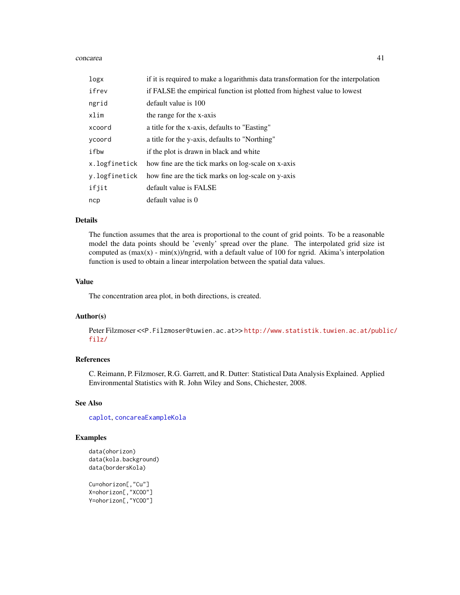#### concarea 41

| logx          | if it is required to make a logarithmis data transformation for the interpolation |
|---------------|-----------------------------------------------------------------------------------|
| ifrev         | if FALSE the empirical function ist plotted from highest value to lowest          |
| ngrid         | default value is 100                                                              |
| xlim          | the range for the x-axis                                                          |
| xcoord        | a title for the x-axis, defaults to "Easting"                                     |
| ycoord        | a title for the y-axis, defaults to "Northing"                                    |
| ifbw          | if the plot is drawn in black and white                                           |
| x.logfinetick | how fine are the tick marks on log-scale on x-axis                                |
| y.logfinetick | how fine are the tick marks on log-scale on y-axis                                |
| ifjit         | default value is FALSE                                                            |
| ncp           | default value is 0                                                                |

#### Details

The function assumes that the area is proportional to the count of grid points. To be a reasonable model the data points should be 'evenly' spread over the plane. The interpolated grid size ist computed as  $(\max(x) - \min(x))/\eta$  ngrid, with a default value of 100 for ngrid. Akima's interpolation function is used to obtain a linear interpolation between the spatial data values.

#### Value

The concentration area plot, in both directions, is created.

## Author(s)

Peter Filzmoser <<P.Filzmoser@tuwien.ac.at>> [http://www.statistik.tuwien.ac.at/publ](http://www.statistik.tuwien.ac.at/public/filz/)ic/ [filz/](http://www.statistik.tuwien.ac.at/public/filz/)

# References

C. Reimann, P. Filzmoser, R.G. Garrett, and R. Dutter: Statistical Data Analysis Explained. Applied Environmental Statistics with R. John Wiley and Sons, Chichester, 2008.

# See Also

[caplot](#page-0-0), [concareaExampleKola](#page-41-0)

## Examples

```
data(ohorizon)
data(kola.background)
data(bordersKola)
Cu=ohorizon[,"Cu"]
```

```
X=ohorizon[,"XCOO"]
Y=ohorizon[,"YCOO"]
```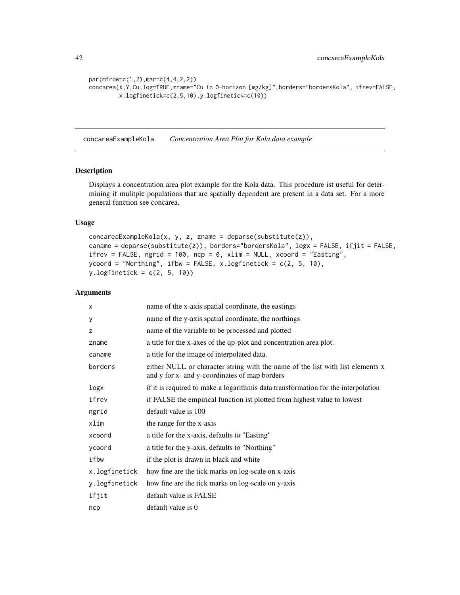```
par(mfrow=c(1,2),mar=c(4,4,2,2))
concarea(X,Y,Cu,log=TRUE,zname="Cu in O-horizon [mg/kg]",borders="bordersKola", ifrev=FALSE,
        x.logfinetick=c(2,5,10),y.logfinetick=c(10))
```
<span id="page-41-0"></span>concareaExampleKola *Concentration Area Plot for Kola data example*

#### Description

Displays a concentration area plot example for the Kola data. This procedure ist useful for determining if mulitple populations that are spatially dependent are present in a data set. For a more general function see concarea.

# Usage

```
concareaExampleKola(x, y, z, z) zname = deparse(substitute(z)),
caname = deparse(substitute(z)), borders="bordersKola", logx = FALSE, ifjit = FALSE,
ifrev = FALSE, ngrid = 100, ncp = 0, xlim = NULL, xcoord = "Easting",
ycoord = "Northing", ifbw = FALSE, x.logfinetick = c(2, 5, 10),
y.logfinetick = c(2, 5, 10))
```
### Arguments

| X             | name of the x-axis spatial coordinate, the eastings                                                                             |
|---------------|---------------------------------------------------------------------------------------------------------------------------------|
| у             | name of the y-axis spatial coordinate, the northings                                                                            |
| z             | name of the variable to be processed and plotted                                                                                |
| zname         | a title for the x-axes of the qp-plot and concentration area plot.                                                              |
| caname        | a title for the image of interpolated data.                                                                                     |
| borders       | either NULL or character string with the name of the list with list elements x<br>and y for x- and y-coordinates of map borders |
| logx          | if it is required to make a logarithmis data transformation for the interpolation                                               |
| ifrev         | if FALSE the empirical function ist plotted from highest value to lowest                                                        |
| ngrid         | default value is 100                                                                                                            |
| xlim          | the range for the x-axis                                                                                                        |
| xcoord        | a title for the x-axis, defaults to "Easting"                                                                                   |
| ycoord        | a title for the y-axis, defaults to "Northing"                                                                                  |
| ifbw          | if the plot is drawn in black and white                                                                                         |
| x.logfinetick | how fine are the tick marks on log-scale on x-axis                                                                              |
| y.logfinetick | how fine are the tick marks on log-scale on y-axis                                                                              |
| ifjit         | default value is FALSE                                                                                                          |
| ncp           | default value is 0                                                                                                              |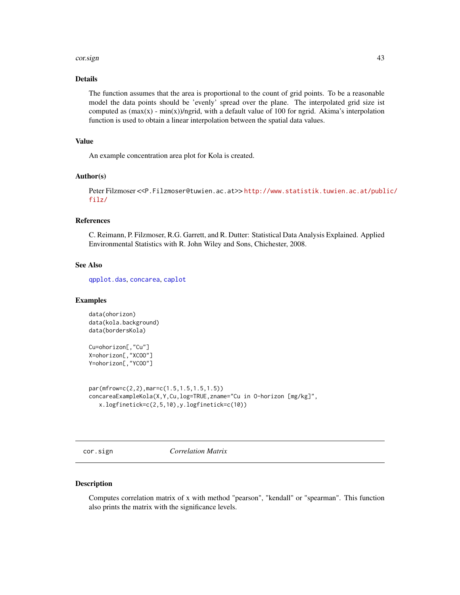#### cor.sign **43**

# Details

The function assumes that the area is proportional to the count of grid points. To be a reasonable model the data points should be 'evenly' spread over the plane. The interpolated grid size ist computed as (max(x) - min(x))/ngrid, with a default value of 100 for ngrid. Akima's interpolation function is used to obtain a linear interpolation between the spatial data values.

# Value

An example concentration area plot for Kola is created.

#### Author(s)

Peter Filzmoser <<P.Filzmoser@tuwien.ac.at>> [http://www.statistik.tuwien.ac.at/publ](http://www.statistik.tuwien.ac.at/public/filz/)ic/ [filz/](http://www.statistik.tuwien.ac.at/public/filz/)

## References

C. Reimann, P. Filzmoser, R.G. Garrett, and R. Dutter: Statistical Data Analysis Explained. Applied Environmental Statistics with R. John Wiley and Sons, Chichester, 2008.

### See Also

[qpplot.das](#page-75-0), [concarea](#page-39-0), [caplot](#page-0-0)

### Examples

data(ohorizon) data(kola.background) data(bordersKola)

Cu=ohorizon[,"Cu"] X=ohorizon[,"XCOO"] Y=ohorizon[,"YCOO"]

```
par(mfrow=c(2,2),mar=c(1.5,1.5,1.5,1.5))
concareaExampleKola(X,Y,Cu,log=TRUE,zname="Cu in O-horizon [mg/kg]",
   x.logfinetick=c(2,5,10),y.logfinetick=c(10))
```
cor.sign *Correlation Matrix*

#### Description

Computes correlation matrix of x with method "pearson", "kendall" or "spearman". This function also prints the matrix with the significance levels.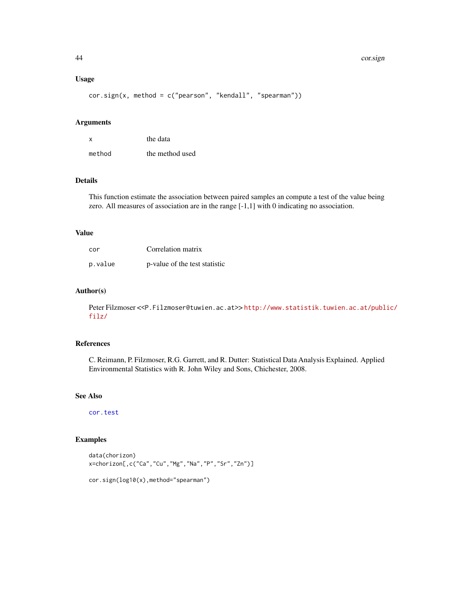## Usage

cor.sign(x, method = c("pearson", "kendall", "spearman"))

#### Arguments

| X      | the data        |
|--------|-----------------|
| method | the method used |

## Details

This function estimate the association between paired samples an compute a test of the value being zero. All measures of association are in the range [-1,1] with 0 indicating no association.

#### Value

| cor     | Correlation matrix            |
|---------|-------------------------------|
| p.value | p-value of the test statistic |

#### Author(s)

Peter Filzmoser <<P.Filzmoser@tuwien.ac.at>>[http://www.statistik.tuwien.ac.at/publ](http://www.statistik.tuwien.ac.at/public/filz/)ic/ [filz/](http://www.statistik.tuwien.ac.at/public/filz/)

# References

C. Reimann, P. Filzmoser, R.G. Garrett, and R. Dutter: Statistical Data Analysis Explained. Applied Environmental Statistics with R. John Wiley and Sons, Chichester, 2008.

## See Also

[cor.test](#page-0-0)

# Examples

```
data(chorizon)
x=chorizon[,c("Ca","Cu","Mg","Na","P","Sr","Zn")]
```

```
cor.sign(log10(x),method="spearman")
```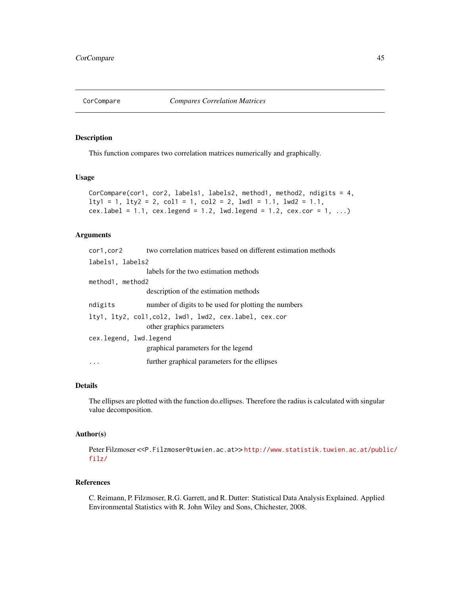## Description

This function compares two correlation matrices numerically and graphically.

# Usage

```
CorCompare(cor1, cor2, labels1, labels2, method1, method2, ndigits = 4,
lty1 = 1, lty2 = 2, col1 = 1, col2 = 2, lwd1 = 1.1, lwd2 = 1.1,
cex. label = 1.1, cex. legend = 1.2, lwd. legend = 1.2, cex. cor = 1, ...)
```
# Arguments

|                        | cor1, cor2 two correlation matrices based on different estimation methods           |
|------------------------|-------------------------------------------------------------------------------------|
| labels1, labels2       |                                                                                     |
|                        | labels for the two estimation methods                                               |
| method1, method2       |                                                                                     |
|                        | description of the estimation methods                                               |
| ndigits                | number of digits to be used for plotting the numbers                                |
|                        | lty1, lty2, col1, col2, lwd1, lwd2, cex.label, cex.cor<br>other graphics parameters |
| cex.legend, lwd.legend | graphical parameters for the legend                                                 |
|                        | further graphical parameters for the ellipses                                       |

# Details

The ellipses are plotted with the function do.ellipses. Therefore the radius is calculated with singular value decomposition.

#### Author(s)

Peter Filzmoser <<P.Filzmoser@tuwien.ac.at>> [http://www.statistik.tuwien.ac.at/publ](http://www.statistik.tuwien.ac.at/public/filz/)ic/ [filz/](http://www.statistik.tuwien.ac.at/public/filz/)

# References

C. Reimann, P. Filzmoser, R.G. Garrett, and R. Dutter: Statistical Data Analysis Explained. Applied Environmental Statistics with R. John Wiley and Sons, Chichester, 2008.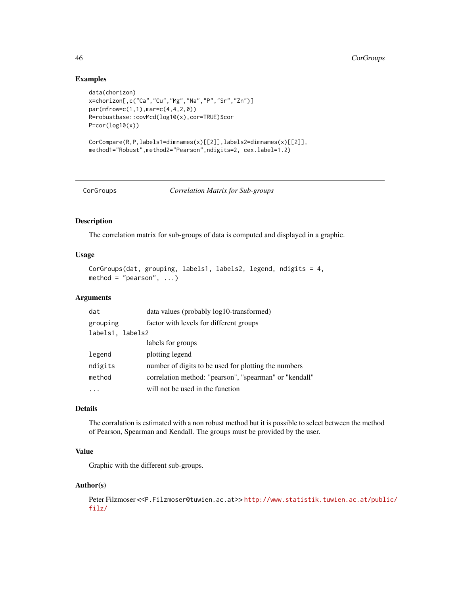## Examples

```
data(chorizon)
x=chorizon[,c("Ca","Cu","Mg","Na","P","Sr","Zn")]
par(mfrow=c(1,1),mar=c(4,4,2,0))
R=robustbase::covMcd(log10(x),cor=TRUE)$cor
P=cor(log10(x))CorCompare(R,P,labels1=dimnames(x)[[2]],labels2=dimnames(x)[[2]],
method1="Robust",method2="Pearson",ndigits=2, cex.label=1.2)
```
CorGroups *Correlation Matrix for Sub-groups*

### Description

The correlation matrix for sub-groups of data is computed and displayed in a graphic.

### Usage

```
CorGroups(dat, grouping, labels1, labels2, legend, ndigits = 4,
method = "pearson", ...)
```
## **Arguments**

| dat              | data values (probably log10-transformed)               |
|------------------|--------------------------------------------------------|
| grouping         | factor with levels for different groups                |
| labels1, labels2 |                                                        |
|                  | labels for groups                                      |
| legend           | plotting legend                                        |
| ndigits          | number of digits to be used for plotting the numbers   |
| method           | correlation method: "pearson", "spearman" or "kendall" |
|                  | will not be used in the function                       |

# Details

The corralation is estimated with a non robust method but it is possible to select between the method of Pearson, Spearman and Kendall. The groups must be provided by the user.

# Value

Graphic with the different sub-groups.

#### Author(s)

Peter Filzmoser <<P.Filzmoser@tuwien.ac.at>> [http://www.statistik.tuwien.ac.at/publ](http://www.statistik.tuwien.ac.at/public/filz/)ic/ [filz/](http://www.statistik.tuwien.ac.at/public/filz/)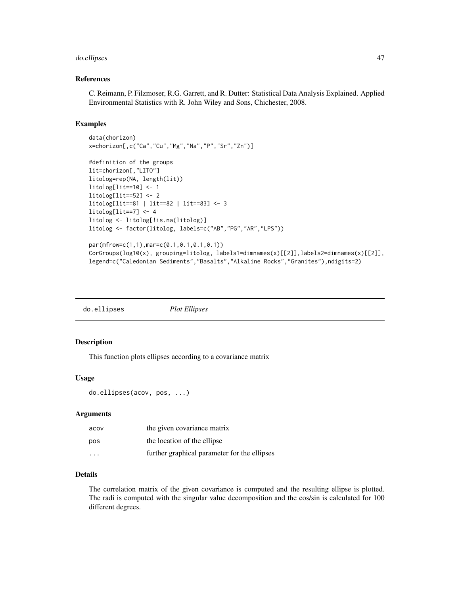#### do.ellipses 47

### References

C. Reimann, P. Filzmoser, R.G. Garrett, and R. Dutter: Statistical Data Analysis Explained. Applied Environmental Statistics with R. John Wiley and Sons, Chichester, 2008.

# Examples

```
data(chorizon)
x=chorizon[,c("Ca","Cu","Mg","Na","P","Sr","Zn")]
#definition of the groups
lit=chorizon[,"LITO"]
litolog=rep(NA, length(lit))
litolog[lit==10] <- 1
litolog[lit==52] <- 2
litolog[lit==81 | lit==82 | lit==83] <- 3
litolog[i]=7] < -4litolog <- litolog[!is.na(litolog)]
litolog <- factor(litolog, labels=c("AB","PG","AR","LPS"))
par(mfrow=c(1,1),mar=c(0.1,0.1,0.1,0.1))
CorGroups(log10(x), grouping=litolog, labels1=dimnames(x)[[2]],labels2=dimnames(x)[[2]],
legend=c("Caledonian Sediments","Basalts","Alkaline Rocks","Granites"),ndigits=2)
```
do.ellipses *Plot Ellipses*

# Description

This function plots ellipses according to a covariance matrix

#### Usage

```
do.ellipses(acov, pos, ...)
```
### Arguments

| acov    | the given covariance matrix                  |
|---------|----------------------------------------------|
| pos     | the location of the ellipse                  |
| $\cdot$ | further graphical parameter for the ellipses |

# Details

The correlation matrix of the given covariance is computed and the resulting ellipse is plotted. The radi is computed with the singular value decomposition and the cos/sin is calculated for 100 different degrees.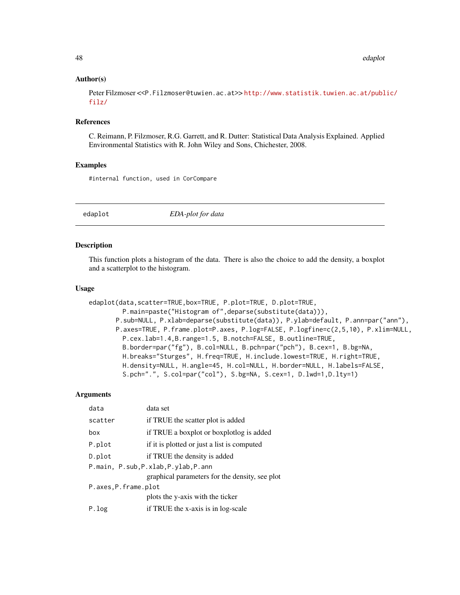## Author(s)

Peter Filzmoser <<P.Filzmoser@tuwien.ac.at>> [http://www.statistik.tuwien.ac.at/publ](http://www.statistik.tuwien.ac.at/public/filz/)ic/ [filz/](http://www.statistik.tuwien.ac.at/public/filz/)

### References

C. Reimann, P. Filzmoser, R.G. Garrett, and R. Dutter: Statistical Data Analysis Explained. Applied Environmental Statistics with R. John Wiley and Sons, Chichester, 2008.

# Examples

#internal function, used in CorCompare

edaplot *EDA-plot for data*

#### **Description**

This function plots a histogram of the data. There is also the choice to add the density, a boxplot and a scatterplot to the histogram.

### Usage

```
edaplot(data,scatter=TRUE,box=TRUE, P.plot=TRUE, D.plot=TRUE,
        P.main=paste("Histogram of",deparse(substitute(data))),
       P.sub=NULL, P.xlab=deparse(substitute(data)), P.ylab=default, P.ann=par("ann"),
       P.axes=TRUE, P.frame.plot=P.axes, P.log=FALSE, P.logfine=c(2,5,10), P.xlim=NULL,
         P.cex.lab=1.4,B.range=1.5, B.notch=FALSE, B.outline=TRUE,
        B.border=par("fg"), B.col=NULL, B.pch=par("pch"), B.cex=1, B.bg=NA,
        H.breaks="Sturges", H.freq=TRUE, H.include.lowest=TRUE, H.right=TRUE,
        H.density=NULL, H.angle=45, H.col=NULL, H.border=NULL, H.labels=FALSE,
        S.pch=".", S.col=par("col"), S.bg=NA, S.cex=1, D.lwd=1,D.lty=1)
```
#### **Arguments**

| data                                 | data set                                       |
|--------------------------------------|------------------------------------------------|
| scatter                              | if TRUE the scatter plot is added              |
| box                                  | if TRUE a boxplot or boxplotlog is added       |
| P.plot                               | if it is plotted or just a list is computed    |
| D.plot                               | if TRUE the density is added                   |
| P.main, P.sub, P.xlab, P.ylab, P.ann |                                                |
|                                      | graphical parameters for the density, see plot |
| P.axes, P.frame.plot                 |                                                |
|                                      | plots the y-axis with the ticker               |
| P.log                                | if TRUE the x-axis is in log-scale             |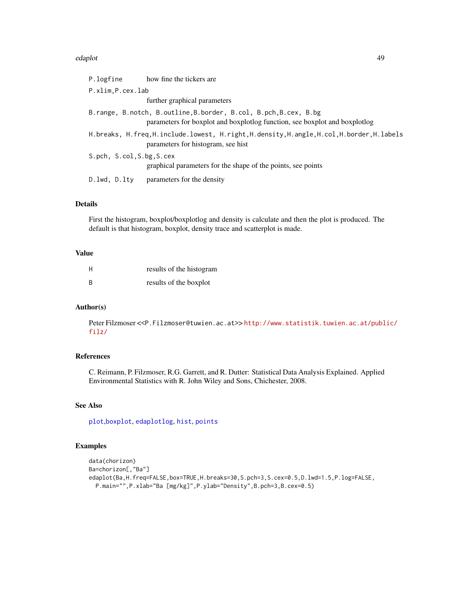#### edaplot the contract of the contract of the contract of the contract of the contract of the contract of the contract of the contract of the contract of the contract of the contract of the contract of the contract of the co

| P.logfine                 | how fine the tickers are                                                                                                                       |
|---------------------------|------------------------------------------------------------------------------------------------------------------------------------------------|
| P.xlim, P.cex.lab         |                                                                                                                                                |
|                           | further graphical parameters                                                                                                                   |
|                           | B.range, B.notch, B.outline, B.border, B.col, B.pch, B.cex, B.bg<br>parameters for boxplot and boxplotlog function, see boxplot and boxplotlog |
|                           | H.breaks, H.freq,H.include.lowest, H.right,H.density,H.angle,H.col,H.border,H.labels<br>parameters for histogram, see hist                     |
| S.pch, S.col, S.bg, S.cex | graphical parameters for the shape of the points, see points                                                                                   |
| D.lwd, D.lty              | parameters for the density                                                                                                                     |

# Details

First the histogram, boxplot/boxplotlog and density is calculate and then the plot is produced. The default is that histogram, boxplot, density trace and scatterplot is made.

## Value

| H | results of the histogram |
|---|--------------------------|
| B | results of the boxplot   |

## Author(s)

Peter Filzmoser <<P.Filzmoser@tuwien.ac.at>>[http://www.statistik.tuwien.ac.at/publ](http://www.statistik.tuwien.ac.at/public/filz/)ic/ [filz/](http://www.statistik.tuwien.ac.at/public/filz/)

# References

C. Reimann, P. Filzmoser, R.G. Garrett, and R. Dutter: Statistical Data Analysis Explained. Applied Environmental Statistics with R. John Wiley and Sons, Chichester, 2008.

# See Also

[plot](#page-0-0),[boxplot](#page-0-0), [edaplotlog](#page-49-0), [hist](#page-0-0), [points](#page-0-0)

# Examples

```
data(chorizon)
Ba=chorizon[,"Ba"]
edaplot(Ba,H.freq=FALSE,box=TRUE,H.breaks=30,S.pch=3,S.cex=0.5,D.lwd=1.5,P.log=FALSE,
  P.main="",P.xlab="Ba [mg/kg]",P.ylab="Density",B.pch=3,B.cex=0.5)
```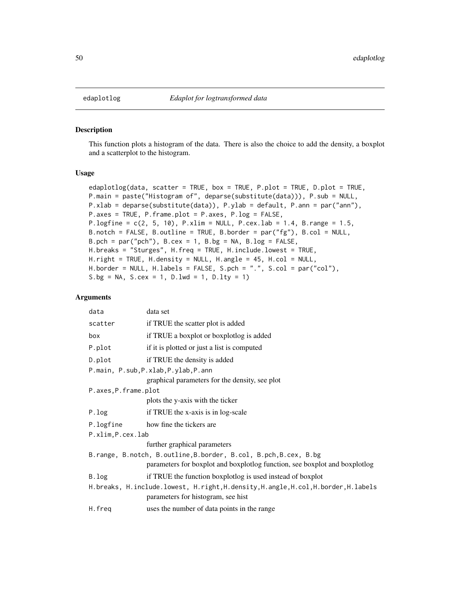#### Description

This function plots a histogram of the data. There is also the choice to add the density, a boxplot and a scatterplot to the histogram.

# Usage

```
edaplotlog(data, scatter = TRUE, box = TRUE, P.plot = TRUE, D.plot = TRUE,
P.main = paste("Histogram of", deparse(substitute(data))), P.sub = NULL,
P.xlab = deparse(substitute(data)), P.ylab = default, P.ann = par("ann"),
P.axes = TRUE, P.frame.plot = P.axes, P.log = FALSE,
P.logfine = c(2, 5, 10), P.xlim = NULL, P.cex.lab = 1.4, B.range = 1.5,
B.notch = FALSE, B.outline = TRUE, B.border = par("fg"), B.col = NULL,
B. pch = par("pch"), B. cex = 1, B. bg = NA, B. log = FALSE,
H.breaks = "Sturges", H.freq = TRUE, H.include.lowest = TRUE,
H.right = TRUE, H.density = NULL, H.angle = 45, H.col = NULL,
H.border = NULL, H.labels = FALSE, S.pch = ".", S.col = par("col"),
S.bg = NA, S.cex = 1, D.lwd = 1, D.lty = 1)
```
## Arguments

| data                                                             | data set                                                                                                                 |  |
|------------------------------------------------------------------|--------------------------------------------------------------------------------------------------------------------------|--|
| scatter                                                          | if TRUE the scatter plot is added                                                                                        |  |
| box                                                              | if TRUE a boxplot or boxplotlog is added                                                                                 |  |
| P.plot                                                           | if it is plotted or just a list is computed                                                                              |  |
| D.plot                                                           | if TRUE the density is added                                                                                             |  |
|                                                                  | P.main, P.sub, P.xlab, P.ylab, P.ann                                                                                     |  |
|                                                                  | graphical parameters for the density, see plot                                                                           |  |
| P.axes, P.frame.plot                                             |                                                                                                                          |  |
|                                                                  | plots the y-axis with the ticker                                                                                         |  |
| P.log                                                            | if TRUE the x-axis is in log-scale                                                                                       |  |
| P.logfine                                                        | how fine the tickers are                                                                                                 |  |
| P.xlim, P.cex.lab                                                |                                                                                                                          |  |
|                                                                  | further graphical parameters                                                                                             |  |
| B.range, B.notch, B.outline, B.border, B.col, B.pch, B.cex, B.bg |                                                                                                                          |  |
|                                                                  | parameters for boxplot and boxplotlog function, see boxplot and boxplotlog                                               |  |
| B.log                                                            | if TRUE the function boxplotlog is used instead of boxplot                                                               |  |
|                                                                  | H.breaks, H.include.lowest, H.right, H.density, H.angle, H.col, H.border, H.labels<br>parameters for histogram, see hist |  |
| H.freq                                                           | uses the number of data points in the range                                                                              |  |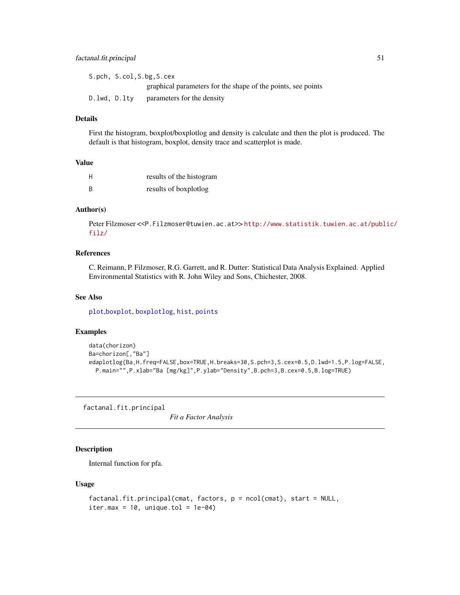# factanal.fit.principal 51

|              | S.pch, S.col, S.bg, S.cex                                    |
|--------------|--------------------------------------------------------------|
|              | graphical parameters for the shape of the points, see points |
| D.lwd, D.lty | parameters for the density                                   |

## Details

First the histogram, boxplot/boxplotlog and density is calculate and then the plot is produced. The default is that histogram, boxplot, density trace and scatterplot is made.

#### Value

| H  | results of the histogram |
|----|--------------------------|
| B. | results of boxplotlog    |

### Author(s)

Peter Filzmoser <<P.Filzmoser@tuwien.ac.at>>[http://www.statistik.tuwien.ac.at/publ](http://www.statistik.tuwien.ac.at/public/filz/)ic/ [filz/](http://www.statistik.tuwien.ac.at/public/filz/)

#### References

C. Reimann, P. Filzmoser, R.G. Garrett, and R. Dutter: Statistical Data Analysis Explained. Applied Environmental Statistics with R. John Wiley and Sons, Chichester, 2008.

# See Also

[plot](#page-0-0),[boxplot](#page-0-0), [boxplotlog](#page-12-0), [hist](#page-0-0), [points](#page-0-0)

# Examples

```
data(chorizon)
Ba=chorizon[,"Ba"]
edaplotlog(Ba,H.freq=FALSE,box=TRUE,H.breaks=30,S.pch=3,S.cex=0.5,D.lwd=1.5,P.log=FALSE,
  P.main="",P.xlab="Ba [mg/kg]",P.ylab="Density",B.pch=3,B.cex=0.5,B.log=TRUE)
```
factanal.fit.principal

*Fit a Factor Analysis*

# Description

Internal function for pfa.

## Usage

```
factanal.fit.principal(cmat, factors, p = ncol(cmat), start = NULL,
iter.max = 10, unique.tol = 1e-04)
```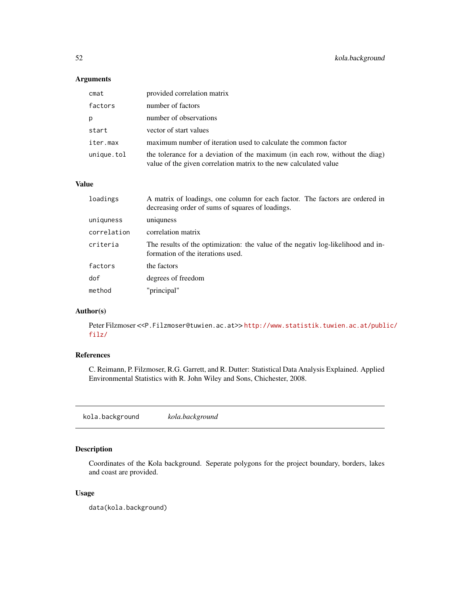# Arguments

| cmat       | provided correlation matrix                                                                                                                       |
|------------|---------------------------------------------------------------------------------------------------------------------------------------------------|
| factors    | number of factors                                                                                                                                 |
| р          | number of observations                                                                                                                            |
| start      | vector of start values                                                                                                                            |
| iter.max   | maximum number of iteration used to calculate the common factor                                                                                   |
| unique.tol | the tolerance for a deviation of the maximum (in each row, without the diag)<br>value of the given correlation matrix to the new calculated value |

#### Value

| loadings    | A matrix of loadings, one column for each factor. The factors are ordered in<br>decreasing order of sums of squares of loadings. |
|-------------|----------------------------------------------------------------------------------------------------------------------------------|
| uniquness   | uniquess                                                                                                                         |
| correlation | correlation matrix                                                                                                               |
| criteria    | The results of the optimization: the value of the negative log-likelihood and in-<br>formation of the iterations used.           |
| factors     | the factors                                                                                                                      |
| dof         | degrees of freedom                                                                                                               |
| method      | "principal"                                                                                                                      |

# Author(s)

Peter Filzmoser <<P.Filzmoser@tuwien.ac.at>> [http://www.statistik.tuwien.ac.at/publ](http://www.statistik.tuwien.ac.at/public/filz/)ic/ [filz/](http://www.statistik.tuwien.ac.at/public/filz/)

# References

C. Reimann, P. Filzmoser, R.G. Garrett, and R. Dutter: Statistical Data Analysis Explained. Applied Environmental Statistics with R. John Wiley and Sons, Chichester, 2008.

kola.background *kola.background*

# Description

Coordinates of the Kola background. Seperate polygons for the project boundary, borders, lakes and coast are provided.

# Usage

data(kola.background)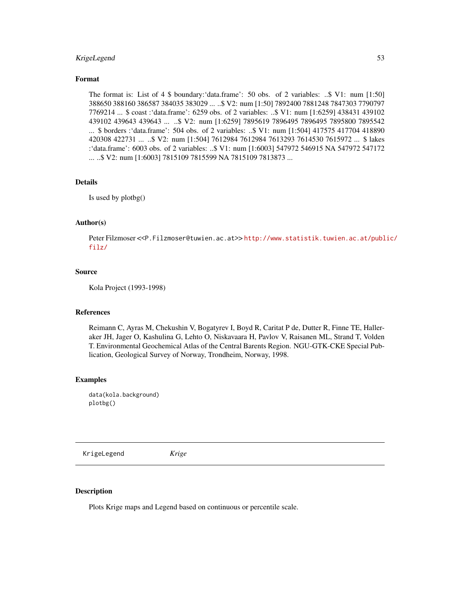# KrigeLegend 53

# Format

The format is: List of 4 \$ boundary:'data.frame': 50 obs. of 2 variables: ..\$ V1: num [1:50] 388650 388160 386587 384035 383029 ... ..\$ V2: num [1:50] 7892400 7881248 7847303 7790797 7769214 ... \$ coast :'data.frame': 6259 obs. of 2 variables: ..\$ V1: num [1:6259] 438431 439102 439102 439643 439643 ... ..\$ V2: num [1:6259] 7895619 7896495 7896495 7895800 7895542 ... \$ borders :'data.frame': 504 obs. of 2 variables: ..\$ V1: num [1:504] 417575 417704 418890 420308 422731 ... ..\$ V2: num [1:504] 7612984 7612984 7613293 7614530 7615972 ... \$ lakes :'data.frame': 6003 obs. of 2 variables: ..\$ V1: num [1:6003] 547972 546915 NA 547972 547172 ... ..\$ V2: num [1:6003] 7815109 7815599 NA 7815109 7813873 ...

### Details

Is used by plotbg()

# Author(s)

Peter Filzmoser <<P.Filzmoser@tuwien.ac.at>> [http://www.statistik.tuwien.ac.at/publ](http://www.statistik.tuwien.ac.at/public/filz/)ic/ [filz/](http://www.statistik.tuwien.ac.at/public/filz/)

# Source

Kola Project (1993-1998)

#### References

Reimann C, Ayras M, Chekushin V, Bogatyrev I, Boyd R, Caritat P de, Dutter R, Finne TE, Halleraker JH, Jager O, Kashulina G, Lehto O, Niskavaara H, Pavlov V, Raisanen ML, Strand T, Volden T. Environmental Geochemical Atlas of the Central Barents Region. NGU-GTK-CKE Special Publication, Geological Survey of Norway, Trondheim, Norway, 1998.

## Examples

data(kola.background) plotbg()

KrigeLegend *Krige*

#### Description

Plots Krige maps and Legend based on continuous or percentile scale.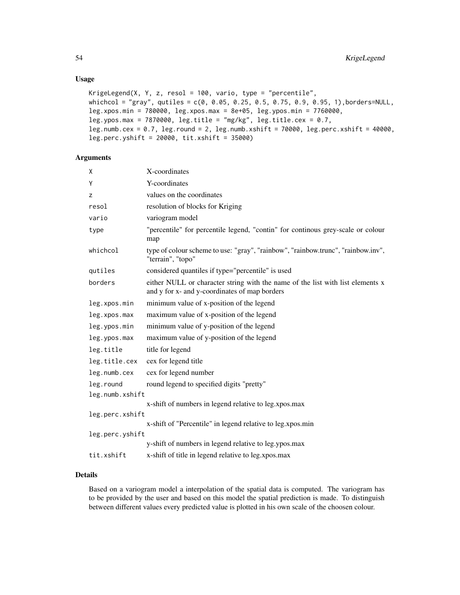# Usage

```
KrigeLegend(X, Y, z, resol = 100, vario, type = "percentile",
whichcol = "gray", qutiles = c(0, 0.05, 0.25, 0.5, 0.75, 0.9, 0.95, 1),borders=NULL,
leg.xpos.min = 780000, leg.xpos.max = 8e+05, leg.ypos.min = 7760000,
leg.ypos.max = 7870000, leg.title = "mg/kg", leg.title.cex = 0.7,
leg.numb.cex = 0.7, leg.round = 2, leg.numb.xshift = 70000, leg.perc.xshift = 40000,
leg.perc.yshift = 20000, tit.xshift = 35000)
```
# Arguments

| χ               | X-coordinates                                                                                                                   |
|-----------------|---------------------------------------------------------------------------------------------------------------------------------|
| Υ               | Y-coordinates                                                                                                                   |
| z               | values on the coordinates                                                                                                       |
| resol           | resolution of blocks for Kriging                                                                                                |
| vario           | variogram model                                                                                                                 |
| type            | "percentile" for percentile legend, "contin" for continous grey-scale or colour<br>map                                          |
| whichcol        | type of colour scheme to use: "gray", "rainbow", "rainbow.trunc", "rainbow.inv",<br>"terrain", "topo"                           |
| qutiles         | considered quantiles if type="percentile" is used                                                                               |
| borders         | either NULL or character string with the name of the list with list elements x<br>and y for x- and y-coordinates of map borders |
| leg.xpos.min    | minimum value of x-position of the legend                                                                                       |
| leg.xpos.max    | maximum value of x-position of the legend                                                                                       |
| leg.ypos.min    | minimum value of y-position of the legend                                                                                       |
| leg.ypos.max    | maximum value of y-position of the legend                                                                                       |
| leg.title       | title for legend                                                                                                                |
| leg.title.cex   | cex for legend title                                                                                                            |
| leg.numb.cex    | cex for legend number                                                                                                           |
| leg.round       | round legend to specified digits "pretty"                                                                                       |
| leg.numb.xshift |                                                                                                                                 |
|                 | x-shift of numbers in legend relative to leg.xpos.max                                                                           |
| leg.perc.xshift |                                                                                                                                 |
| leg.perc.yshift | x-shift of "Percentile" in legend relative to leg.xpos.min                                                                      |
|                 | y-shift of numbers in legend relative to leg.ypos.max                                                                           |
| tit.xshift      | x-shift of title in legend relative to leg.xpos.max                                                                             |
|                 |                                                                                                                                 |

# Details

Based on a variogram model a interpolation of the spatial data is computed. The variogram has to be provided by the user and based on this model the spatial prediction is made. To distinguish between different values every predicted value is plotted in his own scale of the choosen colour.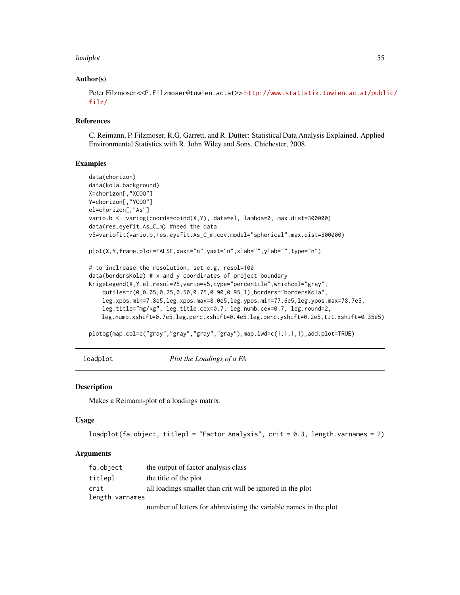#### loadplot 55

## Author(s)

Peter Filzmoser <<P.Filzmoser@tuwien.ac.at>> [http://www.statistik.tuwien.ac.at/publ](http://www.statistik.tuwien.ac.at/public/filz/)ic/ [filz/](http://www.statistik.tuwien.ac.at/public/filz/)

#### References

C. Reimann, P. Filzmoser, R.G. Garrett, and R. Dutter: Statistical Data Analysis Explained. Applied Environmental Statistics with R. John Wiley and Sons, Chichester, 2008.

### Examples

```
data(chorizon)
data(kola.background)
X=chorizon[,"XCOO"]
Y=chorizon[,"YCOO"]
el=chorizon[,"As"]
vario.b <- variog(coords=cbind(X,Y), data=el, lambda=0, max.dist=300000)
data(res.eyefit.As_C_m) #need the data
v5=variofit(vario.b,res.eyefit.As_C_m,cov.model="spherical",max.dist=300000)
plot(X,Y,frame.plot=FALSE,xaxt="n",yaxt="n",xlab="",ylab="",type="n")
# to inclrease the resolution, set e.g. resol=100
data(bordersKola) # x and y coordinates of project boundary
KrigeLegend(X,Y,el,resol=25,vario=v5,type="percentile",whichcol="gray",
    qutiles=c(0,0.05,0.25,0.50,0.75,0.90,0.95,1),borders="bordersKola",
    leg.xpos.min=7.8e5,leg.xpos.max=8.0e5,leg.ypos.min=77.6e5,leg.ypos.max=78.7e5,
    leg.title="mg/kg", leg.title.cex=0.7, leg.numb.cex=0.7, leg.round=2,
   leg.numb.xshift=0.7e5,leg.perc.xshift=0.4e5,leg.perc.yshift=0.2e5,tit.xshift=0.35e5)
```
plotbg(map.col=c("gray","gray","gray","gray"),map.lwd=c(1,1,1,1),add.plot=TRUE)

loadplot *Plot the Loadings of a FA*

### Description

Makes a Reimann-plot of a loadings matrix.

#### Usage

```
loadplot(fa.object, titlepl = "Factor Analysis", crit = 0.3, length.varnames = 2)
```
#### Arguments

| fa.object       | the output of factor analysis class                               |
|-----------------|-------------------------------------------------------------------|
| titlepl         | the title of the plot                                             |
| crit            | all loadings smaller than crit will be ignored in the plot        |
| length.varnames |                                                                   |
|                 | number of letters for abbreviating the variable names in the plot |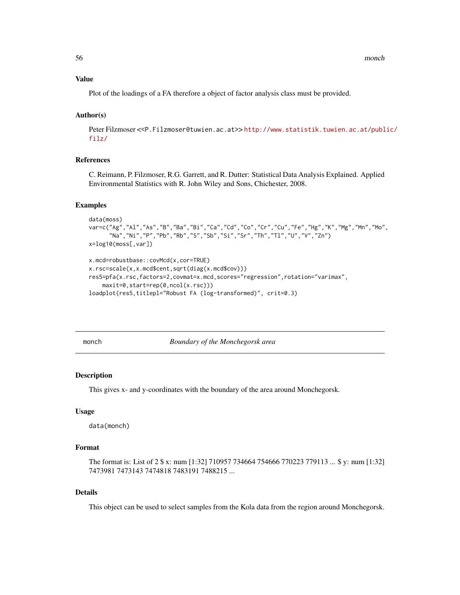### Value

Plot of the loadings of a FA therefore a object of factor analysis class must be provided.

### Author(s)

Peter Filzmoser <<P.Filzmoser@tuwien.ac.at>>[http://www.statistik.tuwien.ac.at/publ](http://www.statistik.tuwien.ac.at/public/filz/)ic/ [filz/](http://www.statistik.tuwien.ac.at/public/filz/)

# References

C. Reimann, P. Filzmoser, R.G. Garrett, and R. Dutter: Statistical Data Analysis Explained. Applied Environmental Statistics with R. John Wiley and Sons, Chichester, 2008.

#### Examples

```
data(moss)
var=c("Ag","Al","As","B","Ba","Bi","Ca","Cd","Co","Cr","Cu","Fe","Hg","K","Mg","Mn","Mo",
      "Na","Ni","P","Pb","Rb","S","Sb","Si","Sr","Th","Tl","U","V","Zn")
x=log10(moss[,var])
x.mcd=robustbase::covMcd(x,cor=TRUE)
x.rsc=scale(x,x.mcd$cent,sqrt(diag(x.mcd$cov)))
res5=pfa(x.rsc,factors=2,covmat=x.mcd,scores="regression",rotation="varimax",
    maxit=0,start=rep(0,ncol(x.rsc)))
loadplot(res5,titlepl="Robust FA (log-transformed)", crit=0.3)
```
monch *Boundary of the Monchegorsk area*

#### Description

This gives x- and y-coordinates with the boundary of the area around Monchegorsk.

#### Usage

data(monch)

# Format

The format is: List of 2 \$ x: num [1:32] 710957 734664 754666 770223 779113 ... \$ y: num [1:32] 7473981 7473143 7474818 7483191 7488215 ...

# Details

This object can be used to select samples from the Kola data from the region around Monchegorsk.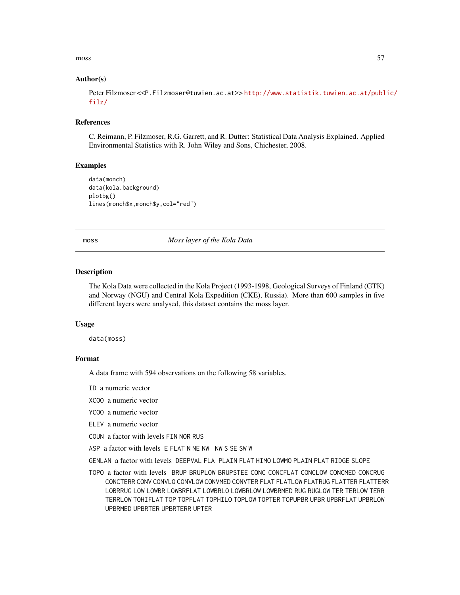#### moss 57

#### Author(s)

Peter Filzmoser <<P.Filzmoser@tuwien.ac.at>> [http://www.statistik.tuwien.ac.at/publ](http://www.statistik.tuwien.ac.at/public/filz/)ic/ [filz/](http://www.statistik.tuwien.ac.at/public/filz/)

#### **References**

C. Reimann, P. Filzmoser, R.G. Garrett, and R. Dutter: Statistical Data Analysis Explained. Applied Environmental Statistics with R. John Wiley and Sons, Chichester, 2008.

# Examples

data(monch) data(kola.background) plotbg() lines(monch\$x,monch\$y,col="red")

moss *Moss layer of the Kola Data*

## Description

The Kola Data were collected in the Kola Project (1993-1998, Geological Surveys of Finland (GTK) and Norway (NGU) and Central Kola Expedition (CKE), Russia). More than 600 samples in five different layers were analysed, this dataset contains the moss layer.

#### Usage

data(moss)

#### Format

A data frame with 594 observations on the following 58 variables.

ID a numeric vector

- XCOO a numeric vector
- YCOO a numeric vector
- ELEV a numeric vector
- COUN a factor with levels FIN NOR RUS
- ASP a factor with levels E FLAT N NE NW NW S SE SW W
- GENLAN a factor with levels DEEPVAL FLA PLAIN FLAT HIMO LOWMO PLAIN PLAT RIDGE SLOPE
- TOPO a factor with levels BRUP BRUPLOW BRUPSTEE CONC CONCFLAT CONCLOW CONCMED CONCRUG CONCTERR CONV CONVLO CONVLOW CONVMED CONVTER FLAT FLATLOW FLATRUG FLATTER FLATTERR LOBRRUG LOW LOWBR LOWBRFLAT LOWBRLO LOWBRLOW LOWBRMED RUG RUGLOW TER TERLOW TERR TERRLOW TOHIFLAT TOP TOPFLAT TOPHILO TOPLOW TOPTER TOPUPBR UPBR UPBRFLAT UPBRLOW UPBRMED UPBRTER UPBRTERR UPTER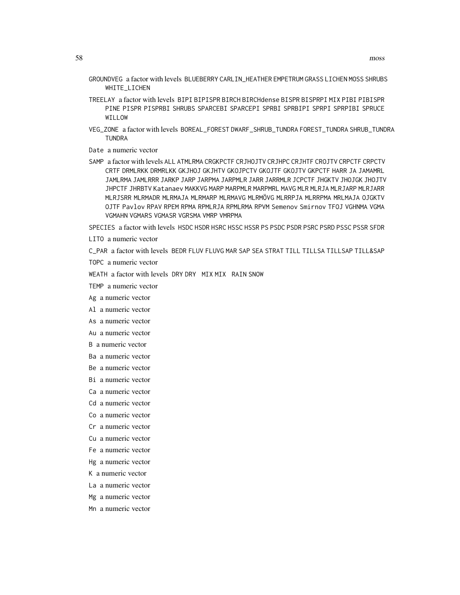- GROUNDVEG a factor with levels BLUEBERRY CARLIN\_HEATHER EMPETRUM GRASS LICHEN MOSS SHRUBS WHITE LICHEN
- TREELAY a factor with levels BIPI BIPISPR BIRCH BIRCHdense BISPR BISPRPI MIX PIBI PIBISPR PINE PISPR PISPRBI SHRUBS SPARCEBI SPARCEPI SPRBI SPRBIPI SPRPI SPRPIBI SPRUCE WILLOW
- VEG\_ZONE a factor with levels BOREAL\_FOREST DWARF\_SHRUB\_TUNDRA FOREST\_TUNDRA SHRUB\_TUNDRA TUNDRA
- Date a numeric vector
- SAMP a factor with levels ALL ATMLRMA CRGKPCTF CRJHOJTV CRJHPC CRJHTF CROJTV CRPCTF CRPCTV CRTF DRMLRKK DRMRLKK GKJHOJ GKJHTV GKOJPCTV GKOJTF GKOJTV GKPCTF HARR JA JAMAMRL JAMLRMA JAMLRRR JARKP JARP JARPMA JARPMLR JARR JARRMLR JCPCTF JHGKTV JHOJGK JHOJTV JHPCTF JHRBTV Katanaev MAKKVG MARP MARPMLR MARPMRL MAVG MLR MLRJARP MLRJARR MLRJARR MLRJSRR MLRMADR MLRMAJA MLRMARP MLRMAVG MLRMÖVG MLRRPJA MLRRPMA MRLMAJA OJGKTV OJTF Pavlov RPAV RPEM RPMA RPMLRJA RPMLRMA RPVM Semenov Smirnov TFOJ VGHNMA VGMA VGMAHN VGMARS VGMASR VGRSMA VMRP VMRPMA

SPECIES a factor with levels HSDC HSDR HSRC HSSC HSSR PS PSDC PSDR PSRC PSRD PSSC PSSR SFDR

- LITO a numeric vector
- C\_PAR a factor with levels BEDR FLUV FLUVG MAR SAP SEA STRAT TILL TILLSA TILLSAP TILL&SAP
- TOPC a numeric vector

WEATH a factor with levels DRY DRY MIX MIX RAIN SNOW

TEMP a numeric vector

Ag a numeric vector

- Al a numeric vector
- As a numeric vector
- Au a numeric vector
- B a numeric vector
- Ba a numeric vector
- Be a numeric vector
- Bi a numeric vector
- Ca a numeric vector
- Cd a numeric vector
- Co a numeric vector
- Cr a numeric vector
- Cu a numeric vector
- Fe a numeric vector
- Hg a numeric vector
- K a numeric vector
- La a numeric vector
- Mg a numeric vector Mn a numeric vector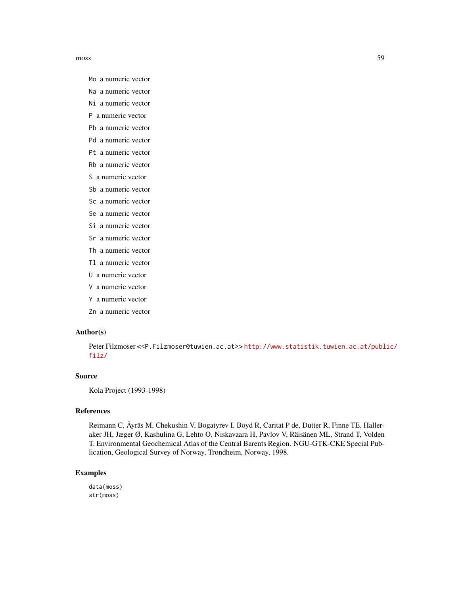moss 59

- Mo a numeric vector
- Na a numeric vector
- Ni a numeric vector
- P a numeric vector
- Pb a numeric vector
- Pd a numeric vector
- Pt a numeric vector
- Rb a numeric vector
- S a numeric vector
- Sb a numeric vector
- Sc a numeric vector
- Se a numeric vector
- Si a numeric vector
- Sr a numeric vector
- Th a numeric vector
- Tl a numeric vector
- U a numeric vector
- V a numeric vector
- Y a numeric vector
- Zn a numeric vector

#### Author(s)

Peter Filzmoser <<P.Filzmoser@tuwien.ac.at>> [http://www.statistik.tuwien.ac.at/publ](http://www.statistik.tuwien.ac.at/public/filz/)ic/ [filz/](http://www.statistik.tuwien.ac.at/public/filz/)

### Source

Kola Project (1993-1998)

## References

Reimann C, Äyräs M, Chekushin V, Bogatyrev I, Boyd R, Caritat P de, Dutter R, Finne TE, Halleraker JH, Jæger Ø, Kashulina G, Lehto O, Niskavaara H, Pavlov V, Räisänen ML, Strand T, Volden T. Environmental Geochemical Atlas of the Central Barents Region. NGU-GTK-CKE Special Publication, Geological Survey of Norway, Trondheim, Norway, 1998.

### Examples

data(moss) str(moss)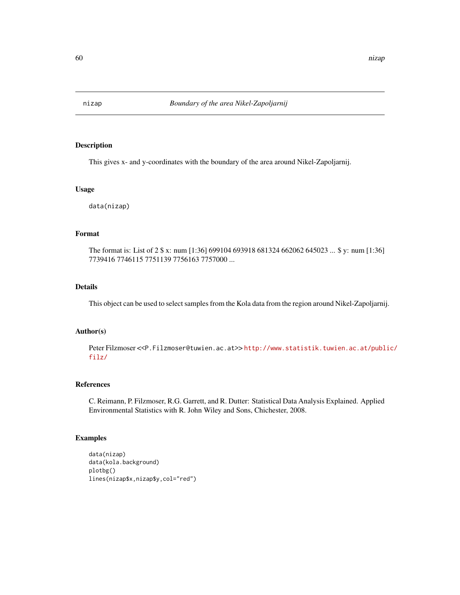# Description

This gives x- and y-coordinates with the boundary of the area around Nikel-Zapoljarnij.

## Usage

data(nizap)

### Format

The format is: List of 2 \$ x: num [1:36] 699104 693918 681324 662062 645023 ... \$ y: num [1:36] 7739416 7746115 7751139 7756163 7757000 ...

## Details

This object can be used to select samples from the Kola data from the region around Nikel-Zapoljarnij.

# Author(s)

Peter Filzmoser <<P.Filzmoser@tuwien.ac.at>>[http://www.statistik.tuwien.ac.at/publ](http://www.statistik.tuwien.ac.at/public/filz/)ic/ [filz/](http://www.statistik.tuwien.ac.at/public/filz/)

## References

C. Reimann, P. Filzmoser, R.G. Garrett, and R. Dutter: Statistical Data Analysis Explained. Applied Environmental Statistics with R. John Wiley and Sons, Chichester, 2008.

# Examples

```
data(nizap)
data(kola.background)
plotbg()
lines(nizap$x,nizap$y,col="red")
```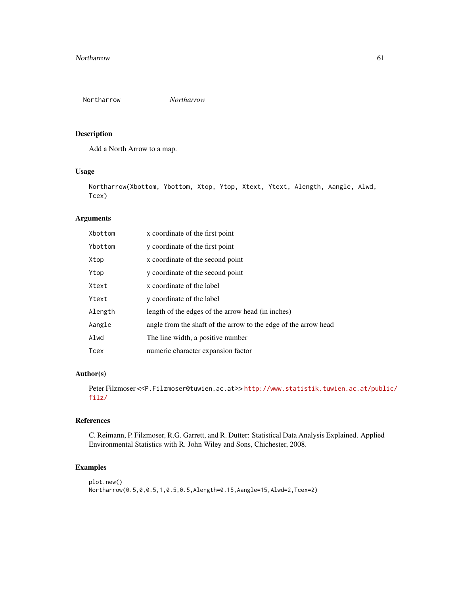Northarrow *Northarrow*

### Description

Add a North Arrow to a map.

# Usage

Northarrow(Xbottom, Ybottom, Xtop, Ytop, Xtext, Ytext, Alength, Aangle, Alwd, Tcex)

# Arguments

| Xbottom     | x coordinate of the first point                                 |
|-------------|-----------------------------------------------------------------|
| Ybottom     | y coordinate of the first point                                 |
| Xtop        | x coordinate of the second point                                |
| Ytop        | y coordinate of the second point                                |
| Xtext       | x coordinate of the label                                       |
| Ytext       | y coordinate of the label                                       |
| Alength     | length of the edges of the arrow head (in inches)               |
| Aangle      | angle from the shaft of the arrow to the edge of the arrow head |
| Alwd        | The line width, a positive number                               |
| <b>Tcex</b> | numeric character expansion factor                              |

# Author(s)

Peter Filzmoser <<P.Filzmoser@tuwien.ac.at>> [http://www.statistik.tuwien.ac.at/publ](http://www.statistik.tuwien.ac.at/public/filz/)ic/ [filz/](http://www.statistik.tuwien.ac.at/public/filz/)

## References

C. Reimann, P. Filzmoser, R.G. Garrett, and R. Dutter: Statistical Data Analysis Explained. Applied Environmental Statistics with R. John Wiley and Sons, Chichester, 2008.

# Examples

```
plot.new()
Northarrow(0.5,0,0.5,1,0.5,0.5,Alength=0.15,Aangle=15,Alwd=2,Tcex=2)
```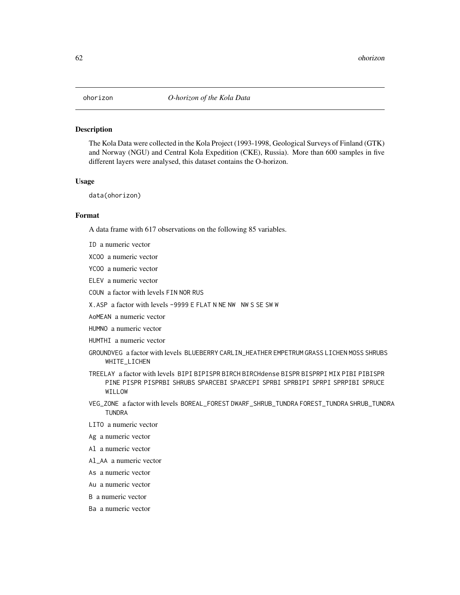#### Description

The Kola Data were collected in the Kola Project (1993-1998, Geological Surveys of Finland (GTK) and Norway (NGU) and Central Kola Expedition (CKE), Russia). More than 600 samples in five different layers were analysed, this dataset contains the O-horizon.

## Usage

data(ohorizon)

### Format

A data frame with 617 observations on the following 85 variables.

- ID a numeric vector
- XCOO a numeric vector
- YCOO a numeric vector
- ELEV a numeric vector
- COUN a factor with levels FIN NOR RUS
- X.ASP a factor with levels -9999 E FLAT N NE NW NW S SE SW W
- AoMEAN a numeric vector
- HUMNO a numeric vector
- HUMTHI a numeric vector
- GROUNDVEG a factor with levels BLUEBERRY CARLIN\_HEATHER EMPETRUM GRASS LICHEN MOSS SHRUBS WHITE\_LICHEN
- TREELAY a factor with levels BIPI BIPISPR BIRCH BIRCHdense BISPR BISPRPI MIX PIBI PIBISPR PINE PISPR PISPRBI SHRUBS SPARCEBI SPARCEPI SPRBI SPRBIPI SPRPIBI SPRUCE WILLOW
- VEG\_ZONE a factor with levels BOREAL\_FOREST DWARF\_SHRUB\_TUNDRA FOREST\_TUNDRA SHRUB\_TUNDRA TUNDRA
- LITO a numeric vector
- Ag a numeric vector
- Al a numeric vector
- Al\_AA a numeric vector
- As a numeric vector
- Au a numeric vector
- B a numeric vector
- Ba a numeric vector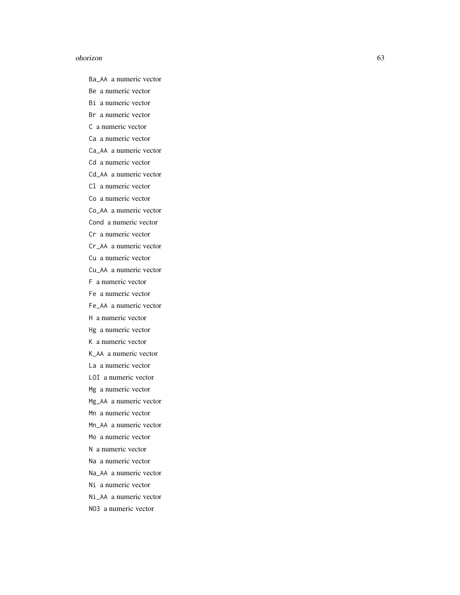#### ohorizon 63

Ba\_AA a numeric vector Be a numeric vector

Bi a numeric vector

Br a numeric vector

C a numeric vector

Ca a numeric vector

Ca\_AA a numeric vector

Cd a numeric vector

Cd\_AA a numeric vector

Cl a numeric vector

Co a numeric vector

Co\_AA a numeric vector

Cond a numeric vector

Cr a numeric vector

Cr\_AA a numeric vector

Cu a numeric vector

Cu\_AA a numeric vector

F a numeric vector

Fe a numeric vector

Fe\_AA a numeric vector

H a numeric vector

Hg a numeric vector

K a numeric vector

K\_AA a numeric vector

La a numeric vector

LOI a numeric vector

Mg a numeric vector

Mg\_AA a numeric vector

Mn a numeric vector

Mn\_AA a numeric vector

Mo a numeric vector

N a numeric vector

Na a numeric vector

Na\_AA a numeric vector

Ni a numeric vector

Ni\_AA a numeric vector

NO3 a numeric vector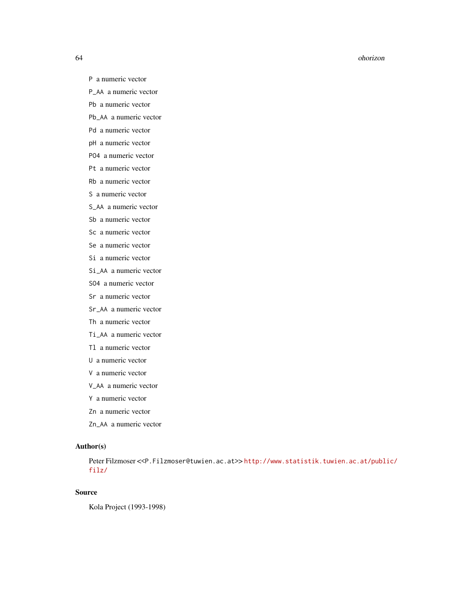#### 64 ohorizon

- P a numeric vector
- P\_AA a numeric vector
- Pb a numeric vector
- Pb\_AA a numeric vector
- Pd a numeric vector
- pH a numeric vector
- PO4 a numeric vector
- Pt a numeric vector
- Rb a numeric vector
- S a numeric vector
- S\_AA a numeric vector
- Sb a numeric vector
- Sc a numeric vector
- Se a numeric vector
- Si a numeric vector
- Si\_AA a numeric vector
- SO4 a numeric vector
- Sr a numeric vector
- Sr\_AA a numeric vector
- Th a numeric vector
- Ti\_AA a numeric vector
- Tl a numeric vector
- U a numeric vector
- V a numeric vector
- V\_AA a numeric vector
- Y a numeric vector
- Zn a numeric vector
- Zn\_AA a numeric vector

# Author(s)

Peter Filzmoser <<P.Filzmoser@tuwien.ac.at>>[http://www.statistik.tuwien.ac.at/publ](http://www.statistik.tuwien.ac.at/public/filz/)ic/ [filz/](http://www.statistik.tuwien.ac.at/public/filz/)

# Source

Kola Project (1993-1998)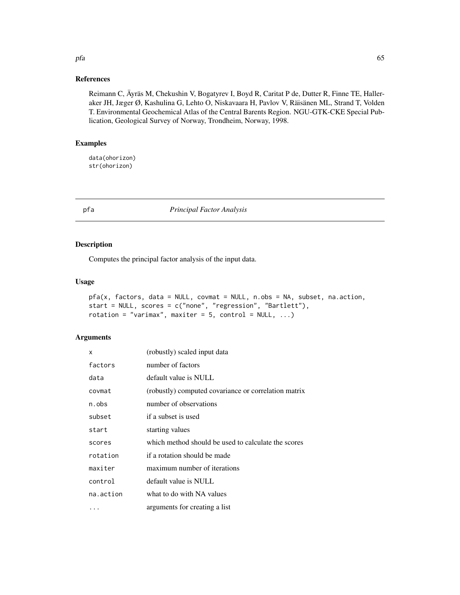### References

Reimann C, Äyräs M, Chekushin V, Bogatyrev I, Boyd R, Caritat P de, Dutter R, Finne TE, Halleraker JH, Jæger Ø, Kashulina G, Lehto O, Niskavaara H, Pavlov V, Räisänen ML, Strand T, Volden T. Environmental Geochemical Atlas of the Central Barents Region. NGU-GTK-CKE Special Publication, Geological Survey of Norway, Trondheim, Norway, 1998.

## Examples

data(ohorizon) str(ohorizon)

### pfa *Principal Factor Analysis*

## Description

Computes the principal factor analysis of the input data.

#### Usage

```
pfa(x, factors, data = NULL, covmat = NULL, n.obs = NA, subset, na.action,
start = NULL, scores = c("none", "regression", "Bartlett"),
rotation = "varimax", maxiter = 5, control = NULL, ...)
```
### Arguments

| X         | (robustly) scaled input data                         |
|-----------|------------------------------------------------------|
| factors   | number of factors                                    |
| data      | default value is NULL                                |
| covmat    | (robustly) computed covariance or correlation matrix |
| n.obs     | number of observations                               |
| subset    | if a subset is used                                  |
| start     | starting values                                      |
| scores    | which method should be used to calculate the scores  |
| rotation  | if a rotation should be made                         |
| maxiter   | maximum number of iterations                         |
| control   | default value is NULL                                |
| na.action | what to do with NA values                            |
| .         | arguments for creating a list                        |

pfa 65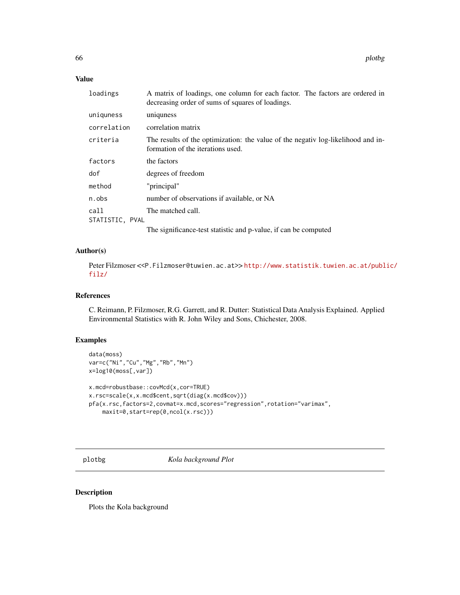# Value

| loadings        | A matrix of loadings, one column for each factor. The factors are ordered in<br>decreasing order of sums of squares of loadings. |
|-----------------|----------------------------------------------------------------------------------------------------------------------------------|
| uniquness       | uniquess                                                                                                                         |
| correlation     | correlation matrix                                                                                                               |
| criteria        | The results of the optimization: the value of the negative log-likelihood and in-<br>formation of the iterations used.           |
| factors         | the factors                                                                                                                      |
| dof             | degrees of freedom                                                                                                               |
| method          | "principal"                                                                                                                      |
| n.obs           | number of observations if available, or NA                                                                                       |
| call            | The matched call.                                                                                                                |
| STATISTIC, PVAL |                                                                                                                                  |
|                 | The significance-test statistic and p-value, if can be computed                                                                  |

### Author(s)

Peter Filzmoser <<P.Filzmoser@tuwien.ac.at>> [http://www.statistik.tuwien.ac.at/publ](http://www.statistik.tuwien.ac.at/public/filz/)ic/ [filz/](http://www.statistik.tuwien.ac.at/public/filz/)

#### References

C. Reimann, P. Filzmoser, R.G. Garrett, and R. Dutter: Statistical Data Analysis Explained. Applied Environmental Statistics with R. John Wiley and Sons, Chichester, 2008.

## Examples

```
data(moss)
var=c("Ni","Cu","Mg","Rb","Mn")
x=log10(moss[,var])
x.mcd=robustbase::covMcd(x,cor=TRUE)
x.rsc=scale(x,x.mcd$cent,sqrt(diag(x.mcd$cov)))
pfa(x.rsc,factors=2,covmat=x.mcd,scores="regression",rotation="varimax",
    maxit=0,start=rep(0,ncol(x.rsc)))
```
<span id="page-65-0"></span>plotbg *Kola background Plot*

## Description

Plots the Kola background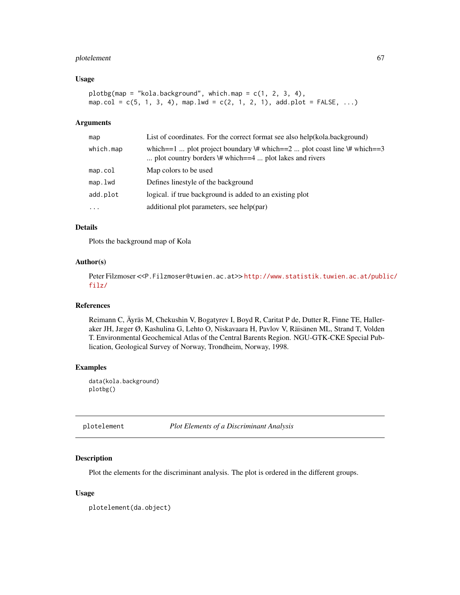# plotelement 67

#### Usage

```
plotbg(map = "kola.background", which map = c(1, 2, 3, 4),map.col = c(5, 1, 3, 4), map.lwd = c(2, 1, 2, 1), add.plot = FALSE, ...)
```
#### Arguments

| map       | List of coordinates. For the correct format see also help(kola.background)                                                                   |
|-----------|----------------------------------------------------------------------------------------------------------------------------------------------|
| which.map | which==1  plot project boundary \# which==2  plot coast line \# which==3<br>plot country borders $\forall$ # which==4  plot lakes and rivers |
| map.col   | Map colors to be used                                                                                                                        |
| map.lwd   | Defines linestyle of the background                                                                                                          |
| add.plot  | logical, if true background is added to an existing plot                                                                                     |
| $\ddotsc$ | additional plot parameters, see help(par)                                                                                                    |

# Details

Plots the background map of Kola

#### Author(s)

Peter Filzmoser <<P.Filzmoser@tuwien.ac.at>>[http://www.statistik.tuwien.ac.at/publ](http://www.statistik.tuwien.ac.at/public/filz/)ic/ [filz/](http://www.statistik.tuwien.ac.at/public/filz/)

## References

Reimann C, Äyräs M, Chekushin V, Bogatyrev I, Boyd R, Caritat P de, Dutter R, Finne TE, Halleraker JH, Jæger Ø, Kashulina G, Lehto O, Niskavaara H, Pavlov V, Räisänen ML, Strand T, Volden T. Environmental Geochemical Atlas of the Central Barents Region. NGU-GTK-CKE Special Publication, Geological Survey of Norway, Trondheim, Norway, 1998.

# Examples

data(kola.background) plotbg()

plotelement *Plot Elements of a Discriminant Analysis*

# Description

Plot the elements for the discriminant analysis. The plot is ordered in the different groups.

#### Usage

plotelement(da.object)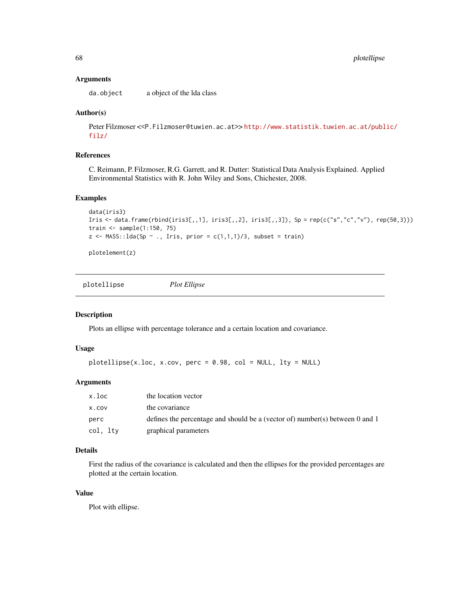#### **Arguments**

da.object a object of the lda class

### Author(s)

Peter Filzmoser <<P.Filzmoser@tuwien.ac.at>> [http://www.statistik.tuwien.ac.at/publ](http://www.statistik.tuwien.ac.at/public/filz/)ic/ [filz/](http://www.statistik.tuwien.ac.at/public/filz/)

# References

C. Reimann, P. Filzmoser, R.G. Garrett, and R. Dutter: Statistical Data Analysis Explained. Applied Environmental Statistics with R. John Wiley and Sons, Chichester, 2008.

## Examples

```
data(iris3)
Iris \le - data.frame(rbind(iris3[,,1], iris3[,,2], iris3[,,3]), Sp = rep(c("s","c","v"), rep(50,3)))
train <- sample(1:150, 75)
z \leq MASS:: lda(Sp \sim ., Iris, prior = c(1,1,1)/3, subset = train)
```
plotelement(z)

plotellipse *Plot Ellipse*

## Description

Plots an ellipse with percentage tolerance and a certain location and covariance.

### Usage

```
plotellipse(x.loc, x.cov, perc = 0.98, col = NULL, lty = NULL)
```
### Arguments

| x.loc    | the location vector                                                          |
|----------|------------------------------------------------------------------------------|
| X.COV    | the covariance                                                               |
| perc     | defines the percentage and should be a (vector of) number(s) between 0 and 1 |
| col, ltv | graphical parameters                                                         |

# Details

First the radius of the covariance is calculated and then the ellipses for the provided percentages are plotted at the certain location.

# Value

Plot with ellipse.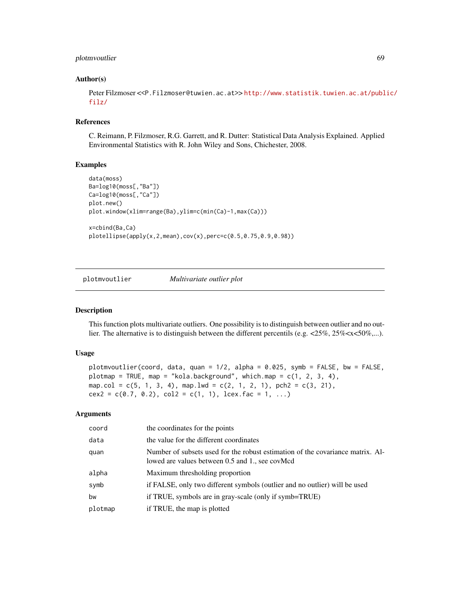## plotmvoutlier 69

## Author(s)

Peter Filzmoser <<P.Filzmoser@tuwien.ac.at>> [http://www.statistik.tuwien.ac.at/publ](http://www.statistik.tuwien.ac.at/public/filz/)ic/ [filz/](http://www.statistik.tuwien.ac.at/public/filz/)

#### References

C. Reimann, P. Filzmoser, R.G. Garrett, and R. Dutter: Statistical Data Analysis Explained. Applied Environmental Statistics with R. John Wiley and Sons, Chichester, 2008.

## Examples

```
data(moss)
Ba=log10(moss[,"Ba"])
Ca=log10(moss[,"Ca"])
plot.new()
plot.window(xlim=range(Ba),ylim=c(min(Ca)-1,max(Ca)))
x=cbind(Ba,Ca)
plotellipse(apply(x,2,mean),cov(x),perc=c(0.5,0.75,0.9,0.98))
```
plotmvoutlier *Multivariate outlier plot*

## Description

This function plots multivariate outliers. One possibility is to distinguish between outlier and no outlier. The alternative is to distinguish between the different percentils (e.g.  $\langle 25\%, 25\% \langle x \langle 50\%, \ldots \rangle \rangle$ ).

#### Usage

```
plotmvoutlier(coord, data, quan = 1/2, alpha = 0.025, symb = FALSE, bw = FALSE,
plotmap = TRUE, map = "kola.background", which.map = c(1, 2, 3, 4),
map.col = c(5, 1, 3, 4), map.lwd = c(2, 1, 2, 1), pch2 = c(3, 21),
cex2 = c(0.7, 0.2), col2 = c(1, 1), lcex.fac = 1, ...)
```
#### Arguments

| coord   | the coordinates for the points                                                                                                    |
|---------|-----------------------------------------------------------------------------------------------------------------------------------|
| data    | the value for the different coordinates                                                                                           |
| quan    | Number of subsets used for the robust estimation of the covariance matrix. Al-<br>lowed are values between 0.5 and 1., see covMcd |
| alpha   | Maximum thresholding proportion                                                                                                   |
| symb    | if FALSE, only two different symbols (outlier and no outlier) will be used                                                        |
| bw      | if TRUE, symbols are in gray-scale (only if symb=TRUE)                                                                            |
| plotmap | if TRUE, the map is plotted                                                                                                       |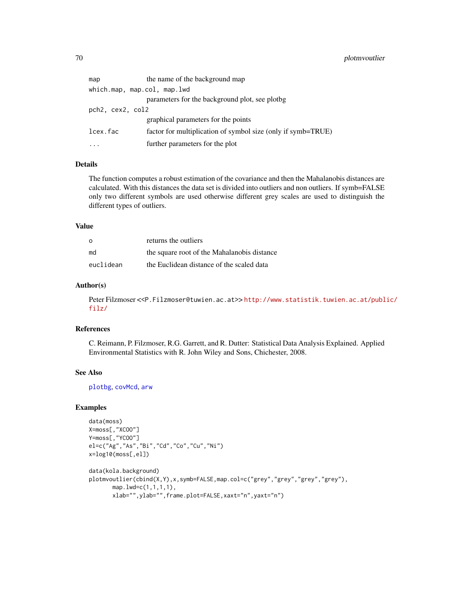| map                         | the name of the background map                               |  |
|-----------------------------|--------------------------------------------------------------|--|
| which.map, map.col, map.lwd |                                                              |  |
|                             | parameters for the background plot, see plotbg               |  |
| pch2, cex2, col2            |                                                              |  |
|                             | graphical parameters for the points                          |  |
| lcex.fac                    | factor for multiplication of symbol size (only if symb=TRUE) |  |
| .                           | further parameters for the plot                              |  |

## Details

The function computes a robust estimation of the covariance and then the Mahalanobis distances are calculated. With this distances the data set is divided into outliers and non outliers. If symb=FALSE only two different symbols are used otherwise different grey scales are used to distinguish the different types of outliers.

#### Value

| $\Omega$  | returns the outliers                        |
|-----------|---------------------------------------------|
| md        | the square root of the Mahalanobis distance |
| euclidean | the Euclidean distance of the scaled data   |

#### Author(s)

Peter Filzmoser <<P.Filzmoser@tuwien.ac.at>> [http://www.statistik.tuwien.ac.at/publ](http://www.statistik.tuwien.ac.at/public/filz/)ic/ [filz/](http://www.statistik.tuwien.ac.at/public/filz/)

### References

C. Reimann, P. Filzmoser, R.G. Garrett, and R. Dutter: Statistical Data Analysis Explained. Applied Environmental Statistics with R. John Wiley and Sons, Chichester, 2008.

#### See Also

[plotbg](#page-65-0), [covMcd](#page-0-0), [arw](#page-2-0)

#### Examples

```
data(moss)
X=moss[,"XCOO"]
Y=moss[,"YCOO"]
el=c("Ag","As","Bi","Cd","Co","Cu","Ni")
x=log10(moss[,el])
data(kola.background)
plotmvoutlier(cbind(X,Y),x,symb=FALSE,map.col=c("grey","grey","grey","grey"),
      map.lwd=c(1,1,1,1),
      xlab="",ylab="",frame.plot=FALSE,xaxt="n",yaxt="n")
```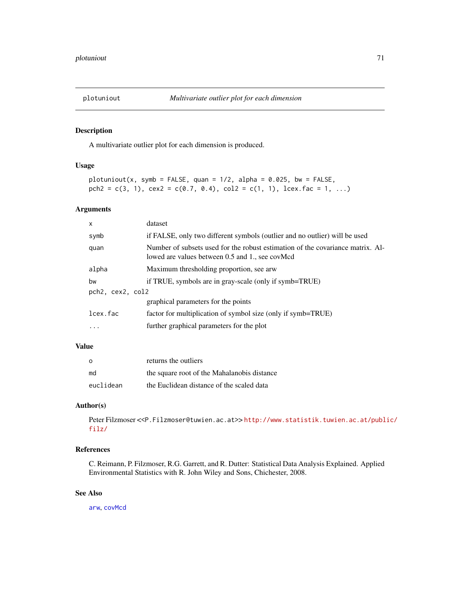### Description

A multivariate outlier plot for each dimension is produced.

# Usage

```
plotuniout(x, symb = FALSE, quan = 1/2, alpha = 0.025, bw = FALSE,
pch2 = c(3, 1), cex2 = c(0.7, 0.4), col2 = c(1, 1), leex.fac = 1, ...)
```
### Arguments

| X                | dataset                                                                                                                           |  |
|------------------|-----------------------------------------------------------------------------------------------------------------------------------|--|
| symb             | if FALSE, only two different symbols (outlier and no outlier) will be used                                                        |  |
| quan             | Number of subsets used for the robust estimation of the covariance matrix. Al-<br>lowed are values between 0.5 and 1., see covMcd |  |
| alpha            | Maximum thresholding proportion, see arw                                                                                          |  |
| bw               | if TRUE, symbols are in gray-scale (only if symb=TRUE)                                                                            |  |
| pch2, cex2, col2 |                                                                                                                                   |  |
|                  | graphical parameters for the points                                                                                               |  |
| lcex.fac         | factor for multiplication of symbol size (only if symb=TRUE)                                                                      |  |
| $\cdots$         | further graphical parameters for the plot                                                                                         |  |
|                  |                                                                                                                                   |  |

# Value

| - റ       | returns the outliers                        |
|-----------|---------------------------------------------|
| md        | the square root of the Mahalanobis distance |
| euclidean | the Euclidean distance of the scaled data   |

# Author(s)

```
Peter Filzmoser <<P.Filzmoser@tuwien.ac.at>> http://www.statistik.tuwien.ac.at/public/
filz/
```
## References

C. Reimann, P. Filzmoser, R.G. Garrett, and R. Dutter: Statistical Data Analysis Explained. Applied Environmental Statistics with R. John Wiley and Sons, Chichester, 2008.

### See Also

[arw](#page-2-0), [covMcd](#page-0-0)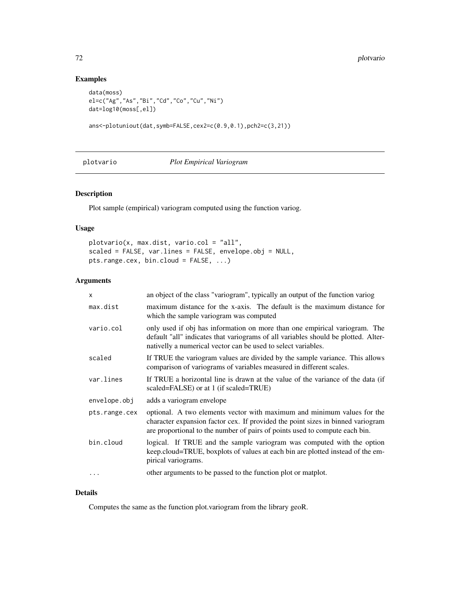# Examples

```
data(moss)
el=c("Ag","As","Bi","Cd","Co","Cu","Ni")
dat=log10(moss[,el])
```
ans<-plotuniout(dat,symb=FALSE,cex2=c(0.9,0.1),pch2=c(3,21))

plotvario *Plot Empirical Variogram*

# Description

Plot sample (empirical) variogram computed using the function variog.

## Usage

```
plotvario(x, max.dist, vario.col = "all",
scaled = FALSE, var.lines = FALSE, envelope.obj = NULL,
pts.range.cex, bin.cloud = FALSE, ...)
```
# Arguments

| X             | an object of the class "variogram", typically an output of the function variog                                                                                                                                                            |
|---------------|-------------------------------------------------------------------------------------------------------------------------------------------------------------------------------------------------------------------------------------------|
| max.dist      | maximum distance for the x-axis. The default is the maximum distance for<br>which the sample variogram was computed                                                                                                                       |
| vario.col     | only used if obj has information on more than one empirical variogram. The<br>default "all" indicates that variograms of all variables should be plotted. Alter-<br>nativelly a numerical vector can be used to select variables.         |
| scaled        | If TRUE the variogram values are divided by the sample variance. This allows<br>comparison of variograms of variables measured in different scales.                                                                                       |
| var.lines     | If TRUE a horizontal line is drawn at the value of the variance of the data (if<br>scaled=FALSE) or at 1 (if scaled=TRUE)                                                                                                                 |
| envelope.obj  | adds a variogram envelope                                                                                                                                                                                                                 |
| pts.range.cex | optional. A two elements vector with maximum and minimum values for the<br>character expansion factor cex. If provided the point sizes in binned variogram<br>are proportional to the number of pairs of points used to compute each bin. |
| bin.cloud     | logical. If TRUE and the sample variogram was computed with the option<br>keep.cloud=TRUE, boxplots of values at each bin are plotted instead of the em-<br>pirical variograms.                                                           |
|               | other arguments to be passed to the function plot or matplot.                                                                                                                                                                             |
|               |                                                                                                                                                                                                                                           |

# Details

Computes the same as the function plot.variogram from the library geoR.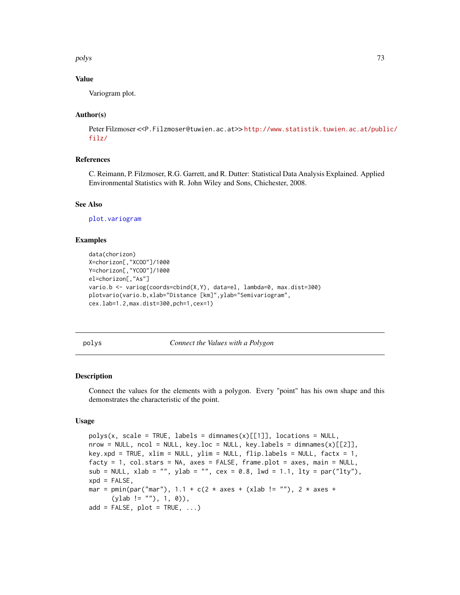polys and the contract of the contract of the contract of the contract of the contract of the contract of the contract of the contract of the contract of the contract of the contract of the contract of the contract of the

# Value

Variogram plot.

## Author(s)

Peter Filzmoser <<P.Filzmoser@tuwien.ac.at>>[http://www.statistik.tuwien.ac.at/publ](http://www.statistik.tuwien.ac.at/public/filz/)ic/ [filz/](http://www.statistik.tuwien.ac.at/public/filz/)

# References

C. Reimann, P. Filzmoser, R.G. Garrett, and R. Dutter: Statistical Data Analysis Explained. Applied Environmental Statistics with R. John Wiley and Sons, Chichester, 2008.

#### See Also

[plot.variogram](#page-0-0)

# Examples

```
data(chorizon)
X=chorizon[,"XCOO"]/1000
Y=chorizon[,"YCOO"]/1000
el=chorizon[,"As"]
vario.b <- variog(coords=cbind(X,Y), data=el, lambda=0, max.dist=300)
plotvario(vario.b,xlab="Distance [km]",ylab="Semivariogram",
cex.lab=1.2,max.dist=300,pch=1,cex=1)
```
polys *Connect the Values with a Polygon*

#### Description

Connect the values for the elements with a polygon. Every "point" has his own shape and this demonstrates the characteristic of the point.

## Usage

```
polys(x, scale = TRUE, labels = dimnames(x)[[1]], locations = NULL,nrow = NULL, ncol = NULL, key.loc = NULL, key.labels = dimnames(x)[[2]],
key.xpd = TRUE, x\lim = NULL, y\lim = NULL, flip\lim = NULL, factx = 1,
facty = 1, col.stars = NA, axes = FALSE, frame.plot = axes, main = NULL,
sub = NULL, xlab = "", ylab = "", cex = 0.8, lwd = 1.1, lty = par("lty"),
xpd = FALSE,mar = pmin(par("mar"), 1.1 + c(2 * axes + (xlab != ""), 2 * axes + ...)(ylab != ""), 1, 0)),
add = FALSE, plot = TRUE, ...)
```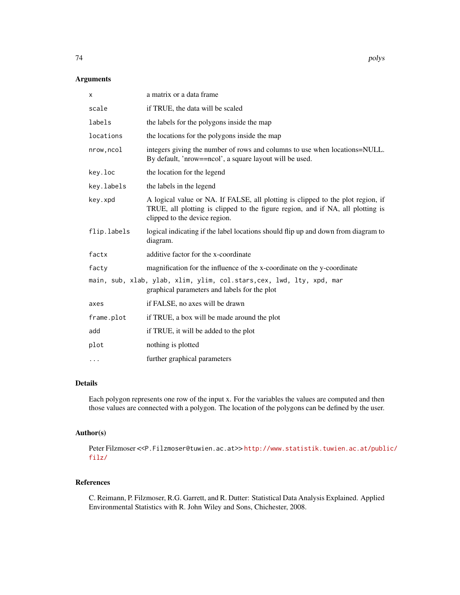# Arguments

| х           | a matrix or a data frame                                                                                                                                                                           |
|-------------|----------------------------------------------------------------------------------------------------------------------------------------------------------------------------------------------------|
| scale       | if TRUE, the data will be scaled                                                                                                                                                                   |
| labels      | the labels for the polygons inside the map                                                                                                                                                         |
| locations   | the locations for the polygons inside the map                                                                                                                                                      |
| nrow, ncol  | integers giving the number of rows and columns to use when locations=NULL.<br>By default, 'nrow==ncol', a square layout will be used.                                                              |
| key.loc     | the location for the legend                                                                                                                                                                        |
| key.labels  | the labels in the legend                                                                                                                                                                           |
| key.xpd     | A logical value or NA. If FALSE, all plotting is clipped to the plot region, if<br>TRUE, all plotting is clipped to the figure region, and if NA, all plotting is<br>clipped to the device region. |
| flip.labels | logical indicating if the label locations should flip up and down from diagram to<br>diagram.                                                                                                      |
| factx       | additive factor for the x-coordinate                                                                                                                                                               |
| facty       | magnification for the influence of the x-coordinate on the y-coordinate                                                                                                                            |
|             | main, sub, xlab, ylab, xlim, ylim, col.stars, cex, lwd, lty, xpd, mar<br>graphical parameters and labels for the plot                                                                              |
| axes        | if FALSE, no axes will be drawn                                                                                                                                                                    |
| frame.plot  | if TRUE, a box will be made around the plot                                                                                                                                                        |
| add         | if TRUE, it will be added to the plot                                                                                                                                                              |
| plot        | nothing is plotted                                                                                                                                                                                 |
| $\cdots$    | further graphical parameters                                                                                                                                                                       |

# Details

Each polygon represents one row of the input x. For the variables the values are computed and then those values are connected with a polygon. The location of the polygons can be defined by the user.

# Author(s)

Peter Filzmoser <<P.Filzmoser@tuwien.ac.at>> [http://www.statistik.tuwien.ac.at/publ](http://www.statistik.tuwien.ac.at/public/filz/)ic/ [filz/](http://www.statistik.tuwien.ac.at/public/filz/)

# References

C. Reimann, P. Filzmoser, R.G. Garrett, and R. Dutter: Statistical Data Analysis Explained. Applied Environmental Statistics with R. John Wiley and Sons, Chichester, 2008.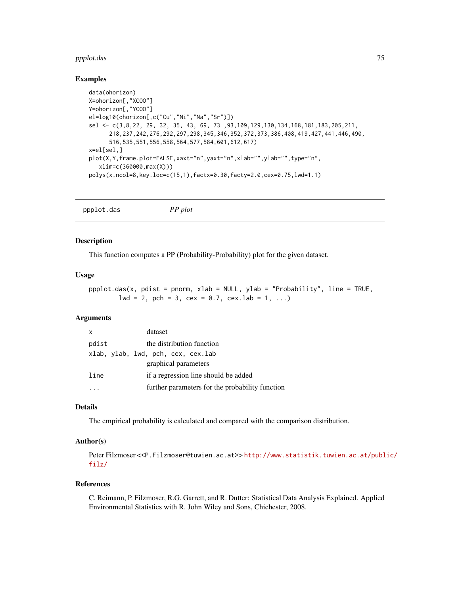# ppplot.das 75

#### Examples

```
data(ohorizon)
X=ohorizon[,"XCOO"]
Y=ohorizon[,"YCOO"]
el=log10(ohorizon[,c("Cu","Ni","Na","Sr")])
sel <- c(3,8,22, 29, 32, 35, 43, 69, 73 ,93,109,129,130,134,168,181,183,205,211,
      218,237,242,276,292,297,298,345,346,352,372,373,386,408,419,427,441,446,490,
      516,535,551,556,558,564,577,584,601,612,617)
x=el[sel,]
plot(X,Y,frame.plot=FALSE,xaxt="n",yaxt="n",xlab="",ylab="",type="n",
  xlim=c(360000,max(X)))
polys(x,ncol=8,key.loc=c(15,1),factx=0.30,facty=2.0,cex=0.75,lwd=1.1)
```
ppplot.das *PP plot*

## Description

This function computes a PP (Probability-Probability) plot for the given dataset.

#### Usage

ppplot.das(x, pdist = pnorm, xlab = NULL, ylab = "Probability", line = TRUE,  $1wd = 2$ , pch = 3, cex = 0.7, cex.  $1ab = 1, ...$ 

# Arguments

| x     | dataset                                         |
|-------|-------------------------------------------------|
| pdist | the distribution function                       |
|       | xlab, ylab, lwd, pch, cex, cex.lab              |
|       | graphical parameters                            |
| line  | if a regression line should be added            |
|       | further parameters for the probability function |

## Details

The empirical probability is calculated and compared with the comparison distribution.

## Author(s)

Peter Filzmoser <<P.Filzmoser@tuwien.ac.at>> [http://www.statistik.tuwien.ac.at/publ](http://www.statistik.tuwien.ac.at/public/filz/)ic/ [filz/](http://www.statistik.tuwien.ac.at/public/filz/)

#### References

C. Reimann, P. Filzmoser, R.G. Garrett, and R. Dutter: Statistical Data Analysis Explained. Applied Environmental Statistics with R. John Wiley and Sons, Chichester, 2008.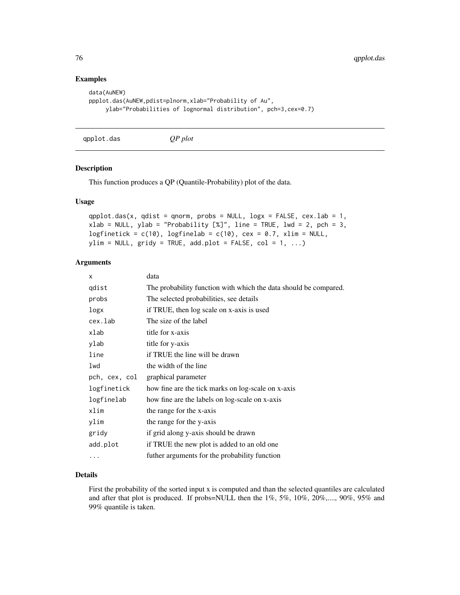## Examples

```
data(AuNEW)
ppplot.das(AuNEW,pdist=plnorm,xlab="Probability of Au",
    ylab="Probabilities of lognormal distribution", pch=3,cex=0.7)
```
qpplot.das *QP plot*

#### Description

This function produces a QP (Quantile-Probability) plot of the data.

## Usage

```
qpplot.das(x, qdist = qnorm, probs = NULL, \log x = FALSE, cex.lab = 1,
xlab = NULL, ylab = "Probability [\%]", line = TRUE, lwd = 2, pch = 3,
logfinetick = c(10), logfinelab = c(10), cex = 0.7, xlim = NULL,
ylim = NULL, gridy = TRUE, add.plot = FALSE, col = 1, ...)
```
# Arguments

| X             | data                                                             |
|---------------|------------------------------------------------------------------|
| qdist         | The probability function with which the data should be compared. |
| probs         | The selected probabilities, see details                          |
| logx          | if TRUE, then log scale on x-axis is used                        |
| cex.lab       | The size of the label                                            |
| xlab          | title for x-axis                                                 |
| ylab          | title for y-axis                                                 |
| line          | if TRUE the line will be drawn                                   |
| lwd           | the width of the line                                            |
| pch, cex, col | graphical parameter                                              |
| logfinetick   | how fine are the tick marks on log-scale on x-axis               |
| logfinelab    | how fine are the labels on log-scale on x-axis                   |
| xlim          | the range for the x-axis                                         |
| ylim          | the range for the y-axis                                         |
| gridy         | if grid along y-axis should be drawn                             |
| add.plot      | if TRUE the new plot is added to an old one                      |
| .             | futher arguments for the probability function                    |

# Details

First the probability of the sorted input x is computed and than the selected quantiles are calculated and after that plot is produced. If probs=NULL then the 1%, 5%, 10%, 20%,...., 90%, 95% and 99% quantile is taken.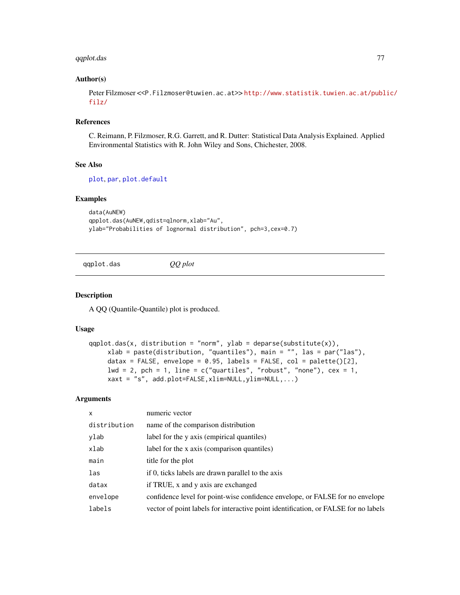# qqplot.das 77

## Author(s)

Peter Filzmoser <<P.Filzmoser@tuwien.ac.at>> [http://www.statistik.tuwien.ac.at/publ](http://www.statistik.tuwien.ac.at/public/filz/)ic/ [filz/](http://www.statistik.tuwien.ac.at/public/filz/)

#### References

C. Reimann, P. Filzmoser, R.G. Garrett, and R. Dutter: Statistical Data Analysis Explained. Applied Environmental Statistics with R. John Wiley and Sons, Chichester, 2008.

## See Also

[plot](#page-0-0), [par](#page-0-0), [plot.default](#page-0-0)

# Examples

```
data(AuNEW)
qpplot.das(AuNEW,qdist=qlnorm,xlab="Au",
ylab="Probabilities of lognormal distribution", pch=3,cex=0.7)
```
qqplot.das *QQ plot*

#### Description

A QQ (Quantile-Quantile) plot is produced.

#### Usage

```
qqplot.das(x, distribution = "norm", ylab = deparse(substitute(x)),
    xlab = paste(distribution, "quantiles"), main = "", las = par("las"),
    datax = FALSE, envelope = 0.95, labels = FALSE, col = palette()[2],
    lwd = 2, pch = 1, line = c("quartiles", "robust", "none"), cex = 1,xaxt = "s", add.plot=FALSE,xlim=NULL,ylim=NULL,...)
```
#### **Arguments**

| $\mathsf{x}$ | numeric vector                                                                      |
|--------------|-------------------------------------------------------------------------------------|
| distribution | name of the comparison distribution                                                 |
| ylab         | label for the y axis (empirical quantiles)                                          |
| xlab         | label for the x axis (comparison quantiles)                                         |
| main         | title for the plot                                                                  |
| las          | if 0, ticks labels are drawn parallel to the axis                                   |
| datax        | if TRUE, x and y axis are exchanged                                                 |
| envelope     | confidence level for point-wise confidence envelope, or FALSE for no envelope       |
| labels       | vector of point labels for interactive point identification, or FALSE for no labels |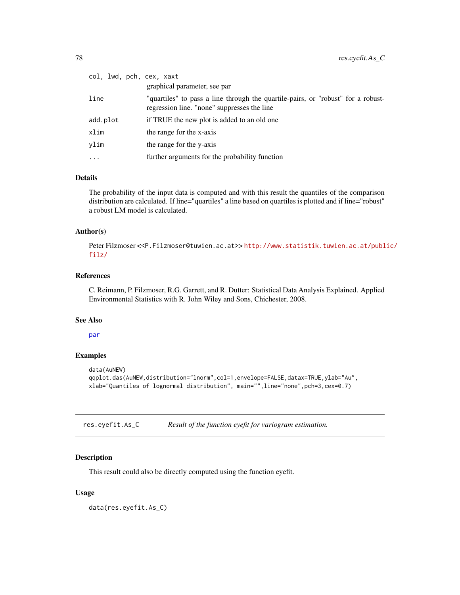| col, lwd, pch, cex, xaxt | graphical parameter, see par                                                                                                    |
|--------------------------|---------------------------------------------------------------------------------------------------------------------------------|
| line                     | "quartiles" to pass a line through the quartile-pairs, or "robust" for a robust-<br>regression line. "none" suppresses the line |
| add.plot                 | if TRUE the new plot is added to an old one                                                                                     |
| xlim                     | the range for the x-axis                                                                                                        |
| vlim                     | the range for the y-axis                                                                                                        |
| $\cdots$                 | further arguments for the probability function                                                                                  |

# Details

The probability of the input data is computed and with this result the quantiles of the comparison distribution are calculated. If line="quartiles" a line based on quartiles is plotted and if line="robust" a robust LM model is calculated.

## Author(s)

Peter Filzmoser <<P.Filzmoser@tuwien.ac.at>> [http://www.statistik.tuwien.ac.at/publ](http://www.statistik.tuwien.ac.at/public/filz/)ic/ [filz/](http://www.statistik.tuwien.ac.at/public/filz/)

## References

C. Reimann, P. Filzmoser, R.G. Garrett, and R. Dutter: Statistical Data Analysis Explained. Applied Environmental Statistics with R. John Wiley and Sons, Chichester, 2008.

## See Also

[par](#page-0-0)

# Examples

```
data(AuNEW)
qqplot.das(AuNEW,distribution="lnorm",col=1,envelope=FALSE,datax=TRUE,ylab="Au",
xlab="Quantiles of lognormal distribution", main="",line="none",pch=3,cex=0.7)
```
res.eyefit.As\_C *Result of the function eyefit for variogram estimation.*

#### Description

This result could also be directly computed using the function eyefit.

# Usage

data(res.eyefit.As\_C)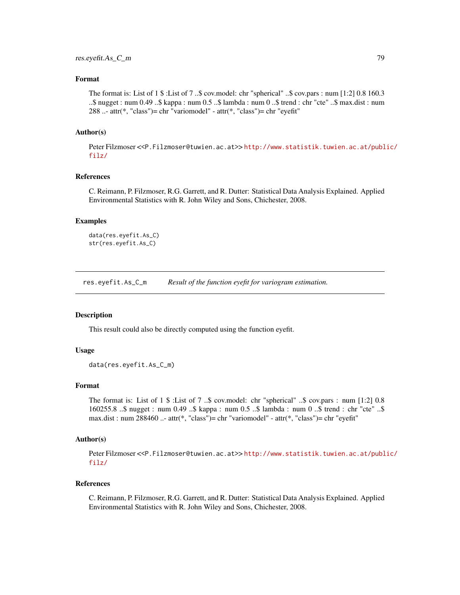# Format

The format is: List of 1 \$ :List of 7 ..\$ cov.model: chr "spherical" ..\$ cov.pars : num [1:2] 0.8 160.3 ..\$ nugget : num 0.49 ..\$ kappa : num 0.5 ..\$ lambda : num 0 ..\$ trend : chr "cte" ..\$ max.dist : num 288 ..- attr(\*, "class")= chr "variomodel" - attr(\*, "class")= chr "eyefit"

## Author(s)

Peter Filzmoser <<P.Filzmoser@tuwien.ac.at>>[http://www.statistik.tuwien.ac.at/publ](http://www.statistik.tuwien.ac.at/public/filz/)ic/ [filz/](http://www.statistik.tuwien.ac.at/public/filz/)

## References

C. Reimann, P. Filzmoser, R.G. Garrett, and R. Dutter: Statistical Data Analysis Explained. Applied Environmental Statistics with R. John Wiley and Sons, Chichester, 2008.

## Examples

```
data(res.eyefit.As_C)
str(res.eyefit.As_C)
```
res.eyefit.As\_C\_m *Result of the function eyefit for variogram estimation.*

#### Description

This result could also be directly computed using the function eyefit.

## Usage

```
data(res.eyefit.As_C_m)
```
## Format

The format is: List of 1 \$ :List of 7 ..\$ cov.model: chr "spherical" ..\$ cov.pars : num [1:2] 0.8 160255.8 ..\$ nugget : num 0.49 ..\$ kappa : num 0.5 ..\$ lambda : num 0 ..\$ trend : chr "cte" ..\$ max.dist : num 288460 ..- attr(\*, "class")= chr "variomodel" - attr(\*, "class")= chr "eyefit"

#### Author(s)

Peter Filzmoser <<P.Filzmoser@tuwien.ac.at>> [http://www.statistik.tuwien.ac.at/publ](http://www.statistik.tuwien.ac.at/public/filz/)ic/ [filz/](http://www.statistik.tuwien.ac.at/public/filz/)

#### References

C. Reimann, P. Filzmoser, R.G. Garrett, and R. Dutter: Statistical Data Analysis Explained. Applied Environmental Statistics with R. John Wiley and Sons, Chichester, 2008.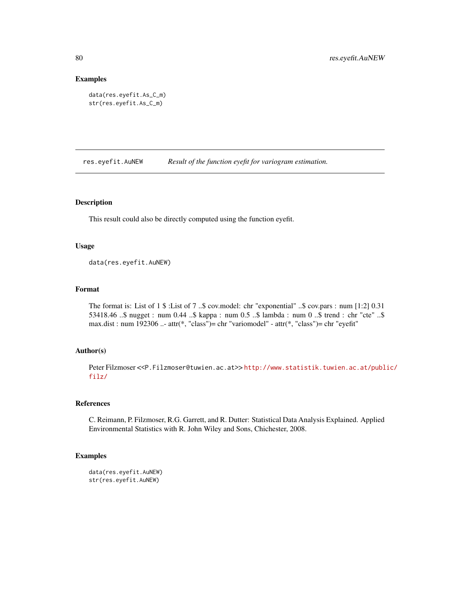#### Examples

```
data(res.eyefit.As_C_m)
str(res.eyefit.As_C_m)
```
res.eyefit.AuNEW *Result of the function eyefit for variogram estimation.*

# Description

This result could also be directly computed using the function eyefit.

## Usage

data(res.eyefit.AuNEW)

## Format

The format is: List of 1 \$ :List of 7 ..\$ cov.model: chr "exponential" ..\$ cov.pars : num [1:2] 0.31 53418.46 ..\$ nugget : num 0.44 ..\$ kappa : num 0.5 ..\$ lambda : num 0 ..\$ trend : chr "cte" ..\$ max.dist : num 192306 ..- attr(\*, "class")= chr "variomodel" - attr(\*, "class")= chr "eyefit"

## Author(s)

Peter Filzmoser <<P.Filzmoser@tuwien.ac.at>> [http://www.statistik.tuwien.ac.at/publ](http://www.statistik.tuwien.ac.at/public/filz/)ic/ [filz/](http://www.statistik.tuwien.ac.at/public/filz/)

# References

C. Reimann, P. Filzmoser, R.G. Garrett, and R. Dutter: Statistical Data Analysis Explained. Applied Environmental Statistics with R. John Wiley and Sons, Chichester, 2008.

#### Examples

```
data(res.eyefit.AuNEW)
str(res.eyefit.AuNEW)
```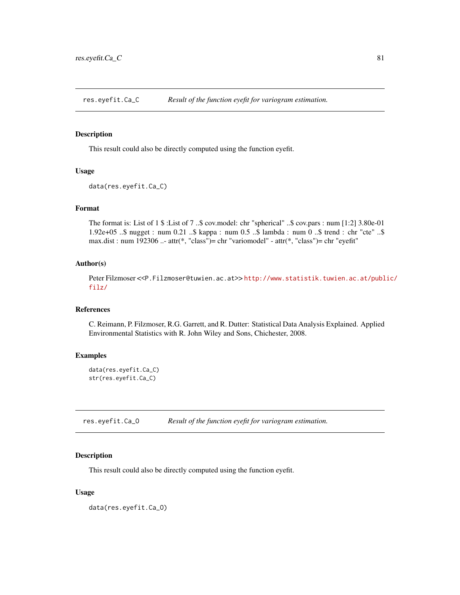res.eyefit.Ca\_C *Result of the function eyefit for variogram estimation.*

## Description

This result could also be directly computed using the function eyefit.

## Usage

```
data(res.eyefit.Ca_C)
```
#### Format

The format is: List of 1 \$ :List of 7 ..\$ cov.model: chr "spherical" ..\$ cov.pars : num [1:2] 3.80e-01 1.92e+05 ..\$ nugget : num 0.21 ..\$ kappa : num 0.5 ..\$ lambda : num 0 ..\$ trend : chr "cte" ..\$ max.dist : num 192306 ..- attr(\*, "class")= chr "variomodel" - attr(\*, "class")= chr "eyefit"

## Author(s)

Peter Filzmoser <<P.Filzmoser@tuwien.ac.at>> [http://www.statistik.tuwien.ac.at/publ](http://www.statistik.tuwien.ac.at/public/filz/)ic/ [filz/](http://www.statistik.tuwien.ac.at/public/filz/)

# References

C. Reimann, P. Filzmoser, R.G. Garrett, and R. Dutter: Statistical Data Analysis Explained. Applied Environmental Statistics with R. John Wiley and Sons, Chichester, 2008.

# Examples

data(res.eyefit.Ca\_C) str(res.eyefit.Ca\_C)

res.eyefit.Ca\_O *Result of the function eyefit for variogram estimation.*

#### Description

This result could also be directly computed using the function eyefit.

# Usage

data(res.eyefit.Ca\_O)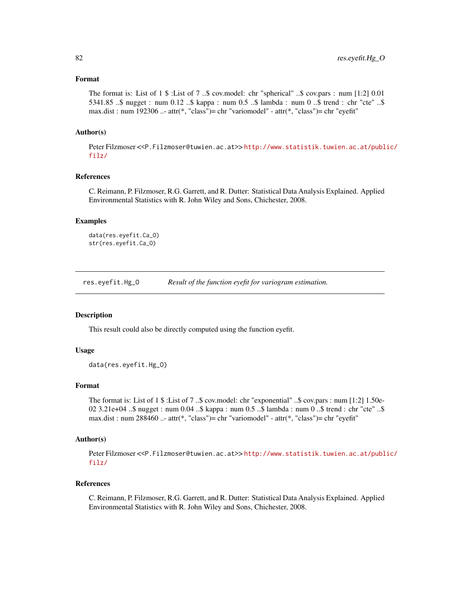## Format

The format is: List of 1 \$ :List of 7 ..\$ cov.model: chr "spherical" ..\$ cov.pars : num [1:2] 0.01 5341.85 ..\$ nugget : num 0.12 ..\$ kappa : num 0.5 ..\$ lambda : num 0 ..\$ trend : chr "cte" ..\$ max.dist : num 192306 ..- attr(\*, "class")= chr "variomodel" - attr(\*, "class")= chr "eyefit"

## Author(s)

Peter Filzmoser <<P.Filzmoser@tuwien.ac.at>>[http://www.statistik.tuwien.ac.at/publ](http://www.statistik.tuwien.ac.at/public/filz/)ic/ [filz/](http://www.statistik.tuwien.ac.at/public/filz/)

#### References

C. Reimann, P. Filzmoser, R.G. Garrett, and R. Dutter: Statistical Data Analysis Explained. Applied Environmental Statistics with R. John Wiley and Sons, Chichester, 2008.

## Examples

```
data(res.eyefit.Ca_O)
str(res.eyefit.Ca_O)
```
res.eyefit.Hg\_O *Result of the function eyefit for variogram estimation.*

## **Description**

This result could also be directly computed using the function eyefit.

## Usage

```
data(res.eyefit.Hg_O)
```
## Format

The format is: List of 1 \$ :List of 7 ..\$ cov.model: chr "exponential" ..\$ cov.pars : num [1:2] 1.50e-02 3.21e+04 ..\$ nugget : num 0.04 ..\$ kappa : num 0.5 ..\$ lambda : num 0 ..\$ trend : chr "cte" ..\$ max.dist : num 288460 ..- attr(\*, "class")= chr "variomodel" - attr(\*, "class")= chr "eyefit"

#### Author(s)

Peter Filzmoser <<P.Filzmoser@tuwien.ac.at>> [http://www.statistik.tuwien.ac.at/publ](http://www.statistik.tuwien.ac.at/public/filz/)ic/ [filz/](http://www.statistik.tuwien.ac.at/public/filz/)

#### References

C. Reimann, P. Filzmoser, R.G. Garrett, and R. Dutter: Statistical Data Analysis Explained. Applied Environmental Statistics with R. John Wiley and Sons, Chichester, 2008.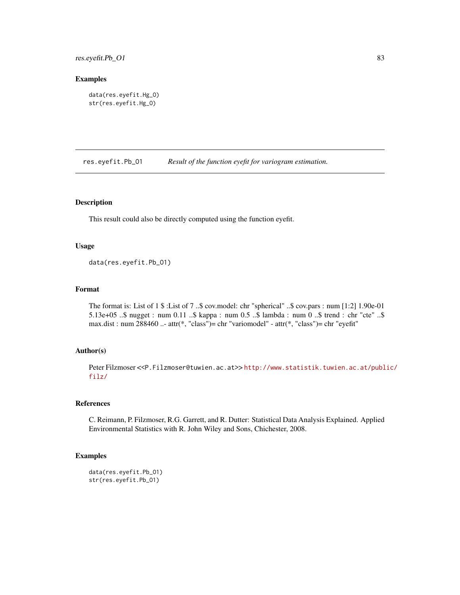res.eyefit.Pb\_O1 83

## Examples

```
data(res.eyefit.Hg_O)
str(res.eyefit.Hg_O)
```
res.eyefit.Pb\_O1 *Result of the function eyefit for variogram estimation.*

# Description

This result could also be directly computed using the function eyefit.

## Usage

data(res.eyefit.Pb\_O1)

## Format

The format is: List of 1 \$ :List of 7 ..\$ cov.model: chr "spherical" ..\$ cov.pars : num [1:2] 1.90e-01 5.13e+05 ..\$ nugget : num 0.11 ..\$ kappa : num 0.5 ..\$ lambda : num 0 ..\$ trend : chr "cte" ..\$ max.dist : num 288460 ..- attr(\*, "class")= chr "variomodel" - attr(\*, "class")= chr "eyefit"

## Author(s)

Peter Filzmoser <<P.Filzmoser@tuwien.ac.at>> [http://www.statistik.tuwien.ac.at/publ](http://www.statistik.tuwien.ac.at/public/filz/)ic/ [filz/](http://www.statistik.tuwien.ac.at/public/filz/)

# References

C. Reimann, P. Filzmoser, R.G. Garrett, and R. Dutter: Statistical Data Analysis Explained. Applied Environmental Statistics with R. John Wiley and Sons, Chichester, 2008.

#### Examples

```
data(res.eyefit.Pb_O1)
str(res.eyefit.Pb_O1)
```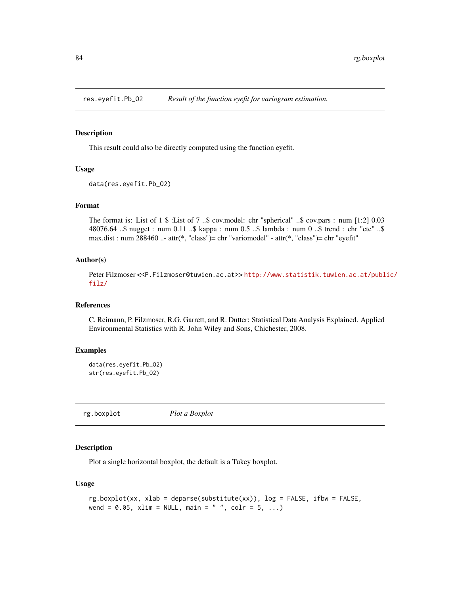## Description

This result could also be directly computed using the function eyefit.

# Usage

```
data(res.eyefit.Pb_O2)
```
# Format

The format is: List of 1 \$ :List of 7 ..\$ cov.model: chr "spherical" ..\$ cov.pars : num [1:2] 0.03 48076.64 ..\$ nugget : num 0.11 ..\$ kappa : num 0.5 ..\$ lambda : num 0 ..\$ trend : chr "cte" ..\$ max.dist : num 288460 ..- attr(\*, "class")= chr "variomodel" - attr(\*, "class")= chr "eyefit"

# Author(s)

Peter Filzmoser <<P.Filzmoser@tuwien.ac.at>> [http://www.statistik.tuwien.ac.at/publ](http://www.statistik.tuwien.ac.at/public/filz/)ic/ [filz/](http://www.statistik.tuwien.ac.at/public/filz/)

# References

C. Reimann, P. Filzmoser, R.G. Garrett, and R. Dutter: Statistical Data Analysis Explained. Applied Environmental Statistics with R. John Wiley and Sons, Chichester, 2008.

## Examples

```
data(res.eyefit.Pb_O2)
str(res.eyefit.Pb_O2)
```
rg.boxplot *Plot a Boxplot*

# Description

Plot a single horizontal boxplot, the default is a Tukey boxplot.

## Usage

```
rg.boxplot(xx, xlab = deparse(substitute(xx)), log = FALSE, ifbw = FALSE,
wend = 0.05, xlim = NULL, main = " ", colr = 5, ...)
```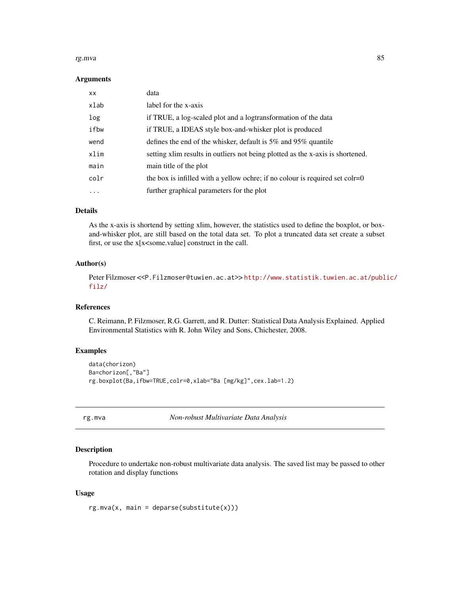#### rg.mva 85

#### Arguments

| XX.  | data                                                                           |
|------|--------------------------------------------------------------------------------|
| xlab | label for the x-axis                                                           |
| log  | if TRUE, a log-scaled plot and a logtransformation of the data                 |
| ifbw | if TRUE, a IDEAS style box-and-whisker plot is produced                        |
| wend | defines the end of the whisker, default is $5\%$ and $95\%$ quantile           |
| xlim | setting xlim results in outliers not being plotted as the x-axis is shortened. |
| main | main title of the plot                                                         |
| colr | the box is infilled with a yellow ochre; if no colour is required set $colr=0$ |
| .    | further graphical parameters for the plot                                      |

## Details

As the x-axis is shortend by setting xlim, however, the statistics used to define the boxplot, or boxand-whisker plot, are still based on the total data set. To plot a truncated data set create a subset first, or use the x[x<some.value] construct in the call.

## Author(s)

Peter Filzmoser <<P.Filzmoser@tuwien.ac.at>> [http://www.statistik.tuwien.ac.at/publ](http://www.statistik.tuwien.ac.at/public/filz/)ic/ [filz/](http://www.statistik.tuwien.ac.at/public/filz/)

# References

C. Reimann, P. Filzmoser, R.G. Garrett, and R. Dutter: Statistical Data Analysis Explained. Applied Environmental Statistics with R. John Wiley and Sons, Chichester, 2008.

# Examples

```
data(chorizon)
Ba=chorizon[,"Ba"]
rg.boxplot(Ba,ifbw=TRUE,colr=0,xlab="Ba [mg/kg]",cex.lab=1.2)
```
rg.mva *Non-robust Multivariate Data Analysis*

## Description

Procedure to undertake non-robust multivariate data analysis. The saved list may be passed to other rotation and display functions

#### Usage

 $rg.mva(x, main = deparse(substitute(x)))$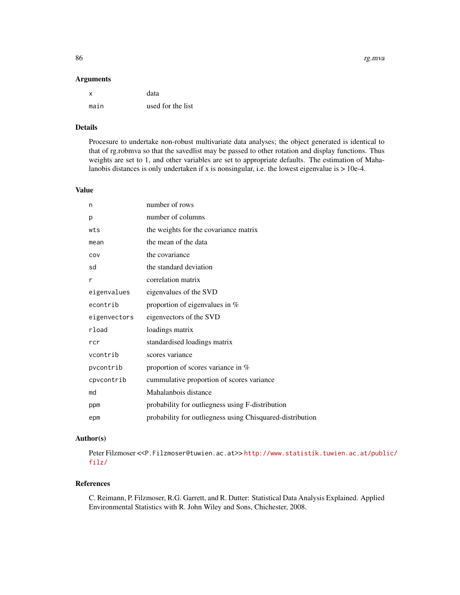#### Arguments

| x    | data              |
|------|-------------------|
| main | used for the list |

## Details

Procesure to undertake non-robust multivariate data analyses; the object generated is identical to that of rg.robmva so that the savedlist may be passed to other rotation and display functions. Thus weights are set to 1, and other variables are set to appropriate defaults. The estimation of Mahalanobis distances is only undertaken if x is nonsingular, i.e. the lowest eigenvalue is > 10e-4.

# Value

| n            | number of rows                                            |
|--------------|-----------------------------------------------------------|
| p            | number of columns                                         |
| wts          | the weights for the covariance matrix                     |
| mean         | the mean of the data                                      |
| COV          | the covariance                                            |
| sd           | the standard deviation                                    |
| r            | correlation matrix                                        |
| eigenvalues  | eigenvalues of the SVD                                    |
| econtrib     | proportion of eigenvalues in $%$                          |
| eigenvectors | eigenvectors of the SVD                                   |
| rload        | loadings matrix                                           |
| rcr          | standardised loadings matrix                              |
| vcontrib     | scores variance                                           |
| pycontrib    | proportion of scores variance in %                        |
| cpvcontrib   | cummulative proportion of scores variance                 |
| md           | Mahalanbois distance                                      |
| ppm          | probability for outliegness using F-distribution          |
| epm          | probability for outliegness using Chisquared-distribution |

# Author(s)

Peter Filzmoser <<P.Filzmoser@tuwien.ac.at>>[http://www.statistik.tuwien.ac.at/publ](http://www.statistik.tuwien.ac.at/public/filz/)ic/ [filz/](http://www.statistik.tuwien.ac.at/public/filz/)

# References

C. Reimann, P. Filzmoser, R.G. Garrett, and R. Dutter: Statistical Data Analysis Explained. Applied Environmental Statistics with R. John Wiley and Sons, Chichester, 2008.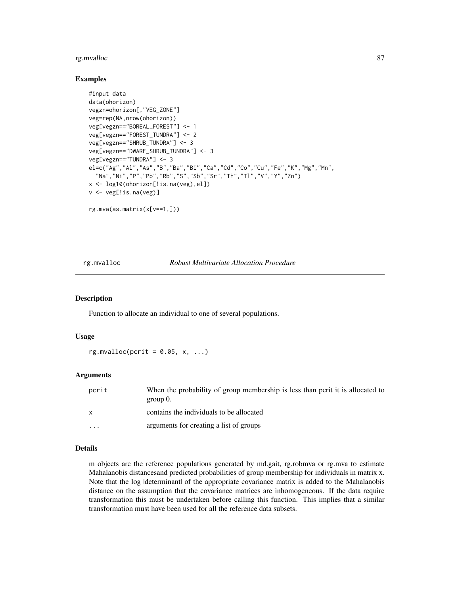#### rg.mvalloc 87

## Examples

```
#input data
data(ohorizon)
vegzn=ohorizon[,"VEG_ZONE"]
veg=rep(NA,nrow(ohorizon))
veg[vegzn=="BOREAL_FOREST"] <- 1
veg[vegzn=="FOREST_TUNDRA"] <- 2
veg[vegzn=="SHRUB_TUNDRA"] <- 3
veg[vegzn=="DWARF_SHRUB_TUNDRA"] <- 3
veg[vegzn=="TUNDRA"] <- 3
el=c("Ag","Al","As","B","Ba","Bi","Ca","Cd","Co","Cu","Fe","K","Mg","Mn",
  "Na","Ni","P","Pb","Rb","S","Sb","Sr","Th","Tl","V","Y","Zn")
x <- log10(ohorizon[!is.na(veg),el])
v <- veg[!is.na(veg)]
rg.mva(as.matrix(x[v==1,]))
```
## rg.mvalloc *Robust Multivariate Allocation Procedure*

## Description

Function to allocate an individual to one of several populations.

#### Usage

 $rg.mvalloc(pcrit = 0.05, x, ...)$ 

#### Arguments

| pcrit                   | When the probability of group membership is less than perit it is allocated to<br>group $0$ . |
|-------------------------|-----------------------------------------------------------------------------------------------|
| X                       | contains the individuals to be allocated                                                      |
| $\cdot$ $\cdot$ $\cdot$ | arguments for creating a list of groups                                                       |

#### Details

m objects are the reference populations generated by md.gait, rg.robmva or rg.mva to estimate Mahalanobis distancesand predicted probabilities of group membership for individuals in matrix x. Note that the log ldeterminant of the appropriate covariance matrix is added to the Mahalanobis distance on the assumption that the covariance matrices are inhomogeneous. If the data require transformation this must be undertaken before calling this function. This implies that a similar transformation must have been used for all the reference data subsets.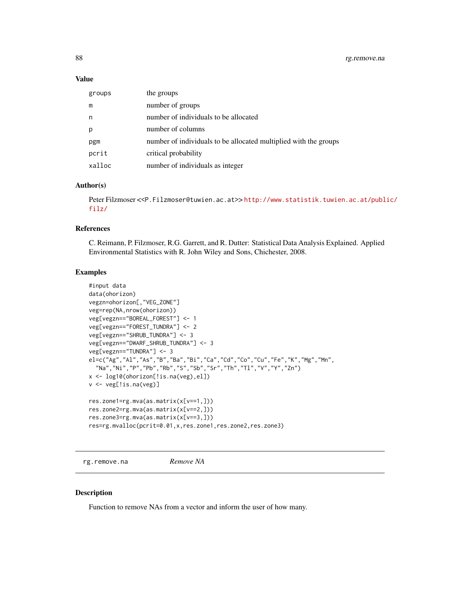## Value

| groups | the groups                                                       |
|--------|------------------------------------------------------------------|
| m      | number of groups                                                 |
| n      | number of individuals to be allocated                            |
| p      | number of columns                                                |
| pgm    | number of individuals to be allocated multiplied with the groups |
| pcrit  | critical probability                                             |
| xalloc | number of individuals as integer                                 |

#### Author(s)

Peter Filzmoser <<P.Filzmoser@tuwien.ac.at>> [http://www.statistik.tuwien.ac.at/publ](http://www.statistik.tuwien.ac.at/public/filz/)ic/ [filz/](http://www.statistik.tuwien.ac.at/public/filz/)

# References

C. Reimann, P. Filzmoser, R.G. Garrett, and R. Dutter: Statistical Data Analysis Explained. Applied Environmental Statistics with R. John Wiley and Sons, Chichester, 2008.

## Examples

```
#input data
data(ohorizon)
vegzn=ohorizon[,"VEG_ZONE"]
veg=rep(NA,nrow(ohorizon))
veg[vegzn=="BOREAL_FOREST"] <- 1
veg[vegzn=="FOREST_TUNDRA"] <- 2
veg[vegzn=="SHRUB_TUNDRA"] <- 3
veg[vegzn=="DWARF_SHRUB_TUNDRA"] <- 3
veg[vegzn=="TUNDRA"] <- 3
el=c("Ag","Al","As","B","Ba","Bi","Ca","Cd","Co","Cu","Fe","K","Mg","Mn",
  "Na","Ni","P","Pb","Rb","S","Sb","Sr","Th","Tl","V","Y","Zn")
x <- log10(ohorizon[!is.na(veg),el])
v <- veg[!is.na(veg)]
res.zone1=rg.mva(as.matrix(x[v==1,]))
res.zone2=rg.mva(as.matrix(x[v==2,]))
res.zone3=rg.mva(as.matrix(x[v==3,]))
res=rg.mvalloc(pcrit=0.01,x,res.zone1,res.zone2,res.zone3)
```
rg.remove.na *Remove NA*

## Description

Function to remove NAs from a vector and inform the user of how many.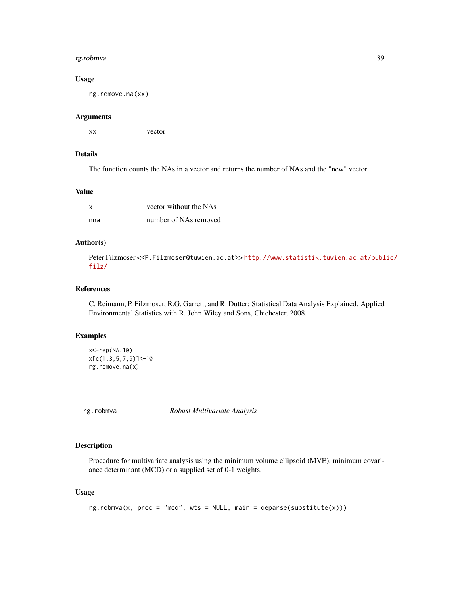#### rg.robmva 89

## Usage

rg.remove.na(xx)

#### Arguments

xx vector

## Details

The function counts the NAs in a vector and returns the number of NAs and the "new" vector.

#### Value

| X   | vector without the NAs |
|-----|------------------------|
| nna | number of NAs removed  |

# Author(s)

Peter Filzmoser <<P.Filzmoser@tuwien.ac.at>>[http://www.statistik.tuwien.ac.at/publ](http://www.statistik.tuwien.ac.at/public/filz/)ic/ [filz/](http://www.statistik.tuwien.ac.at/public/filz/)

# References

C. Reimann, P. Filzmoser, R.G. Garrett, and R. Dutter: Statistical Data Analysis Explained. Applied Environmental Statistics with R. John Wiley and Sons, Chichester, 2008.

# Examples

```
x<-rep(NA,10)
x[c(1,3,5,7,9)] < -10
rg.remove.na(x)
```
rg.robmva *Robust Multivariate Analysis*

# Description

Procedure for multivariate analysis using the minimum volume ellipsoid (MVE), minimum covariance determinant (MCD) or a supplied set of 0-1 weights.

# Usage

```
rg.robmva(x, proc = "mcd", wts = NULL, main = deparse(substitute(x)))
```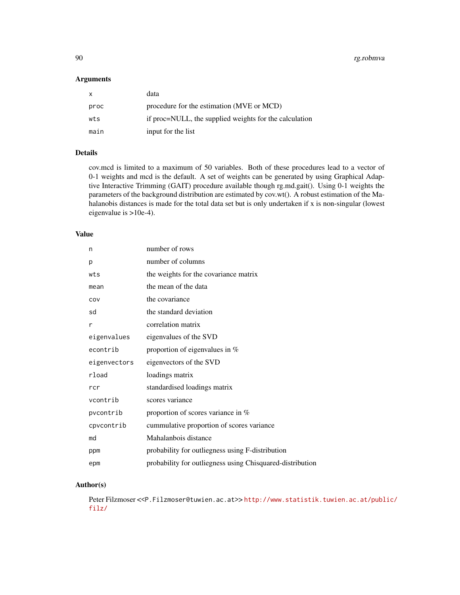90 rg.robmva

## Arguments

| X    | data                                                   |
|------|--------------------------------------------------------|
| proc | procedure for the estimation (MVE or MCD)              |
| wts  | if proc=NULL, the supplied weights for the calculation |
| main | input for the list                                     |

# Details

cov.mcd is limited to a maximum of 50 variables. Both of these procedures lead to a vector of 0-1 weights and mcd is the default. A set of weights can be generated by using Graphical Adaptive Interactive Trimming (GAIT) procedure available though rg.md.gait(). Using 0-1 weights the parameters of the background distribution are estimated by cov.wt(). A robust estimation of the Mahalanobis distances is made for the total data set but is only undertaken if x is non-singular (lowest eigenvalue is >10e-4).

#### Value

| n            | number of rows                                            |
|--------------|-----------------------------------------------------------|
| p            | number of columns                                         |
| wts          | the weights for the covariance matrix                     |
| mean         | the mean of the data                                      |
| COV          | the covariance                                            |
| sd           | the standard deviation                                    |
| r            | correlation matrix                                        |
| eigenvalues  | eigenvalues of the SVD                                    |
| econtrib     | proportion of eigenvalues in $%$                          |
| eigenvectors | eigenvectors of the SVD                                   |
| rload        | loadings matrix                                           |
| rcr          | standardised loadings matrix                              |
| vcontrib     | scores variance                                           |
| pvcontrib    | proportion of scores variance in $%$                      |
| cpvcontrib   | cummulative proportion of scores variance                 |
| md           | Mahalanbois distance                                      |
| ppm          | probability for outliegness using F-distribution          |
| epm          | probability for outliegness using Chisquared-distribution |

# Author(s)

Peter Filzmoser <<P.Filzmoser@tuwien.ac.at>> [http://www.statistik.tuwien.ac.at/publ](http://www.statistik.tuwien.ac.at/public/filz/)ic/ [filz/](http://www.statistik.tuwien.ac.at/public/filz/)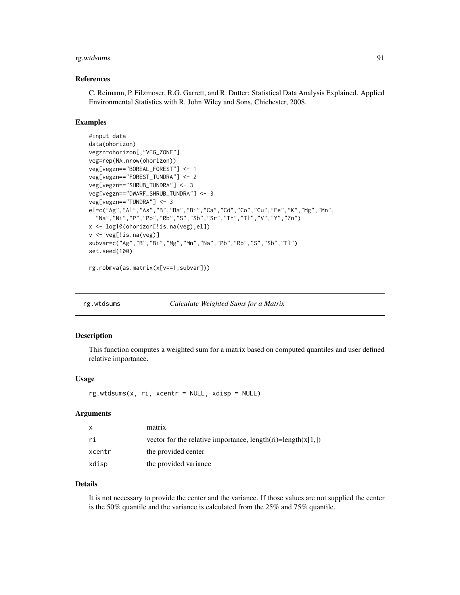# rg.wtdsums 91

#### References

C. Reimann, P. Filzmoser, R.G. Garrett, and R. Dutter: Statistical Data Analysis Explained. Applied Environmental Statistics with R. John Wiley and Sons, Chichester, 2008.

## Examples

```
#input data
data(ohorizon)
vegzn=ohorizon[,"VEG_ZONE"]
veg=rep(NA,nrow(ohorizon))
veg[vegzn=="BOREAL_FOREST"] <- 1
veg[vegzn=="FOREST_TUNDRA"] <- 2
veg[vegzn=="SHRUB_TUNDRA"] <- 3
veg[vegzn=="DWARF_SHRUB_TUNDRA"] <- 3
veg[vegzn=="TUNDRA"] <- 3
el=c("Ag","Al","As","B","Ba","Bi","Ca","Cd","Co","Cu","Fe","K","Mg","Mn",
  "Na","Ni","P","Pb","Rb","S","Sb","Sr","Th","Tl","V","Y","Zn")
x <- log10(ohorizon[!is.na(veg),el])
v <- veg[!is.na(veg)]
subvar=c("Ag","B","Bi","Mg","Mn","Na","Pb","Rb","S","Sb","Tl")
set.seed(100)
```

```
rg.robmva(as.matrix(x[v==1,subvar]))
```

| rg.wtdsums | Calculate Weighted Sums for a Matrix |
|------------|--------------------------------------|
|            |                                      |

#### Description

This function computes a weighted sum for a matrix based on computed quantiles and user defined relative importance.

#### Usage

rg.wtdsums(x, ri, xcentr = NULL, xdisp = NULL)

#### Arguments

| $\mathsf{x}$ | matrix                                                         |
|--------------|----------------------------------------------------------------|
| ri           | vector for the relative importance, $length(ri)=length(x[1,])$ |
| xcentr       | the provided center                                            |
| xdisp        | the provided variance                                          |

## Details

It is not necessary to provide the center and the variance. If those values are not supplied the center is the 50% quantile and the variance is calculated from the 25% and 75% quantile.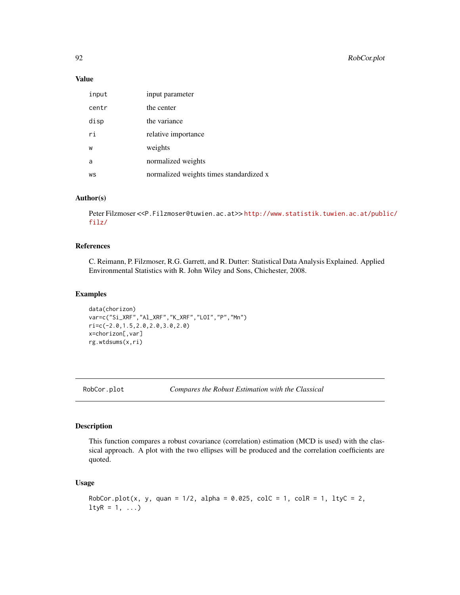## Value

| input | input parameter                         |
|-------|-----------------------------------------|
| centr | the center                              |
| disp  | the variance                            |
| ri    | relative importance                     |
| W     | weights                                 |
| a     | normalized weights                      |
| WS    | normalized weights times standardized x |

# Author(s)

Peter Filzmoser <<P.Filzmoser@tuwien.ac.at>> [http://www.statistik.tuwien.ac.at/publ](http://www.statistik.tuwien.ac.at/public/filz/)ic/ [filz/](http://www.statistik.tuwien.ac.at/public/filz/)

#### References

C. Reimann, P. Filzmoser, R.G. Garrett, and R. Dutter: Statistical Data Analysis Explained. Applied Environmental Statistics with R. John Wiley and Sons, Chichester, 2008.

## Examples

```
data(chorizon)
var=c("Si_XRF","Al_XRF","K_XRF","LOI","P","Mn")
ri=c(-2.0,1.5,2.0,2.0,3.0,2.0)
x=chorizon[,var]
rg.wtdsums(x,ri)
```
RobCor.plot *Compares the Robust Estimation with the Classical*

## Description

This function compares a robust covariance (correlation) estimation (MCD is used) with the classical approach. A plot with the two ellipses will be produced and the correlation coefficients are quoted.

## Usage

```
RobCor.plot(x, y, quan = 1/2, alpha = 0.025, colC = 1, colR = 1, ltyC = 2,
ltyR = 1, ...
```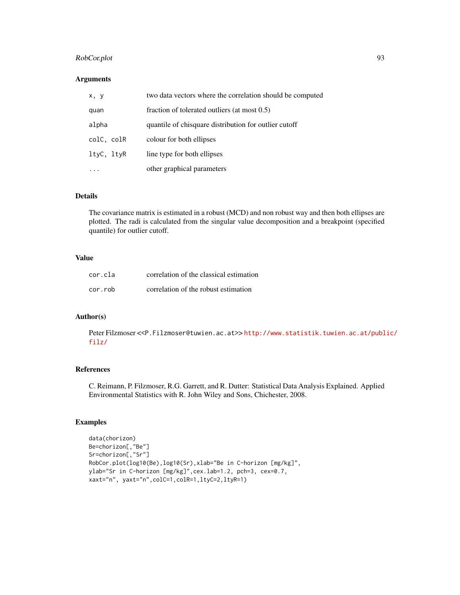# RobCor.plot 93

# Arguments

| x, y       | two data vectors where the correlation should be computed |
|------------|-----------------------------------------------------------|
| quan       | fraction of tolerated outliers (at most 0.5)              |
| alpha      | quantile of chisquare distribution for outlier cutoff     |
| colC, colR | colour for both ellipses                                  |
| ltyC, ltyR | line type for both ellipses                               |
|            | other graphical parameters                                |

# Details

The covariance matrix is estimated in a robust (MCD) and non robust way and then both ellipses are plotted. The radi is calculated from the singular value decomposition and a breakpoint (specified quantile) for outlier cutoff.

# Value

| cor.cla | correlation of the classical estimation |
|---------|-----------------------------------------|
| cor.rob | correlation of the robust estimation    |

# Author(s)

Peter Filzmoser <<P.Filzmoser@tuwien.ac.at>> [http://www.statistik.tuwien.ac.at/publ](http://www.statistik.tuwien.ac.at/public/filz/)ic/ [filz/](http://www.statistik.tuwien.ac.at/public/filz/)

## References

C. Reimann, P. Filzmoser, R.G. Garrett, and R. Dutter: Statistical Data Analysis Explained. Applied Environmental Statistics with R. John Wiley and Sons, Chichester, 2008.

## Examples

```
data(chorizon)
Be=chorizon[,"Be"]
Sr=chorizon[,"Sr"]
RobCor.plot(log10(Be),log10(Sr),xlab="Be in C-horizon [mg/kg]",
ylab="Sr in C-horizon [mg/kg]",cex.lab=1.2, pch=3, cex=0.7,
xaxt="n", yaxt="n",colC=1,colR=1,ltyC=2,ltyR=1)
```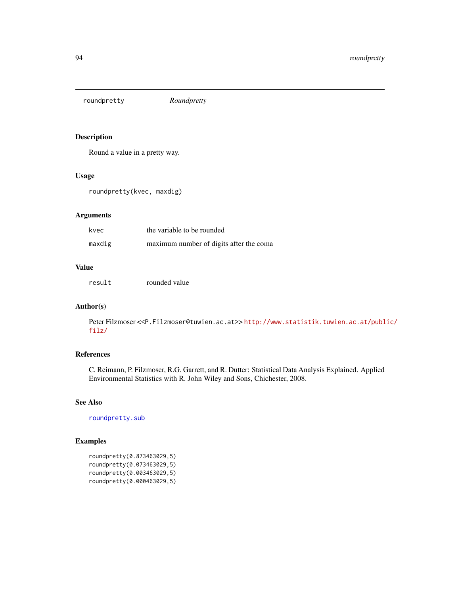<span id="page-93-0"></span>roundpretty *Roundpretty*

# Description

Round a value in a pretty way.

#### Usage

roundpretty(kvec, maxdig)

# Arguments

| kvec   | the variable to be rounded              |
|--------|-----------------------------------------|
| maxdig | maximum number of digits after the coma |

#### Value

result rounded value

# Author(s)

Peter Filzmoser <<P.Filzmoser@tuwien.ac.at>> [http://www.statistik.tuwien.ac.at/publ](http://www.statistik.tuwien.ac.at/public/filz/)ic/ [filz/](http://www.statistik.tuwien.ac.at/public/filz/)

# References

C. Reimann, P. Filzmoser, R.G. Garrett, and R. Dutter: Statistical Data Analysis Explained. Applied Environmental Statistics with R. John Wiley and Sons, Chichester, 2008.

## See Also

[roundpretty.sub](#page-94-0)

# Examples

```
roundpretty(0.873463029,5)
roundpretty(0.073463029,5)
roundpretty(0.003463029,5)
roundpretty(0.000463029,5)
```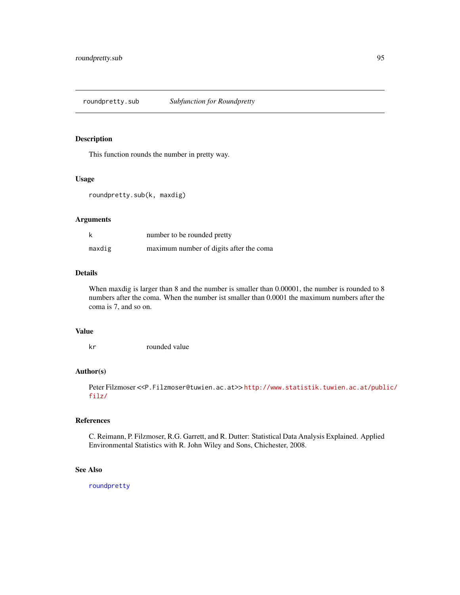# <span id="page-94-0"></span>Description

This function rounds the number in pretty way.

## Usage

```
roundpretty.sub(k, maxdig)
```
# Arguments

| k      | number to be rounded pretty             |
|--------|-----------------------------------------|
| maxdig | maximum number of digits after the coma |

# Details

When maxdig is larger than 8 and the number is smaller than 0.00001, the number is rounded to 8 numbers after the coma. When the number ist smaller than 0.0001 the maximum numbers after the coma is 7, and so on.

## Value

kr rounded value

# Author(s)

Peter Filzmoser <<P.Filzmoser@tuwien.ac.at>>[http://www.statistik.tuwien.ac.at/publ](http://www.statistik.tuwien.ac.at/public/filz/)ic/ [filz/](http://www.statistik.tuwien.ac.at/public/filz/)

## References

C. Reimann, P. Filzmoser, R.G. Garrett, and R. Dutter: Statistical Data Analysis Explained. Applied Environmental Statistics with R. John Wiley and Sons, Chichester, 2008.

## See Also

[roundpretty](#page-93-0)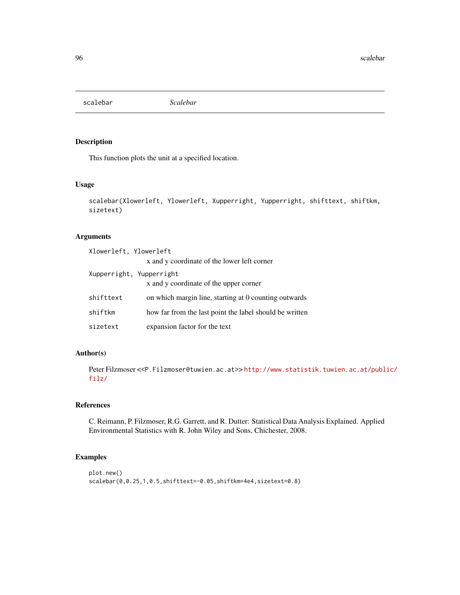scalebar *Scalebar*

# Description

This function plots the unit at a specified location.

#### Usage

```
scalebar(Xlowerleft, Ylowerleft, Xupperright, Yupperright, shifttext, shiftkm,
sizetext)
```
# Arguments

| Xlowerleft, Ylowerleft   | x and y coordinate of the lower left corner             |
|--------------------------|---------------------------------------------------------|
| Xupperright, Yupperright | x and y coordinate of the upper corner                  |
| shifttext                | on which margin line, starting at 0 counting outwards   |
| shiftkm                  | how far from the last point the label should be written |
| sizetext                 | expansion factor for the text                           |

# Author(s)

Peter Filzmoser <<P.Filzmoser@tuwien.ac.at>> [http://www.statistik.tuwien.ac.at/publ](http://www.statistik.tuwien.ac.at/public/filz/)ic/ [filz/](http://www.statistik.tuwien.ac.at/public/filz/)

## References

C. Reimann, P. Filzmoser, R.G. Garrett, and R. Dutter: Statistical Data Analysis Explained. Applied Environmental Statistics with R. John Wiley and Sons, Chichester, 2008.

# Examples

```
plot.new()
scalebar(0,0.25,1,0.5,shifttext=-0.05,shiftkm=4e4,sizetext=0.8)
```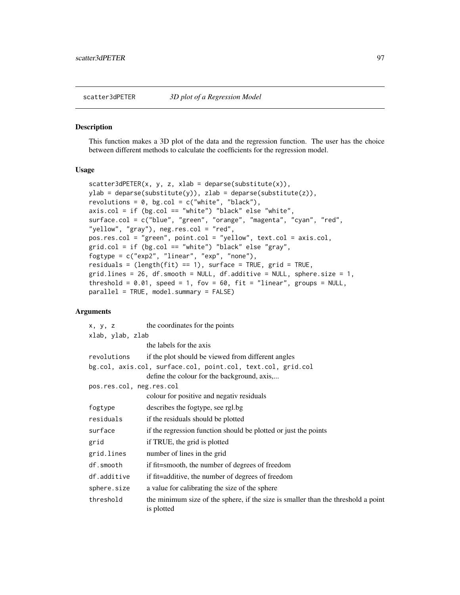#### Description

This function makes a 3D plot of the data and the regression function. The user has the choice between different methods to calculate the coefficients for the regression model.

#### Usage

```
scatter3dPETER(x, y, z, xlab = deparse(substitute(x)),ylab = deparse(substitute(y)), zlab = deparse(substitute(z)),
revolutions = 0, bg.col = c("white", "black"),
axis.col = if (bg.col == "white") "black" else "white",
surface.col = c("blue", "green", "orange", "magenta", "cyan", "red",
"yellow", "gray"), neg.res.col = "red",
pos.res.col = "green", point.col = "yellow", text.col = axis.col,
grid.col = if (bg.col == "white") "black" else "gray",
fogtype = c("exp2", "linear", "exp", "none"),
residuals = (length(fit) == 1), surface = TRUE, grid = TRUE,
grid.lines = 26, df.smooth = NULL, df.additive = NULL, sphere.size = 1,
threshold = 0.01, speed = 1, fov = 60, fit = "linear", groups = NULL,
parallel = TRUE, model.summary = FALSE)
```
## Arguments

| x, y, z                  | the coordinates for the points                                                                  |
|--------------------------|-------------------------------------------------------------------------------------------------|
| xlab, ylab, zlab         |                                                                                                 |
|                          | the labels for the axis                                                                         |
| revolutions              | if the plot should be viewed from different angles                                              |
|                          | bg.col, axis.col, surface.col, point.col, text.col, grid.col                                    |
|                          | define the colour for the background, axis,                                                     |
| pos.res.col, neg.res.col |                                                                                                 |
|                          | colour for positive and negativ residuals                                                       |
| fogtype                  | describes the fogtype, see rgl.bg                                                               |
| residuals                | if the residuals should be plotted                                                              |
| surface                  | if the regression function should be plotted or just the points                                 |
| grid                     | if TRUE, the grid is plotted                                                                    |
| grid.lines               | number of lines in the grid                                                                     |
| df.smooth                | if fit=smooth, the number of degrees of freedom                                                 |
| df.additive              | if fit=additive, the number of degrees of freedom                                               |
| sphere.size              | a value for calibrating the size of the sphere                                                  |
| threshold                | the minimum size of the sphere, if the size is smaller than the threshold a point<br>is plotted |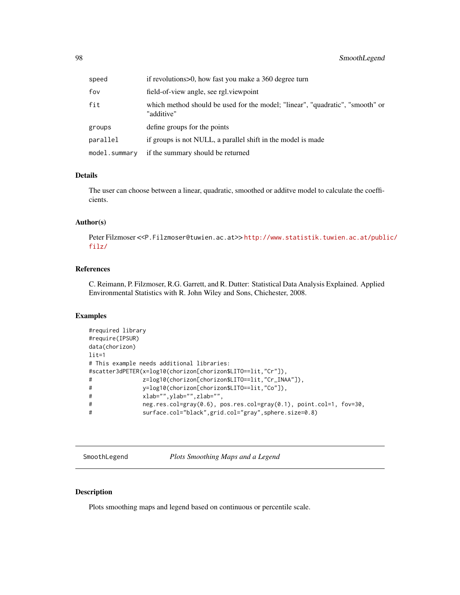| speed         | if revolutions > 0, how fast you make a 360 degree turn                                     |
|---------------|---------------------------------------------------------------------------------------------|
| fov           | field-of-view angle, see rgl. viewpoint                                                     |
| fit           | which method should be used for the model; "linear", "quadratic", "smooth" or<br>"additive" |
| groups        | define groups for the points                                                                |
| parallel      | if groups is not NULL, a parallel shift in the model is made                                |
| model.summarv | if the summary should be returned                                                           |

## Details

The user can choose between a linear, quadratic, smoothed or additve model to calculate the coefficients.

# Author(s)

Peter Filzmoser <<P.Filzmoser@tuwien.ac.at>>[http://www.statistik.tuwien.ac.at/publ](http://www.statistik.tuwien.ac.at/public/filz/)ic/ [filz/](http://www.statistik.tuwien.ac.at/public/filz/)

# References

C. Reimann, P. Filzmoser, R.G. Garrett, and R. Dutter: Statistical Data Analysis Explained. Applied Environmental Statistics with R. John Wiley and Sons, Chichester, 2008.

# Examples

```
#required library
#require(IPSUR)
data(chorizon)
lit=1
# This example needs additional libraries:
#scatter3dPETER(x=log10(chorizon[chorizon$LITO==lit,"Cr"]),
# z=log10(chorizon[chorizon$LITO==lit,"Cr_INAA"]),
# y=log10(chorizon[chorizon$LITO==lit,"Co"]),
# xlab="",ylab="",zlab="",
# neg.res.col=gray(0.6), pos.res.col=gray(0.1), point.col=1, fov=30,
# surface.col="black",grid.col="gray",sphere.size=0.8)
```
SmoothLegend *Plots Smoothing Maps and a Legend*

# Description

Plots smoothing maps and legend based on continuous or percentile scale.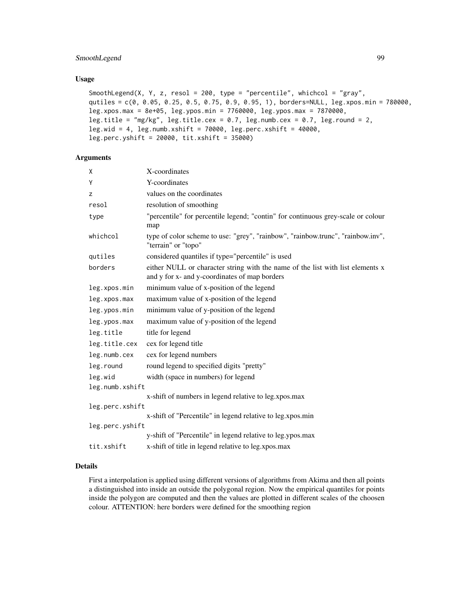# SmoothLegend 99

#### Usage

```
SmoothLegend(X, Y, z, resol = 200, type = "percentile", whichcol = "gray",
qutiles = c(0, 0.05, 0.25, 0.5, 0.75, 0.9, 0.95, 1), borders=NULL, leg.xpos.min = 780000,
leg.xpos.max = 8e+05, leg.ypos.min = 7760000, leg.ypos.max = 7870000,
leg.title = "mg/kg", leg.title.cex = 0.7, leg.numb.cex = 0.7, leg.round = 2,
leg.wid = 4, leg.numb.xshift = 70000, leg.perc.xshift = 40000,
leg.perc.yshift = 20000, tit.xshift = 35000)
```
# Arguments

| X               | X-coordinates                                                                                                                   |
|-----------------|---------------------------------------------------------------------------------------------------------------------------------|
| Y               | Y-coordinates                                                                                                                   |
| z               | values on the coordinates                                                                                                       |
| resol           | resolution of smoothing                                                                                                         |
| type            | "percentile" for percentile legend; "contin" for continuous grey-scale or colour<br>map                                         |
| whichcol        | type of color scheme to use: "grey", "rainbow", "rainbow.trunc", "rainbow.inv",<br>"terrain" or "topo"                          |
| qutiles         | considered quantiles if type="percentile" is used                                                                               |
| borders         | either NULL or character string with the name of the list with list elements x<br>and y for x- and y-coordinates of map borders |
| leg.xpos.min    | minimum value of x-position of the legend                                                                                       |
| leg.xpos.max    | maximum value of x-position of the legend                                                                                       |
| leg.ypos.min    | minimum value of y-position of the legend                                                                                       |
| leg.ypos.max    | maximum value of y-position of the legend                                                                                       |
| leg.title       | title for legend                                                                                                                |
| leg.title.cex   | cex for legend title                                                                                                            |
| leg.numb.cex    | cex for legend numbers                                                                                                          |
| leg.round       | round legend to specified digits "pretty"                                                                                       |
| leg.wid         | width (space in numbers) for legend                                                                                             |
| leg.numb.xshift |                                                                                                                                 |
|                 | x-shift of numbers in legend relative to leg.xpos.max                                                                           |
| leg.perc.xshift |                                                                                                                                 |
|                 | x-shift of "Percentile" in legend relative to leg.xpos.min                                                                      |
| leg.perc.yshift | y-shift of "Percentile" in legend relative to leg.ypos.max                                                                      |
|                 |                                                                                                                                 |
| tit.xshift      | x-shift of title in legend relative to leg.xpos.max                                                                             |

#### Details

First a interpolation is applied using different versions of algorithms from Akima and then all points a distinguished into inside an outside the polygonal region. Now the empirical quantiles for points inside the polygon are computed and then the values are plotted in different scales of the choosen colour. ATTENTION: here borders were defined for the smoothing region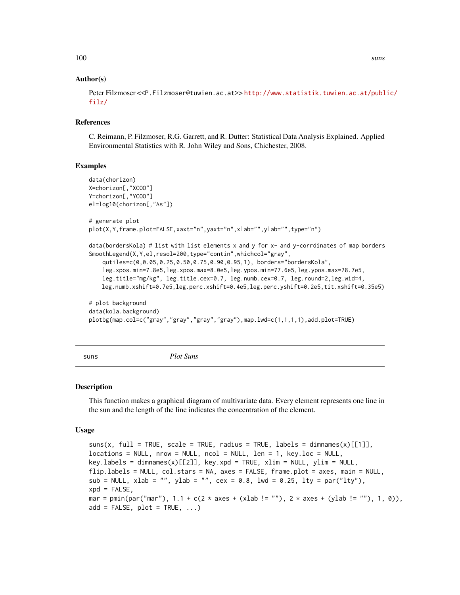#### Author(s)

Peter Filzmoser <<P.Filzmoser@tuwien.ac.at>> [http://www.statistik.tuwien.ac.at/publ](http://www.statistik.tuwien.ac.at/public/filz/)ic/ [filz/](http://www.statistik.tuwien.ac.at/public/filz/)

#### References

C. Reimann, P. Filzmoser, R.G. Garrett, and R. Dutter: Statistical Data Analysis Explained. Applied Environmental Statistics with R. John Wiley and Sons, Chichester, 2008.

#### Examples

```
data(chorizon)
X=chorizon[,"XCOO"]
Y=chorizon[,"YCOO"]
el=log10(chorizon[,"As"])
# generate plot
plot(X,Y,frame.plot=FALSE,xaxt="n",yaxt="n",xlab="",ylab="",type="n")
data(bordersKola) # list with list elements x and y for x- and y-corrdinates of map borders
SmoothLegend(X,Y,el,resol=200,type="contin",whichcol="gray",
    qutiles=c(0,0.05,0.25,0.50,0.75,0.90,0.95,1), borders="bordersKola",
    leg.xpos.min=7.8e5,leg.xpos.max=8.0e5,leg.ypos.min=77.6e5,leg.ypos.max=78.7e5,
   leg.title="mg/kg", leg.title.cex=0.7, leg.numb.cex=0.7, leg.round=2,leg.wid=4,
   leg.numb.xshift=0.7e5,leg.perc.xshift=0.4e5,leg.perc.yshift=0.2e5,tit.xshift=0.35e5)
# plot background
data(kola.background)
plotbg(map.col=c("gray","gray","gray","gray"),map.lwd=c(1,1,1,1),add.plot=TRUE)
```
suns *Plot Suns*

#### Description

This function makes a graphical diagram of multivariate data. Every element represents one line in the sun and the length of the line indicates the concentration of the element.

#### Usage

```
suns(x, full = TRUE, scale = TRUE, radius = TRUE, labels = dimnames(x)[[1]],
locations = NULL, nrow = NULL, ncol = NULL, len = 1, key.loc = NULL,key.labels = dimnames(x)[[2]], key.xpd = TRUE, xlim = NULL, ylim = NULL,
flip.labels = NULL, col.stars = NA, axes = FALSE, frame.plot = axes, main = NULL,
sub = NULL, xlab = "", ylab = "", cex = 0.8, lwd = 0.25, lty = par("lty"),
xpd = FALSE,mar = pmin(par("mar"), 1.1 + c(2 \times axes + (x \times b) = ""), 2 \times axes + (y \times b) = ""), 1, 0),
add = FALSE, plot = TRUE, ...)
```
100 suns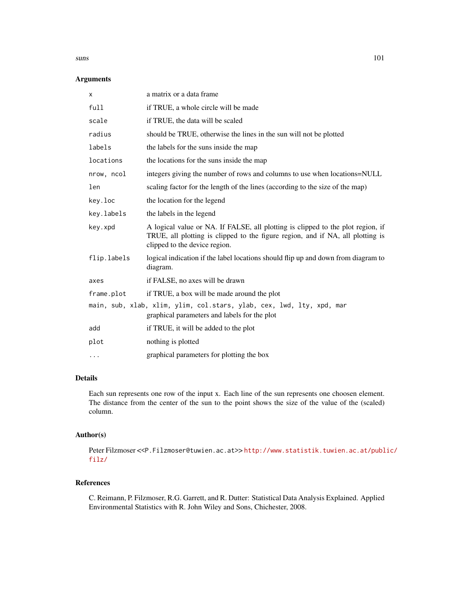#### suns and the state of the state of the state of the state of the state of the state of the state of the state of the state of the state of the state of the state of the state of the state of the state of the state of the s

# Arguments

| X           | a matrix or a data frame.                                                                                                                                                                          |  |
|-------------|----------------------------------------------------------------------------------------------------------------------------------------------------------------------------------------------------|--|
| full        | if TRUE, a whole circle will be made                                                                                                                                                               |  |
| scale       | if TRUE, the data will be scaled                                                                                                                                                                   |  |
| radius      | should be TRUE, otherwise the lines in the sun will not be plotted                                                                                                                                 |  |
| labels      | the labels for the suns inside the map                                                                                                                                                             |  |
| locations   | the locations for the suns inside the map                                                                                                                                                          |  |
| nrow, ncol  | integers giving the number of rows and columns to use when locations=NULL                                                                                                                          |  |
| len         | scaling factor for the length of the lines (according to the size of the map)                                                                                                                      |  |
| key.loc     | the location for the legend                                                                                                                                                                        |  |
| key.labels  | the labels in the legend                                                                                                                                                                           |  |
| key.xpd     | A logical value or NA. If FALSE, all plotting is clipped to the plot region, if<br>TRUE, all plotting is clipped to the figure region, and if NA, all plotting is<br>clipped to the device region. |  |
| flip.labels | logical indication if the label locations should flip up and down from diagram to<br>diagram.                                                                                                      |  |
| axes        | if FALSE, no axes will be drawn                                                                                                                                                                    |  |
| frame.plot  | if TRUE, a box will be made around the plot                                                                                                                                                        |  |
|             | main, sub, xlab, xlim, ylim, col.stars, ylab, cex, lwd, lty, xpd, mar<br>graphical parameters and labels for the plot                                                                              |  |
| add         | if TRUE, it will be added to the plot                                                                                                                                                              |  |
| plot        | nothing is plotted                                                                                                                                                                                 |  |
| .           | graphical parameters for plotting the box                                                                                                                                                          |  |

## Details

Each sun represents one row of the input x. Each line of the sun represents one choosen element. The distance from the center of the sun to the point shows the size of the value of the (scaled) column.

# Author(s)

Peter Filzmoser <<P.Filzmoser@tuwien.ac.at>>[http://www.statistik.tuwien.ac.at/publ](http://www.statistik.tuwien.ac.at/public/filz/)ic/ [filz/](http://www.statistik.tuwien.ac.at/public/filz/)

# References

C. Reimann, P. Filzmoser, R.G. Garrett, and R. Dutter: Statistical Data Analysis Explained. Applied Environmental Statistics with R. John Wiley and Sons, Chichester, 2008.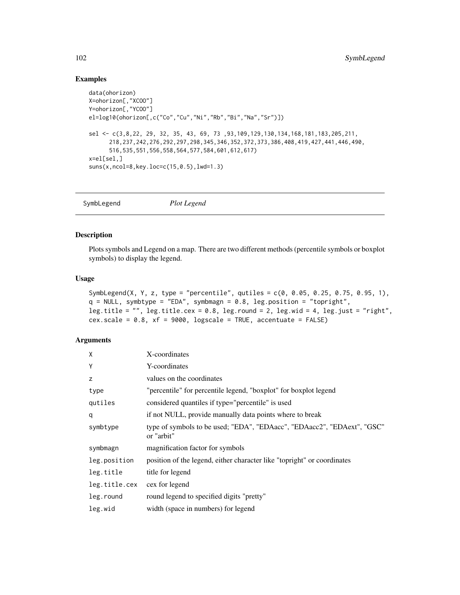# Examples

```
data(ohorizon)
X=ohorizon[,"XCOO"]
Y=ohorizon[,"YCOO"]
el=log10(ohorizon[,c("Co","Cu","Ni","Rb","Bi","Na","Sr")])
sel <- c(3,8,22, 29, 32, 35, 43, 69, 73 ,93,109,129,130,134,168,181,183,205,211,
      218,237,242,276,292,297,298,345,346,352,372,373,386,408,419,427,441,446,490,
      516,535,551,556,558,564,577,584,601,612,617)
x=el[sel,]
suns(x,ncol=8,key.loc=c(15,0.5),lwd=1.3)
```
SymbLegend *Plot Legend*

# Description

Plots symbols and Legend on a map. There are two different methods (percentile symbols or boxplot symbols) to display the legend.

#### Usage

```
SymbLegend(X, Y, z, type = "percentile", qutiles = c(0, 0.05, 0.25, 0.75, 0.95, 1),
q = NULL, symbtype = "EDA", symbmagn = 0.8, leg.position = "topright",
leg.title = '''', leg.title.cex = 0.8, leg.round = 2, leg.wid = 4, leg.just = ''right",
cex.scale = 0.8, xf = 9000, logscale = TRUE, accentuate = FALSE)
```
## Arguments

| X             | X-coordinates                                                                         |
|---------------|---------------------------------------------------------------------------------------|
| Y             | Y-coordinates                                                                         |
| z             | values on the coordinates                                                             |
| type          | "percentile" for percentile legend, "boxplot" for boxplot legend                      |
| qutiles       | considered quantiles if type="percentile" is used                                     |
| q             | if not NULL, provide manually data points where to break                              |
| symbtype      | type of symbols to be used; "EDA", "EDAacc", "EDAacc2", "EDAext", "GSC"<br>or "arbit" |
| symbmagn      | magnification factor for symbols                                                      |
| leg.position  | position of the legend, either character like "topright" or coordinates               |
| leg.title     | title for legend                                                                      |
| leg.title.cex | cex for legend                                                                        |
| leg.round     | round legend to specified digits "pretty"                                             |
| leg.wid       | width (space in numbers) for legend                                                   |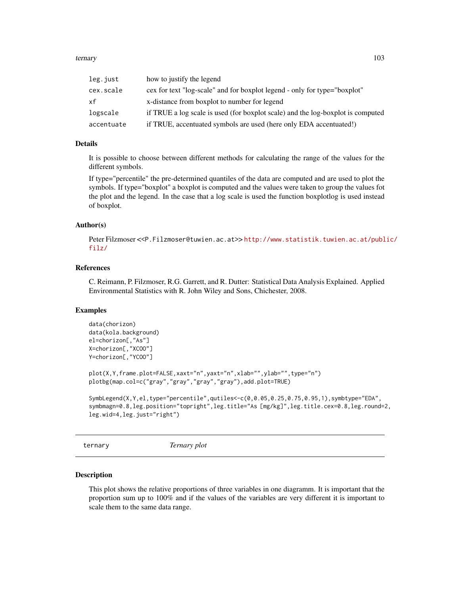#### ternary and the state of the state of the state of the state of the state of the state of the state of the state of the state of the state of the state of the state of the state of the state of the state of the state of th

| leg.just   | how to justify the legend                                                       |
|------------|---------------------------------------------------------------------------------|
| cex.scale  | cex for text "log-scale" and for boxplot legend - only for type="boxplot"       |
| хf         | x-distance from boxplot to number for legend                                    |
| logscale   | if TRUE a log scale is used (for boxplot scale) and the log-boxplot is computed |
| accentuate | if TRUE, accentuated symbols are used (here only EDA accentuated!)              |
|            |                                                                                 |

#### Details

It is possible to choose between different methods for calculating the range of the values for the different symbols.

If type="percentile" the pre-determined quantiles of the data are computed and are used to plot the symbols. If type="boxplot" a boxplot is computed and the values were taken to group the values fot the plot and the legend. In the case that a log scale is used the function boxplotlog is used instead of boxplot.

#### Author(s)

Peter Filzmoser <<P.Filzmoser@tuwien.ac.at>> [http://www.statistik.tuwien.ac.at/publ](http://www.statistik.tuwien.ac.at/public/filz/)ic/ [filz/](http://www.statistik.tuwien.ac.at/public/filz/)

# References

C. Reimann, P. Filzmoser, R.G. Garrett, and R. Dutter: Statistical Data Analysis Explained. Applied Environmental Statistics with R. John Wiley and Sons, Chichester, 2008.

#### Examples

```
data(chorizon)
data(kola.background)
el=chorizon[,"As"]
X=chorizon[,"XCOO"]
Y=chorizon[,"YCOO"]
plot(X,Y,frame.plot=FALSE,xaxt="n",yaxt="n",xlab="",ylab="",type="n")
plotbg(map.col=c("gray","gray","gray","gray"),add.plot=TRUE)
SymbLegend(X,Y,el,type="percentile",qutiles<-c(0,0.05,0.25,0.75,0.95,1),symbtype="EDA",
symbmagn=0.8,leg.position="topright",leg.title="As [mg/kg]",leg.title.cex=0.8,leg.round=2,
leg.wid=4,leg.just="right")
```
ternary *Ternary plot*

#### Description

This plot shows the relative proportions of three variables in one diagramm. It is important that the proportion sum up to 100% and if the values of the variables are very different it is important to scale them to the same data range.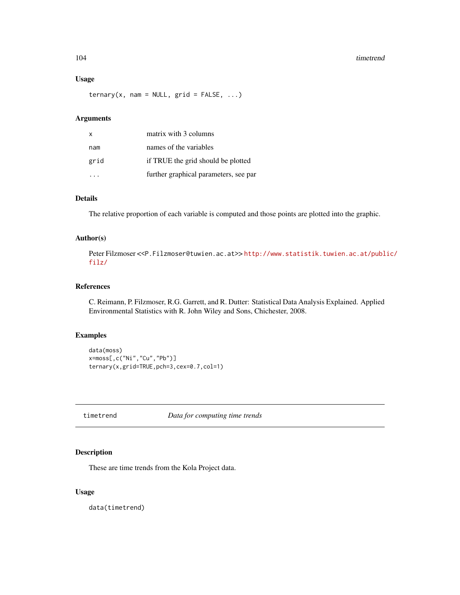#### 104 timetrend

## Usage

 $ternary(x, nam = NULL, grid = FALSE, ...)$ 

#### Arguments

| $\mathsf{x}$ | matrix with 3 columns                 |
|--------------|---------------------------------------|
| nam          | names of the variables                |
| grid         | if TRUE the grid should be plotted    |
|              | further graphical parameters, see par |

## Details

The relative proportion of each variable is computed and those points are plotted into the graphic.

#### Author(s)

Peter Filzmoser <<P.Filzmoser@tuwien.ac.at>>[http://www.statistik.tuwien.ac.at/publ](http://www.statistik.tuwien.ac.at/public/filz/)ic/ [filz/](http://www.statistik.tuwien.ac.at/public/filz/)

# References

C. Reimann, P. Filzmoser, R.G. Garrett, and R. Dutter: Statistical Data Analysis Explained. Applied Environmental Statistics with R. John Wiley and Sons, Chichester, 2008.

## Examples

```
data(moss)
x=moss[,c("Ni","Cu","Pb")]
ternary(x,grid=TRUE,pch=3,cex=0.7,col=1)
```
timetrend *Data for computing time trends*

# Description

These are time trends from the Kola Project data.

## Usage

data(timetrend)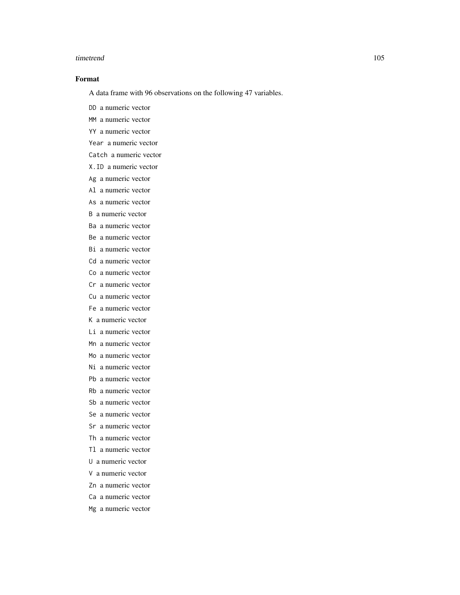#### timetrend 105

## Format

A data frame with 96 observations on the following 47 variables.

DD a numeric vector

MM a numeric vector

YY a numeric vector

Year a numeric vector

Catch a numeric vector

X.ID a numeric vector

Ag a numeric vector

Al a numeric vector

As a numeric vector

B a numeric vector

Ba a numeric vector

Be a numeric vector

Bi a numeric vector

Cd a numeric vector

Co a numeric vector

Cr a numeric vector

Cu a numeric vector

Fe a numeric vector

K a numeric vector

Li a numeric vector

Mn a numeric vector

Mo a numeric vector Ni a numeric vector

Pb a numeric vector

Rb a numeric vector

Sb a numeric vector

Se a numeric vector

Sr a numeric vector

Th a numeric vector

Tl a numeric vector

U a numeric vector

V a numeric vector

Zn a numeric vector

Ca a numeric vector

Mg a numeric vector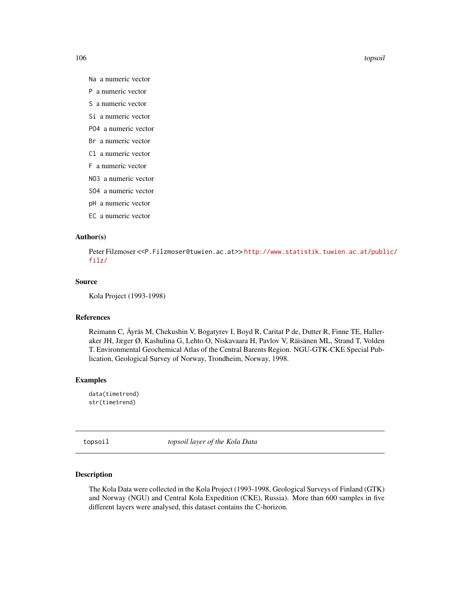106 topsoil

- Na a numeric vector
- P a numeric vector
- S a numeric vector
- Si a numeric vector
- PO4 a numeric vector
- Br a numeric vector
- Cl a numeric vector
- F a numeric vector
- NO3 a numeric vector
- SO4 a numeric vector
- pH a numeric vector
- EC a numeric vector

#### Author(s)

Peter Filzmoser <<P.Filzmoser@tuwien.ac.at>> [http://www.statistik.tuwien.ac.at/publ](http://www.statistik.tuwien.ac.at/public/filz/)ic/ [filz/](http://www.statistik.tuwien.ac.at/public/filz/)

#### Source

```
Kola Project (1993-1998)
```
## References

Reimann C, Äyräs M, Chekushin V, Bogatyrev I, Boyd R, Caritat P de, Dutter R, Finne TE, Halleraker JH, Jæger Ø, Kashulina G, Lehto O, Niskavaara H, Pavlov V, Räisänen ML, Strand T, Volden T. Environmental Geochemical Atlas of the Central Barents Region. NGU-GTK-CKE Special Publication, Geological Survey of Norway, Trondheim, Norway, 1998.

#### Examples

data(timetrend) str(timetrend)

topsoil *topsoil layer of the Kola Data*

# Description

The Kola Data were collected in the Kola Project (1993-1998, Geological Surveys of Finland (GTK) and Norway (NGU) and Central Kola Expedition (CKE), Russia). More than 600 samples in five different layers were analysed, this dataset contains the C-horizon.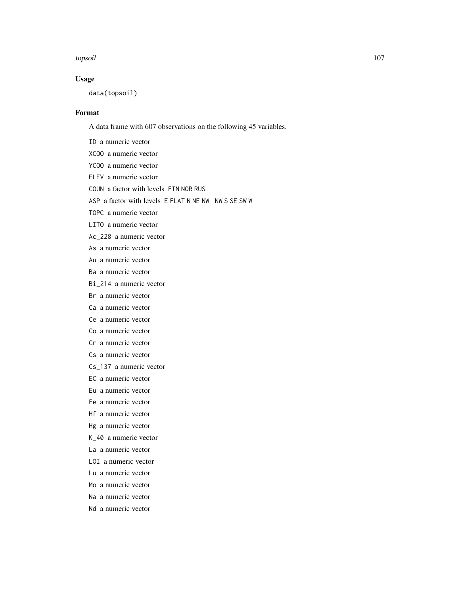#### topsoil 107

# Usage

data(topsoil)

# Format

A data frame with 607 observations on the following 45 variables.

ID a numeric vector

- XCOO a numeric vector
- YCOO a numeric vector
- ELEV a numeric vector
- COUN a factor with levels FIN NOR RUS

ASP a factor with levels E FLAT N NE NW NW S SE SW W

TOPC a numeric vector

LITO a numeric vector

- Ac\_228 a numeric vector
- As a numeric vector
- Au a numeric vector
- Ba a numeric vector
- Bi\_214 a numeric vector

Br a numeric vector

- Ca a numeric vector
- Ce a numeric vector
- Co a numeric vector
- Cr a numeric vector
- Cs a numeric vector
- Cs\_137 a numeric vector
- EC a numeric vector
- Eu a numeric vector
- Fe a numeric vector
- Hf a numeric vector
- Hg a numeric vector
- K\_40 a numeric vector
- La a numeric vector
- LOI a numeric vector
- Lu a numeric vector
- Mo a numeric vector
- Na a numeric vector
- Nd a numeric vector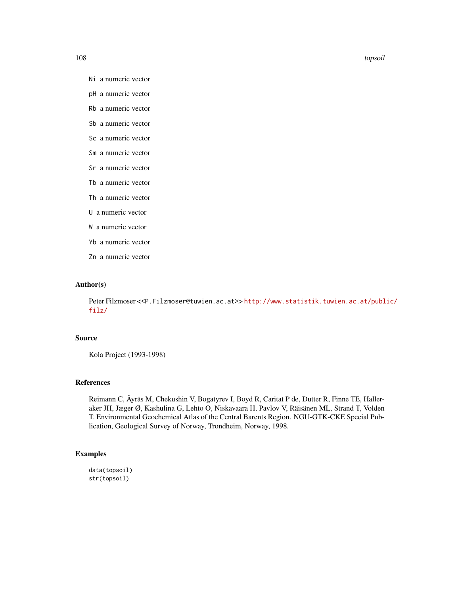108 topsoil

- Ni a numeric vector
- pH a numeric vector
- Rb a numeric vector
- Sb a numeric vector
- Sc a numeric vector
- Sm a numeric vector
- Sr a numeric vector
- Tb a numeric vector
- Th a numeric vector
- U a numeric vector
- W a numeric vector
- Yb a numeric vector
- Zn a numeric vector

## Author(s)

Peter Filzmoser <<P.Filzmoser@tuwien.ac.at>> [http://www.statistik.tuwien.ac.at/publ](http://www.statistik.tuwien.ac.at/public/filz/)ic/ [filz/](http://www.statistik.tuwien.ac.at/public/filz/)

## Source

Kola Project (1993-1998)

#### References

Reimann C, Äyräs M, Chekushin V, Bogatyrev I, Boyd R, Caritat P de, Dutter R, Finne TE, Halleraker JH, Jæger Ø, Kashulina G, Lehto O, Niskavaara H, Pavlov V, Räisänen ML, Strand T, Volden T. Environmental Geochemical Atlas of the Central Barents Region. NGU-GTK-CKE Special Publication, Geological Survey of Norway, Trondheim, Norway, 1998.

# Examples

data(topsoil) str(topsoil)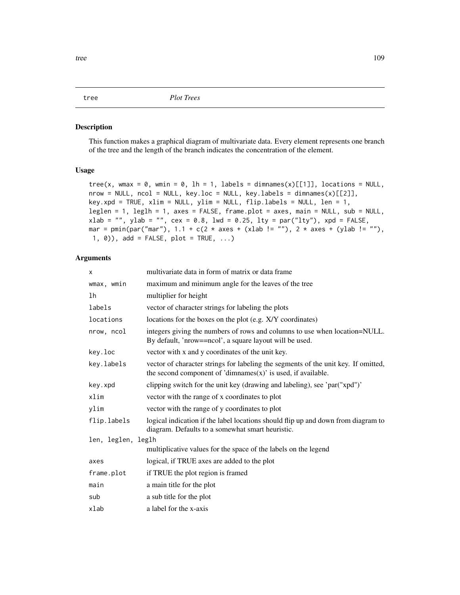#### <span id="page-108-0"></span>Description

This function makes a graphical diagram of multivariate data. Every element represents one branch of the tree and the length of the branch indicates the concentration of the element.

# Usage

```
tree(x, wmax = 0, wmin = 0, lh = 1, labels = dimnames(x)[[1]], locations = NULL,
nrow = NULL, ncol = NULL, key.loc = NULL, key.labels = dimnames(x)[[2]],
key.xpd = TRUE, xlim = NULL, ylim = NULL, flip.labels = NULL, len = 1,
leglen = 1, leglh = 1, axes = FALSE, frame.plot = axes, main = NULL, sub = NULL,
xlab = "", ylab = "", cex = 0.8, lwd = 0.25, lty = par("lty"), xpd = FALSE,
mar = pmin(par("mar"), 1.1 + c(2 * axes + (xlab != ""), 2 * axes + (ylab != ""),1, \emptyset), add = FALSE, plot = TRUE, ...)
```
#### Arguments

| X                  | multivariate data in form of matrix or data frame                                                                                                      |  |  |
|--------------------|--------------------------------------------------------------------------------------------------------------------------------------------------------|--|--|
| wmax, wmin         | maximum and minimum angle for the leaves of the tree                                                                                                   |  |  |
| lh                 | multiplier for height                                                                                                                                  |  |  |
| labels             | vector of character strings for labeling the plots                                                                                                     |  |  |
| locations          | locations for the boxes on the plot (e.g. X/Y coordinates)                                                                                             |  |  |
| nrow, ncol         | integers giving the numbers of rows and columns to use when location=NULL.<br>By default, 'nrow==ncol', a square layout will be used.                  |  |  |
| key.loc            | vector with x and y coordinates of the unit key.                                                                                                       |  |  |
| key.labels         | vector of character strings for labeling the segments of the unit key. If omitted,<br>the second component of 'dimnames $(x)$ ' is used, if available. |  |  |
| key.xpd            | clipping switch for the unit key (drawing and labeling), see 'par("xpd")'                                                                              |  |  |
| xlim               | vector with the range of x coordinates to plot                                                                                                         |  |  |
| vlim               | vector with the range of y coordinates to plot                                                                                                         |  |  |
| flip.labels        | logical indication if the label locations should flip up and down from diagram to<br>diagram. Defaults to a somewhat smart heuristic.                  |  |  |
| len, leglen, leglh |                                                                                                                                                        |  |  |
|                    | multiplicative values for the space of the labels on the legend                                                                                        |  |  |
| axes               | logical, if TRUE axes are added to the plot                                                                                                            |  |  |
| frame.plot         | if TRUE the plot region is framed                                                                                                                      |  |  |
| main               | a main title for the plot                                                                                                                              |  |  |
| sub                | a sub title for the plot                                                                                                                               |  |  |
| xlab               | a label for the x-axis                                                                                                                                 |  |  |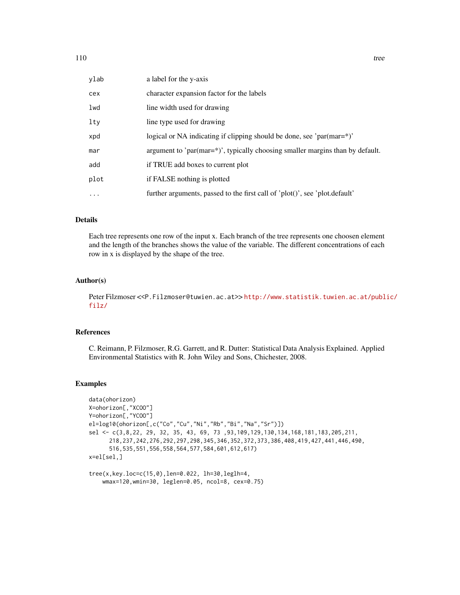| ylab      | a label for the y-axis                                                        |
|-----------|-------------------------------------------------------------------------------|
| cex       | character expansion factor for the labels                                     |
| lwd       | line width used for drawing                                                   |
| lty       | line type used for drawing                                                    |
| xpd       | logical or NA indicating if clipping should be done, see 'par(mar=*)'         |
| mar       | argument to 'par(mar=*)', typically choosing smaller margins than by default. |
| add       | if TRUE add boxes to current plot                                             |
| plot      | if FALSE nothing is plotted                                                   |
| $\ddotsc$ | further arguments, passed to the first call of 'plot()', see 'plot.default'   |

# Details

Each tree represents one row of the input x. Each branch of the tree represents one choosen element and the length of the branches shows the value of the variable. The different concentrations of each row in x is displayed by the shape of the tree.

# Author(s)

Peter Filzmoser <<P.Filzmoser@tuwien.ac.at>> [http://www.statistik.tuwien.ac.at/publ](http://www.statistik.tuwien.ac.at/public/filz/)ic/ [filz/](http://www.statistik.tuwien.ac.at/public/filz/)

#### References

C. Reimann, P. Filzmoser, R.G. Garrett, and R. Dutter: Statistical Data Analysis Explained. Applied Environmental Statistics with R. John Wiley and Sons, Chichester, 2008.

# Examples

```
data(ohorizon)
X=ohorizon[,"XCOO"]
Y=ohorizon[,"YCOO"]
el=log10(ohorizon[,c("Co","Cu","Ni","Rb","Bi","Na","Sr")])
sel <- c(3,8,22, 29, 32, 35, 43, 69, 73 ,93,109,129,130,134,168,181,183,205,211,
      218,237,242,276,292,297,298,345,346,352,372,373,386,408,419,427,441,446,490,
      516,535,551,556,558,564,577,584,601,612,617)
x=el[sel,]
```

```
tree(x,key.loc=c(15,0),len=0.022, lh=30,leglh=4,
    wmax=120,wmin=30, leglen=0.05, ncol=8, cex=0.75)
```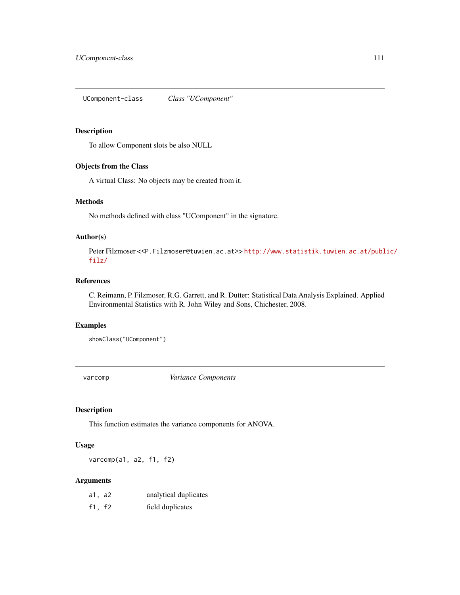<span id="page-110-0"></span>UComponent-class *Class "UComponent"*

#### Description

To allow Component slots be also NULL

# Objects from the Class

A virtual Class: No objects may be created from it.

#### Methods

No methods defined with class "UComponent" in the signature.

# Author(s)

Peter Filzmoser <<P.Filzmoser@tuwien.ac.at>> [http://www.statistik.tuwien.ac.at/publ](http://www.statistik.tuwien.ac.at/public/filz/)ic/ [filz/](http://www.statistik.tuwien.ac.at/public/filz/)

# References

C. Reimann, P. Filzmoser, R.G. Garrett, and R. Dutter: Statistical Data Analysis Explained. Applied Environmental Statistics with R. John Wiley and Sons, Chichester, 2008.

#### Examples

showClass("UComponent")

varcomp *Variance Components*

#### Description

This function estimates the variance components for ANOVA.

#### Usage

varcomp(a1, a2, f1, f2)

#### Arguments

| a1, a2 | analytical duplicates |
|--------|-----------------------|
| f1, f2 | field duplicates      |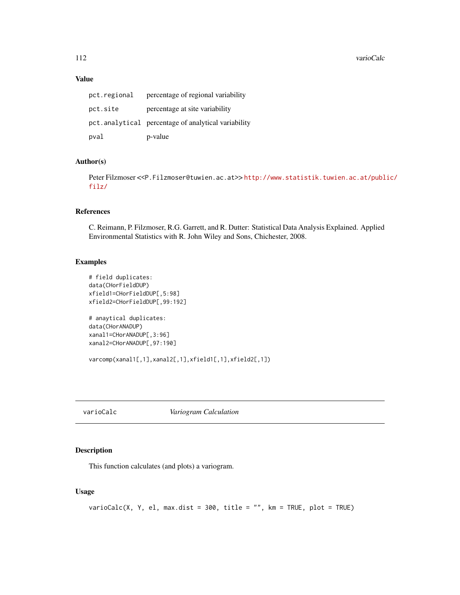# <span id="page-111-0"></span>Value

| pct.regional | percentage of regional variability                  |
|--------------|-----------------------------------------------------|
| pct.site     | percentage at site variability                      |
|              | pct.analytical percentage of analytical variability |
| pval         | p-value                                             |

# Author(s)

Peter Filzmoser <<P.Filzmoser@tuwien.ac.at>> [http://www.statistik.tuwien.ac.at/publ](http://www.statistik.tuwien.ac.at/public/filz/)ic/ [filz/](http://www.statistik.tuwien.ac.at/public/filz/)

#### References

C. Reimann, P. Filzmoser, R.G. Garrett, and R. Dutter: Statistical Data Analysis Explained. Applied Environmental Statistics with R. John Wiley and Sons, Chichester, 2008.

#### Examples

```
# field duplicates:
data(CHorFieldDUP)
xfield1=CHorFieldDUP[,5:98]
xfield2=CHorFieldDUP[,99:192]
# anaytical duplicates:
data(CHorANADUP)
xanal1=CHorANADUP[,3:96]
xanal2=CHorANADUP[,97:190]
varcomp(xanal1[,1],xanal2[,1],xfield1[,1],xfield2[,1])
```
varioCalc *Variogram Calculation*

# Description

This function calculates (and plots) a variogram.

# Usage

```
varioCalc(X, Y, el, max.dist = 300, title = "", km = TRUE, plot = TRUE)
```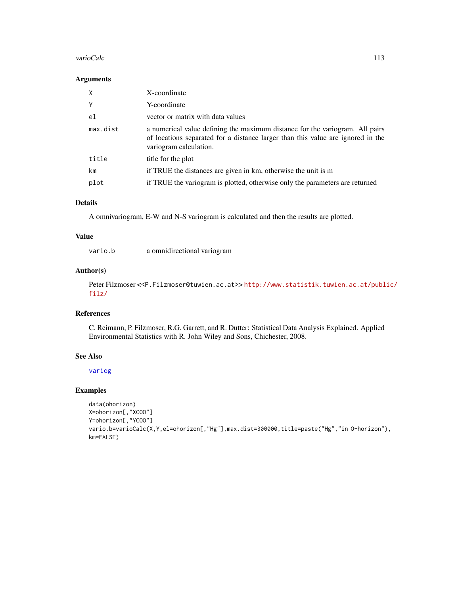#### <span id="page-112-0"></span>varioCalc 113

#### Arguments

| X        | X-coordinate                                                                                                                                                                              |
|----------|-------------------------------------------------------------------------------------------------------------------------------------------------------------------------------------------|
| Y        | Y-coordinate                                                                                                                                                                              |
| el       | vector or matrix with data values                                                                                                                                                         |
| max.dist | a numerical value defining the maximum distance for the variogram. All pairs<br>of locations separated for a distance larger than this value are ignored in the<br>variogram calculation. |
| title    | title for the plot                                                                                                                                                                        |
| km       | if TRUE the distances are given in km, otherwise the unit is m                                                                                                                            |
| plot     | if TRUE the variogram is plotted, otherwise only the parameters are returned                                                                                                              |

# Details

A omnivariogram, E-W and N-S variogram is calculated and then the results are plotted.

#### Value

| vario.b | a omnidirectional variogram |  |
|---------|-----------------------------|--|
|         |                             |  |

# Author(s)

Peter Filzmoser <<P.Filzmoser@tuwien.ac.at>> [http://www.statistik.tuwien.ac.at/publ](http://www.statistik.tuwien.ac.at/public/filz/)ic/ [filz/](http://www.statistik.tuwien.ac.at/public/filz/)

# References

C. Reimann, P. Filzmoser, R.G. Garrett, and R. Dutter: Statistical Data Analysis Explained. Applied Environmental Statistics with R. John Wiley and Sons, Chichester, 2008.

# See Also

[variog](#page-0-0)

# Examples

```
data(ohorizon)
X=ohorizon[,"XCOO"]
Y=ohorizon[,"YCOO"]
vario.b=varioCalc(X,Y,el=ohorizon[,"Hg"],max.dist=300000,title=paste("Hg","in O-horizon"),
km=FALSE)
```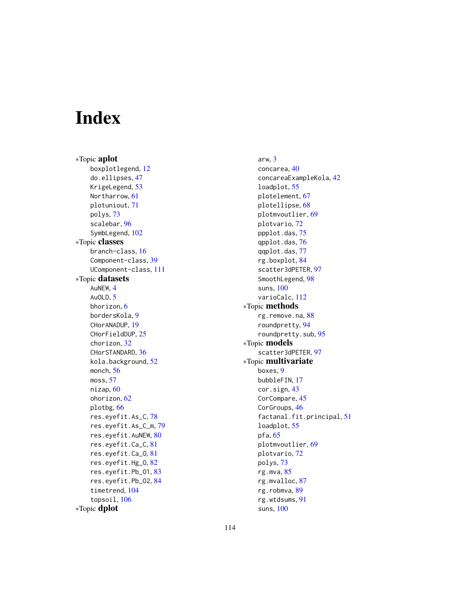# **Index**

∗Topic aplot boxplotlegend, [12](#page-11-0) do.ellipses, [47](#page-46-0) KrigeLegend, [53](#page-52-0) Northarrow, [61](#page-60-0) plotuniout, [71](#page-70-0) polys, [73](#page-72-0) scalebar, [96](#page-95-0) SymbLegend, [102](#page-101-0) ∗Topic classes branch-class, [16](#page-15-0) Component-class, [39](#page-38-0) UComponent-class, [111](#page-110-0) ∗Topic datasets AuNEW, [4](#page-3-0) AuOLD, [5](#page-4-0) bhorizon, [6](#page-5-0) bordersKola, [9](#page-8-0) CHorANADUP, [19](#page-18-0) CHorFieldDUP, [25](#page-24-0) chorizon, [32](#page-31-0) CHorSTANDARD, [36](#page-35-0) kola.background, [52](#page-51-0) monch, [56](#page-55-0) moss, [57](#page-56-0) nizap, [60](#page-59-0) ohorizon, [62](#page-61-0) plotbg, [66](#page-65-0) res.eyefit.As\_C, [78](#page-77-0) res.eyefit.As\_C\_m, [79](#page-78-0) res.eyefit.AuNEW, [80](#page-79-0) res.eyefit.Ca\_C, [81](#page-80-0) res.eyefit.Ca\_O, [81](#page-80-0) res.eyefit.Hg\_O, [82](#page-81-0) res.eyefit.Pb\_O1, [83](#page-82-0) res.eyefit.Pb\_O2, [84](#page-83-0) timetrend, [104](#page-103-0) topsoil, [106](#page-105-0) ∗Topic dplot

arw, [3](#page-2-0) concarea, [40](#page-39-0) concareaExampleKola, [42](#page-41-0) loadplot, [55](#page-54-0) plotelement, [67](#page-66-0) plotellipse, [68](#page-67-0) plotmvoutlier, [69](#page-68-0) plotvario, [72](#page-71-0) ppplot.das, [75](#page-74-0) qpplot.das, [76](#page-75-0) qqplot.das, [77](#page-76-0) rg.boxplot, [84](#page-83-0) scatter3dPETER, [97](#page-96-0) SmoothLegend, [98](#page-97-0) suns, [100](#page-99-0) varioCalc, [112](#page-111-0) ∗Topic methods rg.remove.na, [88](#page-87-0) roundpretty, [94](#page-93-0) roundpretty.sub, [95](#page-94-0) ∗Topic models scatter3dPETER, [97](#page-96-0) ∗Topic multivariate boxes, [9](#page-8-0) bubbleFIN, [17](#page-16-0) cor.sign, [43](#page-42-0) CorCompare, [45](#page-44-0) CorGroups, [46](#page-45-0) factanal.fit.principal, [51](#page-50-0) loadplot, [55](#page-54-0) pfa, [65](#page-64-0) plotmvoutlier, [69](#page-68-0) plotvario, [72](#page-71-0) polys, [73](#page-72-0) rg.mva, [85](#page-84-0) rg.mvalloc, [87](#page-86-0) rg.robmva, [89](#page-88-0) rg.wtdsums, [91](#page-90-0) suns, [100](#page-99-0)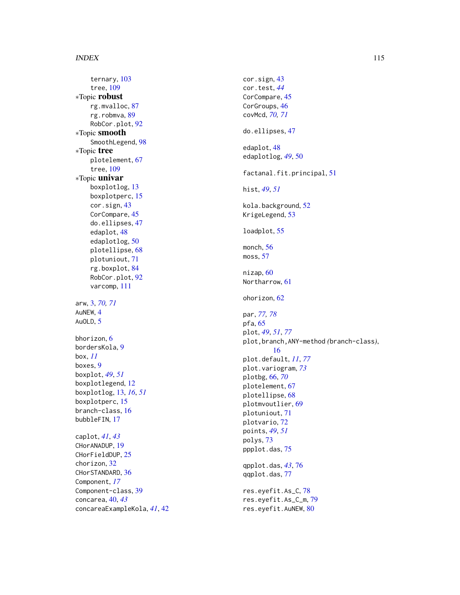#### INDEX 115

ternary , [103](#page-102-0) tree , [109](#page-108-0) ∗Topic robust rg.mvalloc , [87](#page-86-0) rg.robmva , [89](#page-88-0) RobCor.plot, [92](#page-91-0) ∗Topic smooth SmoothLegend, [98](#page-97-0) ∗Topic tree plotelement , [67](#page-66-0) tree , [109](#page-108-0) ∗Topic univar boxplotlog , [13](#page-12-0) boxplotperc, [15](#page-14-0) cor.sign , [43](#page-42-0) CorCompare, [45](#page-44-0) do.ellipses , [47](#page-46-0) edaplot , [48](#page-47-0) edaplotlog , [50](#page-49-0) plotellipse , [68](#page-67-0) plotuniout , [71](#page-70-0) rg.boxplot , [84](#page-83-0) RobCor.plot, [92](#page-91-0) varcomp , [111](#page-110-0) arw , [3](#page-2-0) , *[70](#page-69-0) , [71](#page-70-0)* AuNEW , [4](#page-3-0) AuOLD, [5](#page-4-0) bhorizon , [6](#page-5-0) bordersKola, [9](#page-8-0) box , *[11](#page-10-0)* boxes , [9](#page-8-0) boxplot , *[49](#page-48-0)* , *[51](#page-50-0)* boxplotlegend , [12](#page-11-0) boxplotlog , [13](#page-12-0) , *[16](#page-15-0)* , *[51](#page-50-0)* boxplotperc, [15](#page-14-0) branch-class, [16](#page-15-0) bubbleFIN , [17](#page-16-0) caplot , *[41](#page-40-0)* , *[43](#page-42-0)* CHorANADUP , [19](#page-18-0) CHorFieldDUP , [25](#page-24-0) chorizon , [32](#page-31-0) CHorSTANDARD, [36](#page-35-0) Component , *[17](#page-16-0)* Component-class , [39](#page-38-0) concarea , [40](#page-39-0) , *[43](#page-42-0)* concareaExampleKola , *[41](#page-40-0)* , [42](#page-41-0) cor.sign , [43](#page-42-0) cor.test , *[44](#page-43-0)* CorCompare, [45](#page-44-0) CorGroups, [46](#page-45-0) covMcd , *[70](#page-69-0) , [71](#page-70-0)* do.ellipses , [47](#page-46-0) edaplot , [48](#page-47-0) edaplotlog , *[49](#page-48-0)* , [50](#page-49-0) factanal.fit.principal , [51](#page-50-0) hist , *[49](#page-48-0)* , *[51](#page-50-0)* kola.background , [52](#page-51-0) KrigeLegend , [53](#page-52-0) loadplot , [55](#page-54-0) monch , [56](#page-55-0) moss , [57](#page-56-0) nizap, [60](#page-59-0) Northarrow , [61](#page-60-0) ohorizon , [62](#page-61-0) par , *[77,](#page-76-0) [78](#page-77-0)* pfa, <mark>[65](#page-64-0)</mark> plot , *[49](#page-48-0)* , *[51](#page-50-0)* , *[77](#page-76-0)* plot,branch,ANY-method *(*branch-class *)* , [16](#page-15-0) plot.default , *[11](#page-10-0)* , *[77](#page-76-0)* plot.variogram , *[73](#page-72-0)* plotbg , [66](#page-65-0) , *[70](#page-69-0)* plotelement , [67](#page-66-0) plotellipse , [68](#page-67-0) plotmvoutlier , [69](#page-68-0) plotuniout , [71](#page-70-0) plotvario , [72](#page-71-0) points , *[49](#page-48-0)* , *[51](#page-50-0)* polys , [73](#page-72-0) ppplot.das , [75](#page-74-0) qpplot.das , *[43](#page-42-0)* , [76](#page-75-0) qqplot.das , [77](#page-76-0) res.eyefit.As\_C , [78](#page-77-0) res.eyefit.As\_C\_m , [79](#page-78-0) res.eyefit.AuNEW , [80](#page-79-0)